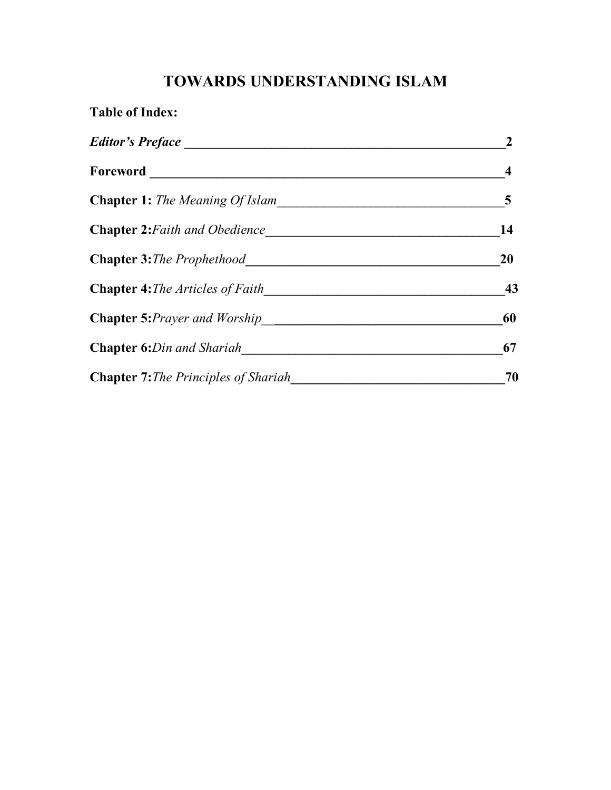# **TOWARDS UNDERSTANDING ISLAM**

| <b>Table of Index:</b>                      |    |
|---------------------------------------------|----|
| <b>Editor's Preface</b>                     |    |
| Foreword ________________                   |    |
| <b>Chapter 1:</b> The Meaning Of Islam      | 5  |
| <b>Chapter 2:</b> Faith and Obedience       | 14 |
| <b>Chapter 3:</b> The Prophethood           | 20 |
| <b>Chapter 4:</b> The Articles of Faith     | 43 |
| <b>Chapter 5:</b> Prayer and Worship        | 60 |
| <b>Chapter 6:</b> Din and Shariah           | 67 |
| <b>Chapter 7:</b> The Principles of Shariah | 70 |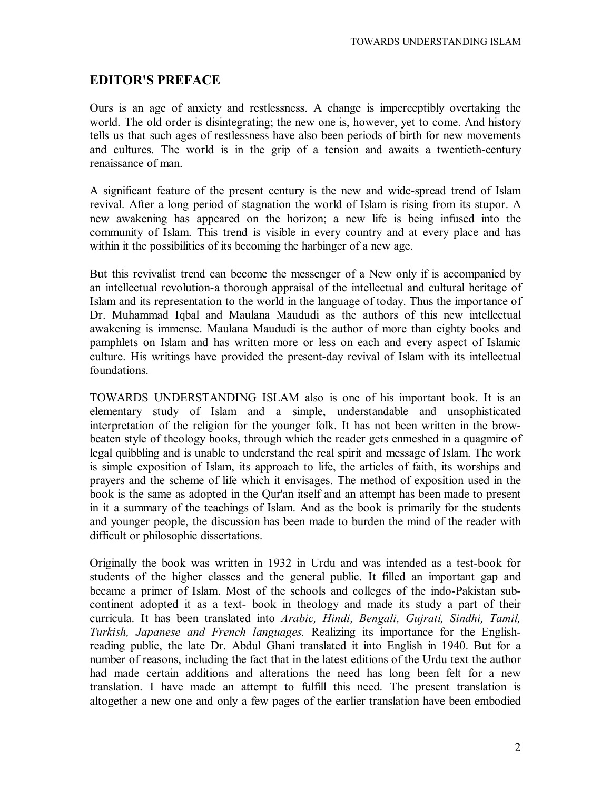# **EDITOR'S PREFACE**

Ours is an age of anxiety and restlessness. A change is imperceptibly overtaking the world. The old order is disintegrating; the new one is, however, yet to come. And history tells us that such ages of restlessness have also been periods of birth for new movements and cultures. The world is in the grip of a tension and awaits a twentieth-century renaissance of man.

A significant feature of the present century is the new and wide-spread trend of Islam revival. After a long period of stagnation the world of Islam is rising from its stupor. A new awakening has appeared on the horizon; a new life is being infused into the community of Islam. This trend is visible in every country and at every place and has within it the possibilities of its becoming the harbinger of a new age.

But this revivalist trend can become the messenger of a New only if is accompanied by an intellectual revolution-a thorough appraisal of the intellectual and cultural heritage of Islam and its representation to the world in the language of today. Thus the importance of Dr. Muhammad Iqbal and Maulana Maududi as the authors of this new intellectual awakening is immense. Maulana Maududi is the author of more than eighty books and pamphlets on Islam and has written more or less on each and every aspect of Islamic culture. His writings have provided the present-day revival of Islam with its intellectual foundations.

TOWARDS UNDERSTANDING ISLAM also is one of his important book. It is an elementary study of Islam and a simple, understandable and unsophisticated interpretation of the religion for the younger folk. It has not been written in the browbeaten style of theology books, through which the reader gets enmeshed in a quagmire of legal quibbling and is unable to understand the real spirit and message of Islam. The work is simple exposition of Islam, its approach to life, the articles of faith, its worships and prayers and the scheme of life which it envisages. The method of exposition used in the book is the same as adopted in the Qur'an itself and an attempt has been made to present in it a summary of the teachings of Islam. And as the book is primarily for the students and younger people, the discussion has been made to burden the mind of the reader with difficult or philosophic dissertations.

Originally the book was written in 1932 in Urdu and was intended as a test-book for students of the higher classes and the general public. It filled an important gap and became a primer of Islam. Most of the schools and colleges of the indo-Pakistan subcontinent adopted it as a text- book in theology and made its study a part of their curricula. It has been translated into *Arabic, Hindi, Bengali, Gujrati, Sindhi, Tamil, Turkish, Japanese and French languages.* Realizing its importance for the Englishreading public, the late Dr. Abdul Ghani translated it into English in 1940. But for a number of reasons, including the fact that in the latest editions of the Urdu text the author had made certain additions and alterations the need has long been felt for a new translation. I have made an attempt to fulfill this need. The present translation is altogether a new one and only a few pages of the earlier translation have been embodied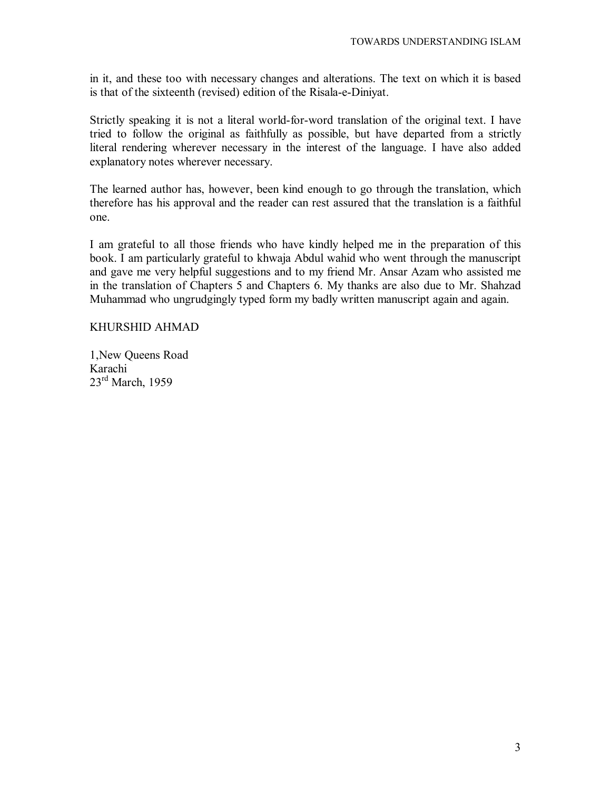in it, and these too with necessary changes and alterations. The text on which it is based is that of the sixteenth (revised) edition of the Risala-e-Diniyat.

Strictly speaking it is not a literal world-for-word translation of the original text. I have tried to follow the original as faithfully as possible, but have departed from a strictly literal rendering wherever necessary in the interest of the language. I have also added explanatory notes wherever necessary.

The learned author has, however, been kind enough to go through the translation, which therefore has his approval and the reader can rest assured that the translation is a faithful one.

I am grateful to all those friends who have kindly helped me in the preparation of this book. I am particularly grateful to khwaja Abdul wahid who went through the manuscript and gave me very helpful suggestions and to my friend Mr. Ansar Azam who assisted me in the translation of Chapters 5 and Chapters 6. My thanks are also due to Mr. Shahzad Muhammad who ungrudgingly typed form my badly written manuscript again and again.

### KHURSHID AHMAD

1,New Queens Road Karachi  $23^{\text{rd}}$  March, 1959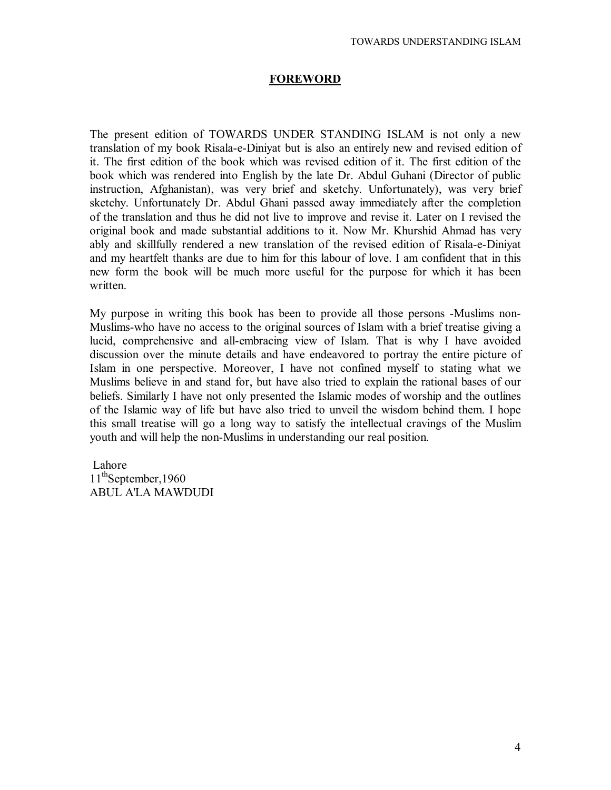### **FOREWORD**

The present edition of TOWARDS UNDER STANDING ISLAM is not only a new translation of my book Risala-e-Diniyat but is also an entirely new and revised edition of it. The first edition of the book which was revised edition of it. The first edition of the book which was rendered into English by the late Dr. Abdul Guhani (Director of public instruction, Afghanistan), was very brief and sketchy. Unfortunately), was very brief sketchy. Unfortunately Dr. Abdul Ghani passed away immediately after the completion of the translation and thus he did not live to improve and revise it. Later on I revised the original book and made substantial additions to it. Now Mr. Khurshid Ahmad has very ably and skillfully rendered a new translation of the revised edition of Risala-e-Diniyat and my heartfelt thanks are due to him for this labour of love. I am confident that in this new form the book will be much more useful for the purpose for which it has been written.

My purpose in writing this book has been to provide all those persons -Muslims non-Muslims-who have no access to the original sources of Islam with a brief treatise giving a lucid, comprehensive and all-embracing view of Islam. That is why I have avoided discussion over the minute details and have endeavored to portray the entire picture of Islam in one perspective. Moreover, I have not confined myself to stating what we Muslims believe in and stand for, but have also tried to explain the rational bases of our beliefs. Similarly I have not only presented the Islamic modes of worship and the outlines of the Islamic way of life but have also tried to unveil the wisdom behind them. I hope this small treatise will go a long way to satisfy the intellectual cravings of the Muslim youth and will help the non-Muslims in understanding our real position.

Lahore 11<sup>th</sup>September, 1960 ABUL A'LA MAWDUDI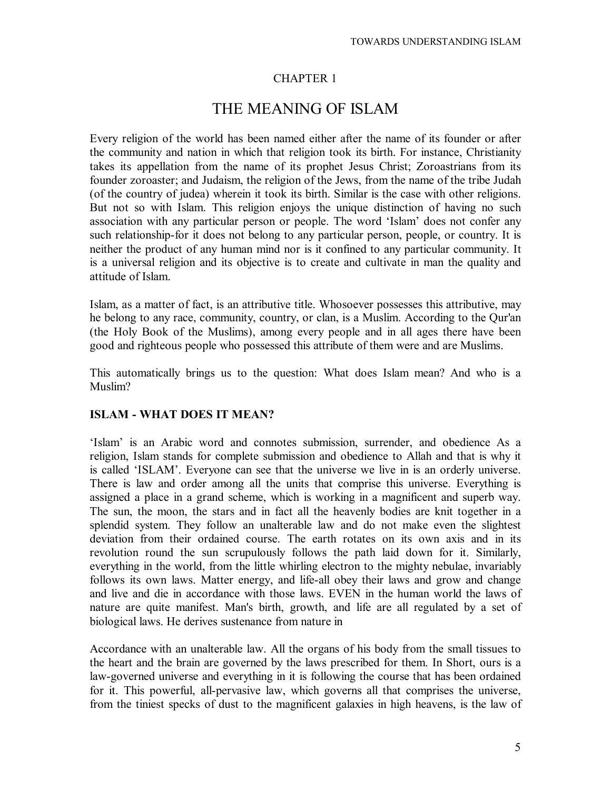# CHAPTER 1

# THE MEANING OF ISLAM

Every religion of the world has been named either after the name of its founder or after the community and nation in which that religion took its birth. For instance, Christianity takes its appellation from the name of its prophet Jesus Christ; Zoroastrians from its founder zoroaster; and Judaism, the religion of the Jews, from the name of the tribe Judah (of the country of judea) wherein it took its birth. Similar is the case with other religions. But not so with Islam. This religion enjoys the unique distinction of having no such association with any particular person or people. The word 'Islam' does not confer any such relationship-for it does not belong to any particular person, people, or country. It is neither the product of any human mind nor is it confined to any particular community. It is a universal religion and its objective is to create and cultivate in man the quality and attitude of Islam.

Islam, as a matter of fact, is an attributive title. Whosoever possesses this attributive, may he belong to any race, community, country, or clan, is a Muslim. According to the Qur'an (the Holy Book of the Muslims), among every people and in all ages there have been good and righteous people who possessed this attribute of them were and are Muslims.

This automatically brings us to the question: What does Islam mean? And who is a Muslim?

# **ISLAM - WHAT DOES IT MEAN?**

'Islam' is an Arabic word and connotes submission, surrender, and obedience As a religion, Islam stands for complete submission and obedience to Allah and that is why it is called 'ISLAM'. Everyone can see that the universe we live in is an orderly universe. There is law and order among all the units that comprise this universe. Everything is assigned a place in a grand scheme, which is working in a magnificent and superb way. The sun, the moon, the stars and in fact all the heavenly bodies are knit together in a splendid system. They follow an unalterable law and do not make even the slightest deviation from their ordained course. The earth rotates on its own axis and in its revolution round the sun scrupulously follows the path laid down for it. Similarly, everything in the world, from the little whirling electron to the mighty nebulae, invariably follows its own laws. Matter energy, and life-all obey their laws and grow and change and live and die in accordance with those laws. EVEN in the human world the laws of nature are quite manifest. Man's birth, growth, and life are all regulated by a set of biological laws. He derives sustenance from nature in

Accordance with an unalterable law. All the organs of his body from the small tissues to the heart and the brain are governed by the laws prescribed for them. In Short, ours is a law-governed universe and everything in it is following the course that has been ordained for it. This powerful, all-pervasive law, which governs all that comprises the universe, from the tiniest specks of dust to the magnificent galaxies in high heavens, is the law of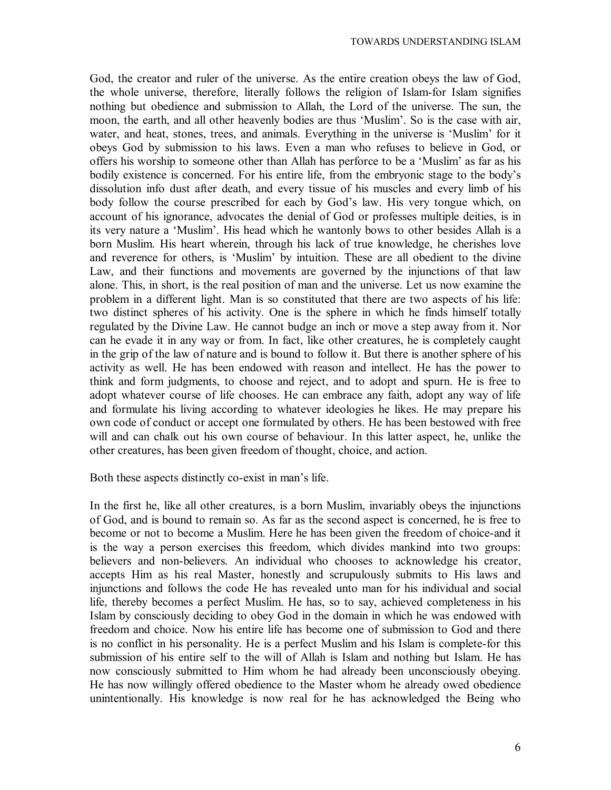God, the creator and ruler of the universe. As the entire creation obeys the law of God, the whole universe, therefore, literally follows the religion of Islam-for Islam signifies nothing but obedience and submission to Allah, the Lord of the universe. The sun, the moon, the earth, and all other heavenly bodies are thus 'Muslim'. So is the case with air, water, and heat, stones, trees, and animals. Everything in the universe is 'Muslim' for it obeys God by submission to his laws. Even a man who refuses to believe in God, or offers his worship to someone other than Allah has perforce to be a 'Muslim' as far as his bodily existence is concerned. For his entire life, from the embryonic stage to the body's dissolution info dust after death, and every tissue of his muscles and every limb of his body follow the course prescribed for each by God's law. His very tongue which, on account of his ignorance, advocates the denial of God or professes multiple deities, is in its very nature a 'Muslim'. His head which he wantonly bows to other besides Allah is a born Muslim. His heart wherein, through his lack of true knowledge, he cherishes love and reverence for others, is 'Muslim' by intuition. These are all obedient to the divine Law, and their functions and movements are governed by the injunctions of that law alone. This, in short, is the real position of man and the universe. Let us now examine the problem in a different light. Man is so constituted that there are two aspects of his life: two distinct spheres of his activity. One is the sphere in which he finds himself totally regulated by the Divine Law. He cannot budge an inch or move a step away from it. Nor can he evade it in any way or from. In fact, like other creatures, he is completely caught in the grip of the law of nature and is bound to follow it. But there is another sphere of his activity as well. He has been endowed with reason and intellect. He has the power to think and form judgments, to choose and reject, and to adopt and spurn. He is free to adopt whatever course of life chooses. He can embrace any faith, adopt any way of life and formulate his living according to whatever ideologies he likes. He may prepare his own code of conduct or accept one formulated by others. He has been bestowed with free will and can chalk out his own course of behaviour. In this latter aspect, he, unlike the other creatures, has been given freedom of thought, choice, and action.

Both these aspects distinctly co-exist in man's life.

In the first he, like all other creatures, is a born Muslim, invariably obeys the injunctions of God, and is bound to remain so. As far as the second aspect is concerned, he is free to become or not to become a Muslim. Here he has been given the freedom of choice-and it is the way a person exercises this freedom, which divides mankind into two groups: believers and non-believers. An individual who chooses to acknowledge his creator, accepts Him as his real Master, honestly and scrupulously submits to His laws and injunctions and follows the code He has revealed unto man for his individual and social life, thereby becomes a perfect Muslim. He has, so to say, achieved completeness in his Islam by consciously deciding to obey God in the domain in which he was endowed with freedom and choice. Now his entire life has become one of submission to God and there is no conflict in his personality. He is a perfect Muslim and his Islam is complete-for this submission of his entire self to the will of Allah is Islam and nothing but Islam. He has now consciously submitted to Him whom he had already been unconsciously obeying. He has now willingly offered obedience to the Master whom he already owed obedience unintentionally. His knowledge is now real for he has acknowledged the Being who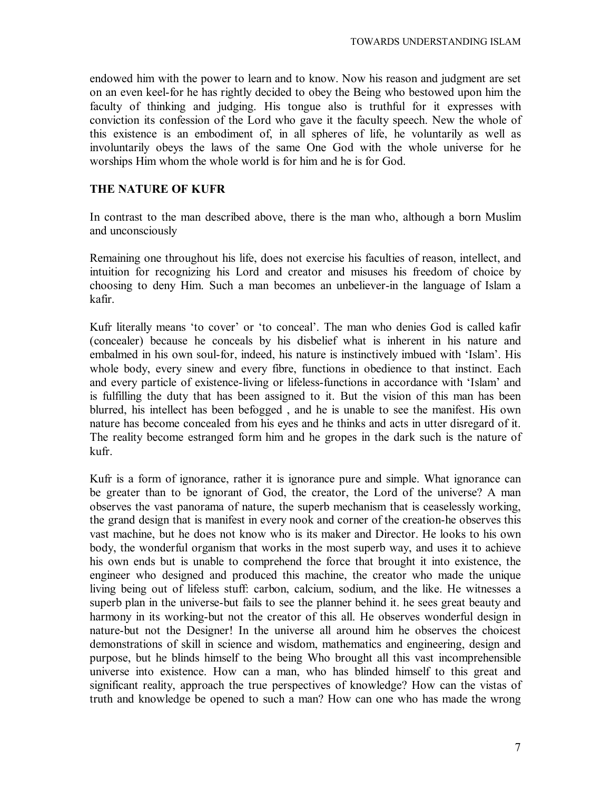endowed him with the power to learn and to know. Now his reason and judgment are set on an even keel-for he has rightly decided to obey the Being who bestowed upon him the faculty of thinking and judging. His tongue also is truthful for it expresses with conviction its confession of the Lord who gave it the faculty speech. New the whole of this existence is an embodiment of, in all spheres of life, he voluntarily as well as involuntarily obeys the laws of the same One God with the whole universe for he worships Him whom the whole world is for him and he is for God.

### **THE NATURE OF KUFR**

In contrast to the man described above, there is the man who, although a born Muslim and unconsciously

Remaining one throughout his life, does not exercise his faculties of reason, intellect, and intuition for recognizing his Lord and creator and misuses his freedom of choice by choosing to deny Him. Such a man becomes an unbeliever-in the language of Islam a kafir.

Kufr literally means 'to cover' or 'to conceal'. The man who denies God is called kafir (concealer) because he conceals by his disbelief what is inherent in his nature and embalmed in his own soul-for, indeed, his nature is instinctively imbued with 'Islam'. His whole body, every sinew and every fibre, functions in obedience to that instinct. Each and every particle of existence-living or lifeless-functions in accordance with 'Islam' and is fulfilling the duty that has been assigned to it. But the vision of this man has been blurred, his intellect has been befogged , and he is unable to see the manifest. His own nature has become concealed from his eyes and he thinks and acts in utter disregard of it. The reality become estranged form him and he gropes in the dark such is the nature of kufr.

Kufr is a form of ignorance, rather it is ignorance pure and simple. What ignorance can be greater than to be ignorant of God, the creator, the Lord of the universe? A man observes the vast panorama of nature, the superb mechanism that is ceaselessly working, the grand design that is manifest in every nook and corner of the creation-he observes this vast machine, but he does not know who is its maker and Director. He looks to his own body, the wonderful organism that works in the most superb way, and uses it to achieve his own ends but is unable to comprehend the force that brought it into existence, the engineer who designed and produced this machine, the creator who made the unique living being out of lifeless stuff: carbon, calcium, sodium, and the like. He witnesses a superb plan in the universe-but fails to see the planner behind it. he sees great beauty and harmony in its working-but not the creator of this all. He observes wonderful design in nature-but not the Designer! In the universe all around him he observes the choicest demonstrations of skill in science and wisdom, mathematics and engineering, design and purpose, but he blinds himself to the being Who brought all this vast incomprehensible universe into existence. How can a man, who has blinded himself to this great and significant reality, approach the true perspectives of knowledge? How can the vistas of truth and knowledge be opened to such a man? How can one who has made the wrong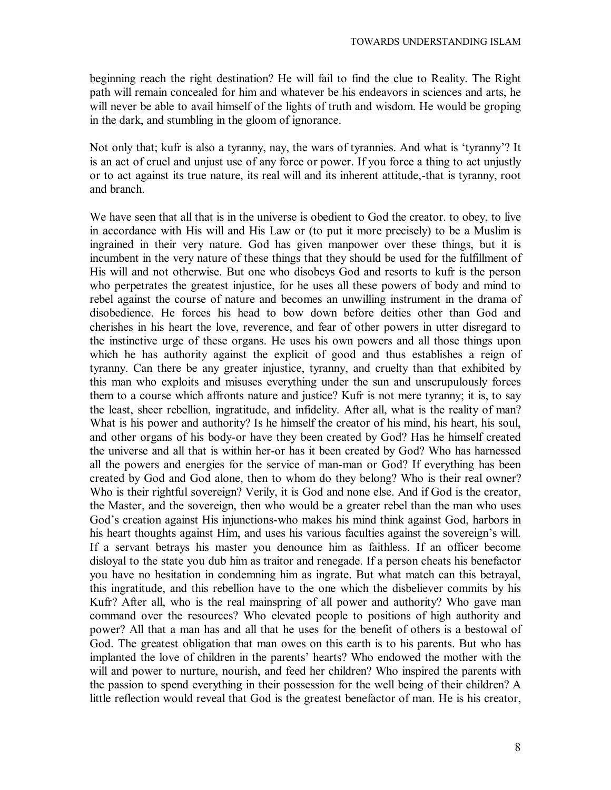beginning reach the right destination? He will fail to find the clue to Reality. The Right path will remain concealed for him and whatever be his endeavors in sciences and arts, he will never be able to avail himself of the lights of truth and wisdom. He would be groping in the dark, and stumbling in the gloom of ignorance.

Not only that; kufr is also a tyranny, nay, the wars of tyrannies. And what is 'tyranny'? It is an act of cruel and unjust use of any force or power. If you force a thing to act unjustly or to act against its true nature, its real will and its inherent attitude,-that is tyranny, root and branch.

We have seen that all that is in the universe is obedient to God the creator. to obey, to live in accordance with His will and His Law or (to put it more precisely) to be a Muslim is ingrained in their very nature. God has given manpower over these things, but it is incumbent in the very nature of these things that they should be used for the fulfillment of His will and not otherwise. But one who disobeys God and resorts to kufr is the person who perpetrates the greatest injustice, for he uses all these powers of body and mind to rebel against the course of nature and becomes an unwilling instrument in the drama of disobedience. He forces his head to bow down before deities other than God and cherishes in his heart the love, reverence, and fear of other powers in utter disregard to the instinctive urge of these organs. He uses his own powers and all those things upon which he has authority against the explicit of good and thus establishes a reign of tyranny. Can there be any greater injustice, tyranny, and cruelty than that exhibited by this man who exploits and misuses everything under the sun and unscrupulously forces them to a course which affronts nature and justice? Kufr is not mere tyranny; it is, to say the least, sheer rebellion, ingratitude, and infidelity. After all, what is the reality of man? What is his power and authority? Is he himself the creator of his mind, his heart, his soul, and other organs of his body-or have they been created by God? Has he himself created the universe and all that is within her-or has it been created by God? Who has harnessed all the powers and energies for the service of man-man or God? If everything has been created by God and God alone, then to whom do they belong? Who is their real owner? Who is their rightful sovereign? Verily, it is God and none else. And if God is the creator, the Master, and the sovereign, then who would be a greater rebel than the man who uses God's creation against His injunctions-who makes his mind think against God, harbors in his heart thoughts against Him, and uses his various faculties against the sovereign's will. If a servant betrays his master you denounce him as faithless. If an officer become disloyal to the state you dub him as traitor and renegade. If a person cheats his benefactor you have no hesitation in condemning him as ingrate. But what match can this betrayal, this ingratitude, and this rebellion have to the one which the disbeliever commits by his Kufr? After all, who is the real mainspring of all power and authority? Who gave man command over the resources? Who elevated people to positions of high authority and power? All that a man has and all that he uses for the benefit of others is a bestowal of God. The greatest obligation that man owes on this earth is to his parents. But who has implanted the love of children in the parents' hearts? Who endowed the mother with the will and power to nurture, nourish, and feed her children? Who inspired the parents with the passion to spend everything in their possession for the well being of their children? A little reflection would reveal that God is the greatest benefactor of man. He is his creator,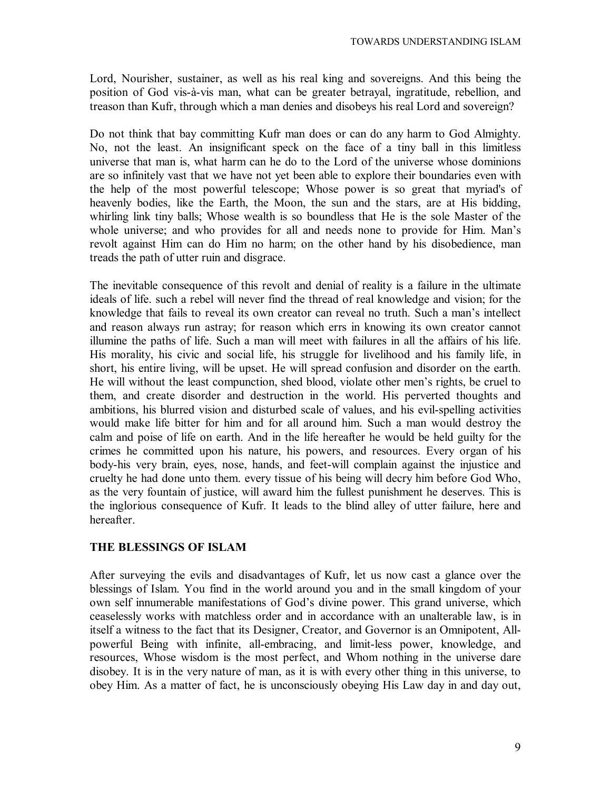Lord, Nourisher, sustainer, as well as his real king and sovereigns. And this being the position of God vis-à-vis man, what can be greater betrayal, ingratitude, rebellion, and treason than Kufr, through which a man denies and disobeys his real Lord and sovereign?

Do not think that bay committing Kufr man does or can do any harm to God Almighty. No, not the least. An insignificant speck on the face of a tiny ball in this limitless universe that man is, what harm can he do to the Lord of the universe whose dominions are so infinitely vast that we have not yet been able to explore their boundaries even with the help of the most powerful telescope; Whose power is so great that myriad's of heavenly bodies, like the Earth, the Moon, the sun and the stars, are at His bidding, whirling link tiny balls; Whose wealth is so boundless that He is the sole Master of the whole universe; and who provides for all and needs none to provide for Him. Man's revolt against Him can do Him no harm; on the other hand by his disobedience, man treads the path of utter ruin and disgrace.

The inevitable consequence of this revolt and denial of reality is a failure in the ultimate ideals of life. such a rebel will never find the thread of real knowledge and vision; for the knowledge that fails to reveal its own creator can reveal no truth. Such a man's intellect and reason always run astray; for reason which errs in knowing its own creator cannot illumine the paths of life. Such a man will meet with failures in all the affairs of his life. His morality, his civic and social life, his struggle for livelihood and his family life, in short, his entire living, will be upset. He will spread confusion and disorder on the earth. He will without the least compunction, shed blood, violate other men's rights, be cruel to them, and create disorder and destruction in the world. His perverted thoughts and ambitions, his blurred vision and disturbed scale of values, and his evil-spelling activities would make life bitter for him and for all around him. Such a man would destroy the calm and poise of life on earth. And in the life hereafter he would be held guilty for the crimes he committed upon his nature, his powers, and resources. Every organ of his body-his very brain, eyes, nose, hands, and feet-will complain against the injustice and cruelty he had done unto them. every tissue of his being will decry him before God Who, as the very fountain of justice, will award him the fullest punishment he deserves. This is the inglorious consequence of Kufr. It leads to the blind alley of utter failure, here and hereafter

# **THE BLESSINGS OF ISLAM**

After surveying the evils and disadvantages of Kufr, let us now cast a glance over the blessings of Islam. You find in the world around you and in the small kingdom of your own self innumerable manifestations of God's divine power. This grand universe, which ceaselessly works with matchless order and in accordance with an unalterable law, is in itself a witness to the fact that its Designer, Creator, and Governor is an Omnipotent, Allpowerful Being with infinite, all-embracing, and limit-less power, knowledge, and resources, Whose wisdom is the most perfect, and Whom nothing in the universe dare disobey. It is in the very nature of man, as it is with every other thing in this universe, to obey Him. As a matter of fact, he is unconsciously obeying His Law day in and day out,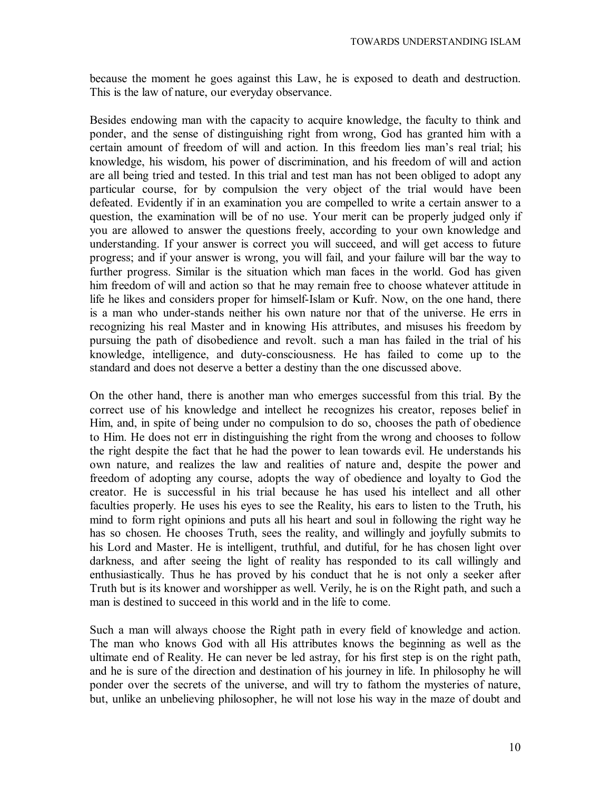because the moment he goes against this Law, he is exposed to death and destruction. This is the law of nature, our everyday observance.

Besides endowing man with the capacity to acquire knowledge, the faculty to think and ponder, and the sense of distinguishing right from wrong, God has granted him with a certain amount of freedom of will and action. In this freedom lies man's real trial; his knowledge, his wisdom, his power of discrimination, and his freedom of will and action are all being tried and tested. In this trial and test man has not been obliged to adopt any particular course, for by compulsion the very object of the trial would have been defeated. Evidently if in an examination you are compelled to write a certain answer to a question, the examination will be of no use. Your merit can be properly judged only if you are allowed to answer the questions freely, according to your own knowledge and understanding. If your answer is correct you will succeed, and will get access to future progress; and if your answer is wrong, you will fail, and your failure will bar the way to further progress. Similar is the situation which man faces in the world. God has given him freedom of will and action so that he may remain free to choose whatever attitude in life he likes and considers proper for himself-Islam or Kufr. Now, on the one hand, there is a man who under-stands neither his own nature nor that of the universe. He errs in recognizing his real Master and in knowing His attributes, and misuses his freedom by pursuing the path of disobedience and revolt. such a man has failed in the trial of his knowledge, intelligence, and duty-consciousness. He has failed to come up to the standard and does not deserve a better a destiny than the one discussed above.

On the other hand, there is another man who emerges successful from this trial. By the correct use of his knowledge and intellect he recognizes his creator, reposes belief in Him, and, in spite of being under no compulsion to do so, chooses the path of obedience to Him. He does not err in distinguishing the right from the wrong and chooses to follow the right despite the fact that he had the power to lean towards evil. He understands his own nature, and realizes the law and realities of nature and, despite the power and freedom of adopting any course, adopts the way of obedience and loyalty to God the creator. He is successful in his trial because he has used his intellect and all other faculties properly. He uses his eyes to see the Reality, his ears to listen to the Truth, his mind to form right opinions and puts all his heart and soul in following the right way he has so chosen. He chooses Truth, sees the reality, and willingly and joyfully submits to his Lord and Master. He is intelligent, truthful, and dutiful, for he has chosen light over darkness, and after seeing the light of reality has responded to its call willingly and enthusiastically. Thus he has proved by his conduct that he is not only a seeker after Truth but is its knower and worshipper as well. Verily, he is on the Right path, and such a man is destined to succeed in this world and in the life to come.

Such a man will always choose the Right path in every field of knowledge and action. The man who knows God with all His attributes knows the beginning as well as the ultimate end of Reality. He can never be led astray, for his first step is on the right path, and he is sure of the direction and destination of his journey in life. In philosophy he will ponder over the secrets of the universe, and will try to fathom the mysteries of nature, but, unlike an unbelieving philosopher, he will not lose his way in the maze of doubt and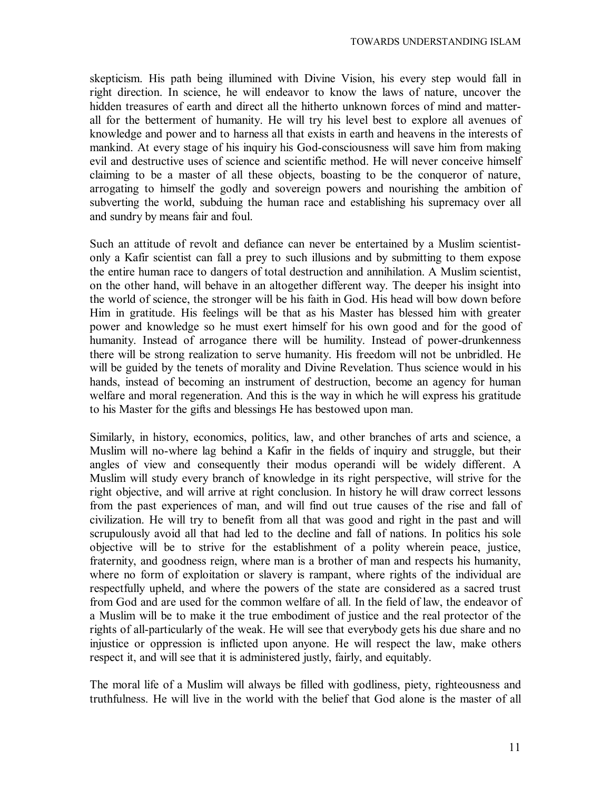skepticism. His path being illumined with Divine Vision, his every step would fall in right direction. In science, he will endeavor to know the laws of nature, uncover the hidden treasures of earth and direct all the hitherto unknown forces of mind and matterall for the betterment of humanity. He will try his level best to explore all avenues of knowledge and power and to harness all that exists in earth and heavens in the interests of mankind. At every stage of his inquiry his God-consciousness will save him from making evil and destructive uses of science and scientific method. He will never conceive himself claiming to be a master of all these objects, boasting to be the conqueror of nature, arrogating to himself the godly and sovereign powers and nourishing the ambition of subverting the world, subduing the human race and establishing his supremacy over all and sundry by means fair and foul.

Such an attitude of revolt and defiance can never be entertained by a Muslim scientistonly a Kafir scientist can fall a prey to such illusions and by submitting to them expose the entire human race to dangers of total destruction and annihilation. A Muslim scientist, on the other hand, will behave in an altogether different way. The deeper his insight into the world of science, the stronger will be his faith in God. His head will bow down before Him in gratitude. His feelings will be that as his Master has blessed him with greater power and knowledge so he must exert himself for his own good and for the good of humanity. Instead of arrogance there will be humility. Instead of power-drunkenness there will be strong realization to serve humanity. His freedom will not be unbridled. He will be guided by the tenets of morality and Divine Revelation. Thus science would in his hands, instead of becoming an instrument of destruction, become an agency for human welfare and moral regeneration. And this is the way in which he will express his gratitude to his Master for the gifts and blessings He has bestowed upon man.

Similarly, in history, economics, politics, law, and other branches of arts and science, a Muslim will no-where lag behind a Kafir in the fields of inquiry and struggle, but their angles of view and consequently their modus operandi will be widely different. A Muslim will study every branch of knowledge in its right perspective, will strive for the right objective, and will arrive at right conclusion. In history he will draw correct lessons from the past experiences of man, and will find out true causes of the rise and fall of civilization. He will try to benefit from all that was good and right in the past and will scrupulously avoid all that had led to the decline and fall of nations. In politics his sole objective will be to strive for the establishment of a polity wherein peace, justice, fraternity, and goodness reign, where man is a brother of man and respects his humanity, where no form of exploitation or slavery is rampant, where rights of the individual are respectfully upheld, and where the powers of the state are considered as a sacred trust from God and are used for the common welfare of all. In the field of law, the endeavor of a Muslim will be to make it the true embodiment of justice and the real protector of the rights of all-particularly of the weak. He will see that everybody gets his due share and no injustice or oppression is inflicted upon anyone. He will respect the law, make others respect it, and will see that it is administered justly, fairly, and equitably.

The moral life of a Muslim will always be filled with godliness, piety, righteousness and truthfulness. He will live in the world with the belief that God alone is the master of all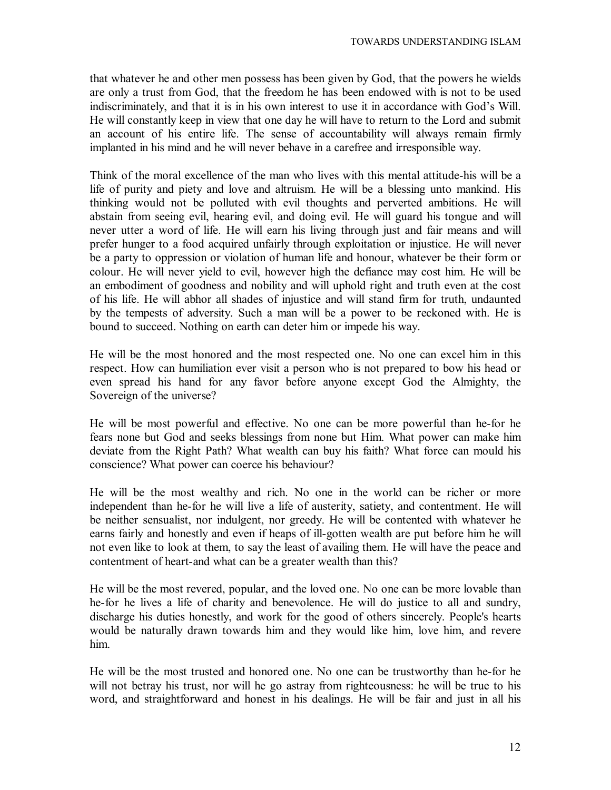that whatever he and other men possess has been given by God, that the powers he wields are only a trust from God, that the freedom he has been endowed with is not to be used indiscriminately, and that it is in his own interest to use it in accordance with God's Will. He will constantly keep in view that one day he will have to return to the Lord and submit an account of his entire life. The sense of accountability will always remain firmly implanted in his mind and he will never behave in a carefree and irresponsible way.

Think of the moral excellence of the man who lives with this mental attitude-his will be a life of purity and piety and love and altruism. He will be a blessing unto mankind. His thinking would not be polluted with evil thoughts and perverted ambitions. He will abstain from seeing evil, hearing evil, and doing evil. He will guard his tongue and will never utter a word of life. He will earn his living through just and fair means and will prefer hunger to a food acquired unfairly through exploitation or injustice. He will never be a party to oppression or violation of human life and honour, whatever be their form or colour. He will never yield to evil, however high the defiance may cost him. He will be an embodiment of goodness and nobility and will uphold right and truth even at the cost of his life. He will abhor all shades of injustice and will stand firm for truth, undaunted by the tempests of adversity. Such a man will be a power to be reckoned with. He is bound to succeed. Nothing on earth can deter him or impede his way.

He will be the most honored and the most respected one. No one can excel him in this respect. How can humiliation ever visit a person who is not prepared to bow his head or even spread his hand for any favor before anyone except God the Almighty, the Sovereign of the universe?

He will be most powerful and effective. No one can be more powerful than he-for he fears none but God and seeks blessings from none but Him. What power can make him deviate from the Right Path? What wealth can buy his faith? What force can mould his conscience? What power can coerce his behaviour?

He will be the most wealthy and rich. No one in the world can be richer or more independent than he-for he will live a life of austerity, satiety, and contentment. He will be neither sensualist, nor indulgent, nor greedy. He will be contented with whatever he earns fairly and honestly and even if heaps of ill-gotten wealth are put before him he will not even like to look at them, to say the least of availing them. He will have the peace and contentment of heart-and what can be a greater wealth than this?

He will be the most revered, popular, and the loved one. No one can be more lovable than he-for he lives a life of charity and benevolence. He will do justice to all and sundry, discharge his duties honestly, and work for the good of others sincerely. People's hearts would be naturally drawn towards him and they would like him, love him, and revere him.

He will be the most trusted and honored one. No one can be trustworthy than he-for he will not betray his trust, nor will he go astray from righteousness: he will be true to his word, and straightforward and honest in his dealings. He will be fair and just in all his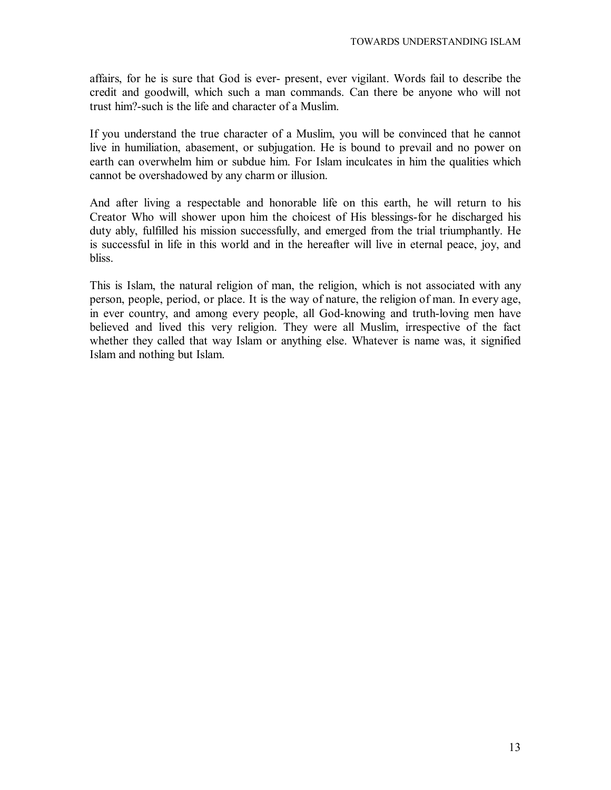affairs, for he is sure that God is ever- present, ever vigilant. Words fail to describe the credit and goodwill, which such a man commands. Can there be anyone who will not trust him?-such is the life and character of a Muslim.

If you understand the true character of a Muslim, you will be convinced that he cannot live in humiliation, abasement, or subjugation. He is bound to prevail and no power on earth can overwhelm him or subdue him. For Islam inculcates in him the qualities which cannot be overshadowed by any charm or illusion.

And after living a respectable and honorable life on this earth, he will return to his Creator Who will shower upon him the choicest of His blessings-for he discharged his duty ably, fulfilled his mission successfully, and emerged from the trial triumphantly. He is successful in life in this world and in the hereafter will live in eternal peace, joy, and bliss.

This is Islam, the natural religion of man, the religion, which is not associated with any person, people, period, or place. It is the way of nature, the religion of man. In every age, in ever country, and among every people, all God-knowing and truth-loving men have believed and lived this very religion. They were all Muslim, irrespective of the fact whether they called that way Islam or anything else. Whatever is name was, it signified Islam and nothing but Islam.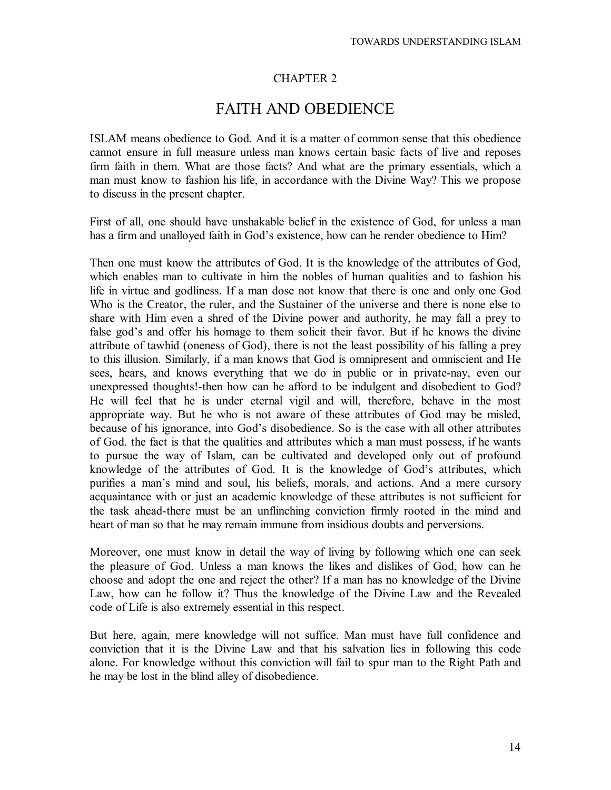### CHAPTER 2

# FAITH AND OBEDIENCE

ISLAM means obedience to God. And it is a matter of common sense that this obedience cannot ensure in full measure unless man knows certain basic facts of live and reposes firm faith in them. What are those facts? And what are the primary essentials, which a man must know to fashion his life, in accordance with the Divine Way? This we propose to discuss in the present chapter.

First of all, one should have unshakable belief in the existence of God, for unless a man has a firm and unalloyed faith in God's existence, how can he render obedience to Him?

Then one must know the attributes of God. It is the knowledge of the attributes of God, which enables man to cultivate in him the nobles of human qualities and to fashion his life in virtue and godliness. If a man dose not know that there is one and only one God Who is the Creator, the ruler, and the Sustainer of the universe and there is none else to share with Him even a shred of the Divine power and authority, he may fall a prey to false god's and offer his homage to them solicit their favor. But if he knows the divine attribute of tawhid (oneness of God), there is not the least possibility of his falling a prey to this illusion. Similarly, if a man knows that God is omnipresent and omniscient and He sees, hears, and knows everything that we do in public or in private-nay, even our unexpressed thoughts!-then how can he afford to be indulgent and disobedient to God? He will feel that he is under eternal vigil and will, therefore, behave in the most appropriate way. But he who is not aware of these attributes of God may be misled, because of his ignorance, into God's disobedience. So is the case with all other attributes of God. the fact is that the qualities and attributes which a man must possess, if he wants to pursue the way of Islam, can be cultivated and developed only out of profound knowledge of the attributes of God. It is the knowledge of God's attributes, which purifies a man's mind and soul, his beliefs, morals, and actions. And a mere cursory acquaintance with or just an academic knowledge of these attributes is not sufficient for the task ahead-there must be an unflinching conviction firmly rooted in the mind and heart of man so that he may remain immune from insidious doubts and perversions.

Moreover, one must know in detail the way of living by following which one can seek the pleasure of God. Unless a man knows the likes and dislikes of God, how can he choose and adopt the one and reject the other? If a man has no knowledge of the Divine Law, how can he follow it? Thus the knowledge of the Divine Law and the Revealed code of Life is also extremely essential in this respect.

But here, again, mere knowledge will not suffice. Man must have full confidence and conviction that it is the Divine Law and that his salvation lies in following this code alone. For knowledge without this conviction will fail to spur man to the Right Path and he may be lost in the blind alley of disobedience.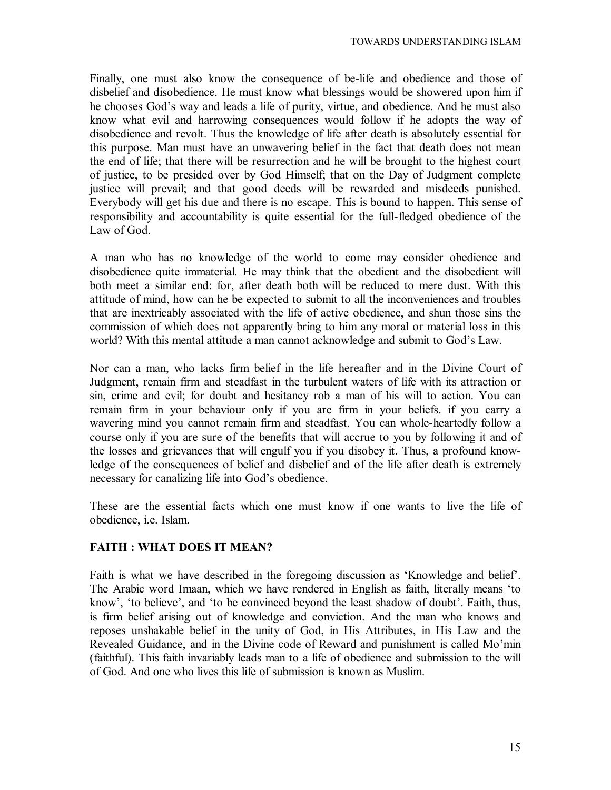Finally, one must also know the consequence of be-life and obedience and those of disbelief and disobedience. He must know what blessings would be showered upon him if he chooses God's way and leads a life of purity, virtue, and obedience. And he must also know what evil and harrowing consequences would follow if he adopts the way of disobedience and revolt. Thus the knowledge of life after death is absolutely essential for this purpose. Man must have an unwavering belief in the fact that death does not mean the end of life; that there will be resurrection and he will be brought to the highest court of justice, to be presided over by God Himself; that on the Day of Judgment complete justice will prevail; and that good deeds will be rewarded and misdeeds punished. Everybody will get his due and there is no escape. This is bound to happen. This sense of responsibility and accountability is quite essential for the full-fledged obedience of the Law of God.

A man who has no knowledge of the world to come may consider obedience and disobedience quite immaterial. He may think that the obedient and the disobedient will both meet a similar end: for, after death both will be reduced to mere dust. With this attitude of mind, how can he be expected to submit to all the inconveniences and troubles that are inextricably associated with the life of active obedience, and shun those sins the commission of which does not apparently bring to him any moral or material loss in this world? With this mental attitude a man cannot acknowledge and submit to God's Law.

Nor can a man, who lacks firm belief in the life hereafter and in the Divine Court of Judgment, remain firm and steadfast in the turbulent waters of life with its attraction or sin, crime and evil; for doubt and hesitancy rob a man of his will to action. You can remain firm in your behaviour only if you are firm in your beliefs. if you carry a wavering mind you cannot remain firm and steadfast. You can whole-heartedly follow a course only if you are sure of the benefits that will accrue to you by following it and of the losses and grievances that will engulf you if you disobey it. Thus, a profound knowledge of the consequences of belief and disbelief and of the life after death is extremely necessary for canalizing life into God's obedience.

These are the essential facts which one must know if one wants to live the life of obedience, i.e. Islam.

# **FAITH : WHAT DOES IT MEAN?**

Faith is what we have described in the foregoing discussion as 'Knowledge and belief'. The Arabic word Imaan, which we have rendered in English as faith, literally means 'to know', 'to believe', and 'to be convinced beyond the least shadow of doubt'. Faith, thus, is firm belief arising out of knowledge and conviction. And the man who knows and reposes unshakable belief in the unity of God, in His Attributes, in His Law and the Revealed Guidance, and in the Divine code of Reward and punishment is called Mo'min (faithful). This faith invariably leads man to a life of obedience and submission to the will of God. And one who lives this life of submission is known as Muslim.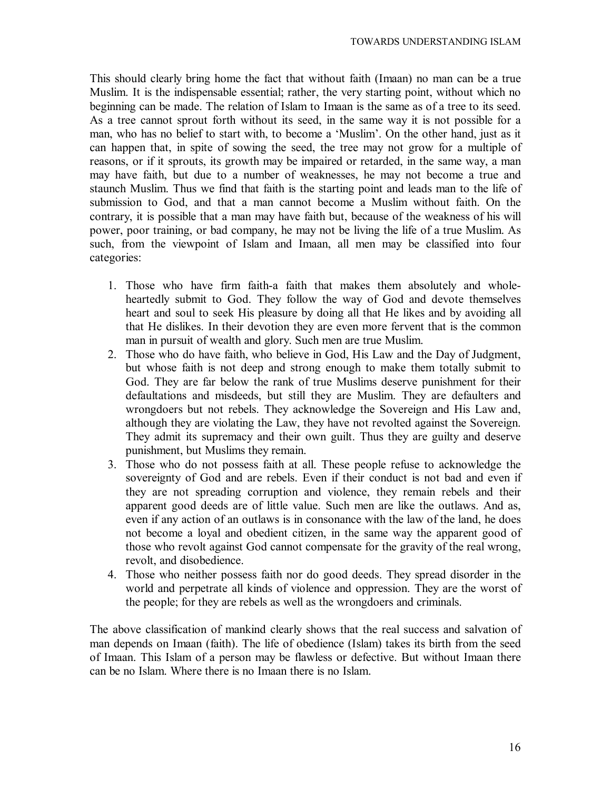This should clearly bring home the fact that without faith (Imaan) no man can be a true Muslim. It is the indispensable essential; rather, the very starting point, without which no beginning can be made. The relation of Islam to Imaan is the same as of a tree to its seed. As a tree cannot sprout forth without its seed, in the same way it is not possible for a man, who has no belief to start with, to become a 'Muslim'. On the other hand, just as it can happen that, in spite of sowing the seed, the tree may not grow for a multiple of reasons, or if it sprouts, its growth may be impaired or retarded, in the same way, a man may have faith, but due to a number of weaknesses, he may not become a true and staunch Muslim. Thus we find that faith is the starting point and leads man to the life of submission to God, and that a man cannot become a Muslim without faith. On the contrary, it is possible that a man may have faith but, because of the weakness of his will power, poor training, or bad company, he may not be living the life of a true Muslim. As such, from the viewpoint of Islam and Imaan, all men may be classified into four categories:

- 1. Those who have firm faith-a faith that makes them absolutely and wholeheartedly submit to God. They follow the way of God and devote themselves heart and soul to seek His pleasure by doing all that He likes and by avoiding all that He dislikes. In their devotion they are even more fervent that is the common man in pursuit of wealth and glory. Such men are true Muslim.
- 2. Those who do have faith, who believe in God, His Law and the Day of Judgment, but whose faith is not deep and strong enough to make them totally submit to God. They are far below the rank of true Muslims deserve punishment for their defaultations and misdeeds, but still they are Muslim. They are defaulters and wrongdoers but not rebels. They acknowledge the Sovereign and His Law and, although they are violating the Law, they have not revolted against the Sovereign. They admit its supremacy and their own guilt. Thus they are guilty and deserve punishment, but Muslims they remain.
- 3. Those who do not possess faith at all. These people refuse to acknowledge the sovereignty of God and are rebels. Even if their conduct is not bad and even if they are not spreading corruption and violence, they remain rebels and their apparent good deeds are of little value. Such men are like the outlaws. And as, even if any action of an outlaws is in consonance with the law of the land, he does not become a loyal and obedient citizen, in the same way the apparent good of those who revolt against God cannot compensate for the gravity of the real wrong, revolt, and disobedience.
- 4. Those who neither possess faith nor do good deeds. They spread disorder in the world and perpetrate all kinds of violence and oppression. They are the worst of the people; for they are rebels as well as the wrongdoers and criminals.

The above classification of mankind clearly shows that the real success and salvation of man depends on Imaan (faith). The life of obedience (Islam) takes its birth from the seed of Imaan. This Islam of a person may be flawless or defective. But without Imaan there can be no Islam. Where there is no Imaan there is no Islam.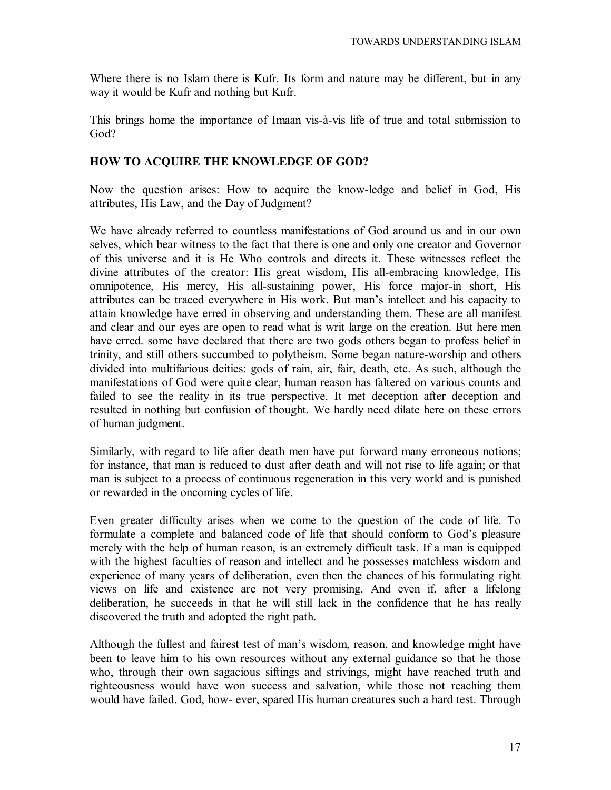Where there is no Islam there is Kufr. Its form and nature may be different, but in any way it would be Kufr and nothing but Kufr.

This brings home the importance of Imaan vis-à-vis life of true and total submission to God?

### **HOW TO ACQUIRE THE KNOWLEDGE OF GOD?**

Now the question arises: How to acquire the know-ledge and belief in God, His attributes, His Law, and the Day of Judgment?

We have already referred to countless manifestations of God around us and in our own selves, which bear witness to the fact that there is one and only one creator and Governor of this universe and it is He Who controls and directs it. These witnesses reflect the divine attributes of the creator: His great wisdom, His all-embracing knowledge, His omnipotence, His mercy, His all-sustaining power, His force major-in short, His attributes can be traced everywhere in His work. But man's intellect and his capacity to attain knowledge have erred in observing and understanding them. These are all manifest and clear and our eyes are open to read what is writ large on the creation. But here men have erred. some have declared that there are two gods others began to profess belief in trinity, and still others succumbed to polytheism. Some began nature-worship and others divided into multifarious deities: gods of rain, air, fair, death, etc. As such, although the manifestations of God were quite clear, human reason has faltered on various counts and failed to see the reality in its true perspective. It met deception after deception and resulted in nothing but confusion of thought. We hardly need dilate here on these errors of human judgment.

Similarly, with regard to life after death men have put forward many erroneous notions; for instance, that man is reduced to dust after death and will not rise to life again; or that man is subject to a process of continuous regeneration in this very world and is punished or rewarded in the oncoming cycles of life.

Even greater difficulty arises when we come to the question of the code of life. To formulate a complete and balanced code of life that should conform to God's pleasure merely with the help of human reason, is an extremely difficult task. If a man is equipped with the highest faculties of reason and intellect and he possesses matchless wisdom and experience of many years of deliberation, even then the chances of his formulating right views on life and existence are not very promising. And even if, after a lifelong deliberation, he succeeds in that he will still lack in the confidence that he has really discovered the truth and adopted the right path.

Although the fullest and fairest test of man's wisdom, reason, and knowledge might have been to leave him to his own resources without any external guidance so that he those who, through their own sagacious siftings and strivings, might have reached truth and righteousness would have won success and salvation, while those not reaching them would have failed. God, how- ever, spared His human creatures such a hard test. Through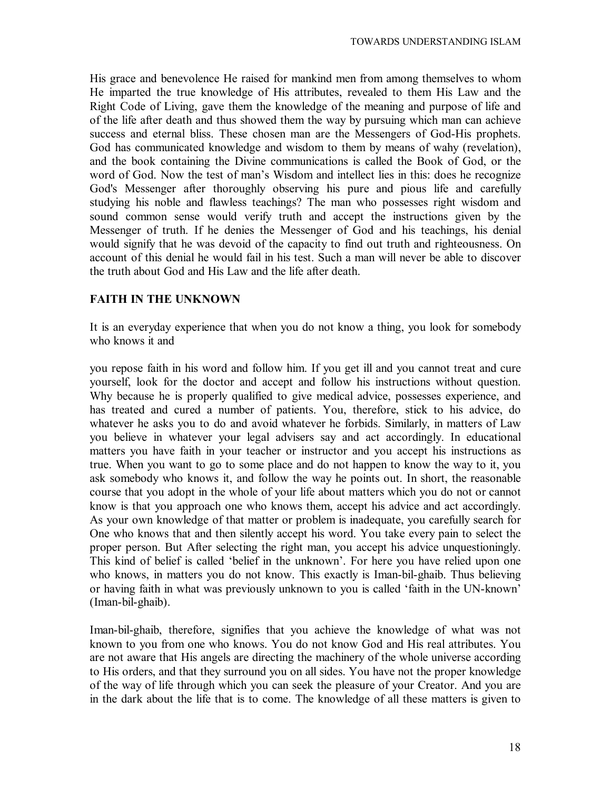His grace and benevolence He raised for mankind men from among themselves to whom He imparted the true knowledge of His attributes, revealed to them His Law and the Right Code of Living, gave them the knowledge of the meaning and purpose of life and of the life after death and thus showed them the way by pursuing which man can achieve success and eternal bliss. These chosen man are the Messengers of God-His prophets. God has communicated knowledge and wisdom to them by means of wahy (revelation), and the book containing the Divine communications is called the Book of God, or the word of God. Now the test of man's Wisdom and intellect lies in this: does he recognize God's Messenger after thoroughly observing his pure and pious life and carefully studying his noble and flawless teachings? The man who possesses right wisdom and sound common sense would verify truth and accept the instructions given by the Messenger of truth. If he denies the Messenger of God and his teachings, his denial would signify that he was devoid of the capacity to find out truth and righteousness. On account of this denial he would fail in his test. Such a man will never be able to discover the truth about God and His Law and the life after death.

# **FAITH IN THE UNKNOWN**

It is an everyday experience that when you do not know a thing, you look for somebody who knows it and

you repose faith in his word and follow him. If you get ill and you cannot treat and cure yourself, look for the doctor and accept and follow his instructions without question. Why because he is properly qualified to give medical advice, possesses experience, and has treated and cured a number of patients. You, therefore, stick to his advice, do whatever he asks you to do and avoid whatever he forbids. Similarly, in matters of Law you believe in whatever your legal advisers say and act accordingly. In educational matters you have faith in your teacher or instructor and you accept his instructions as true. When you want to go to some place and do not happen to know the way to it, you ask somebody who knows it, and follow the way he points out. In short, the reasonable course that you adopt in the whole of your life about matters which you do not or cannot know is that you approach one who knows them, accept his advice and act accordingly. As your own knowledge of that matter or problem is inadequate, you carefully search for One who knows that and then silently accept his word. You take every pain to select the proper person. But After selecting the right man, you accept his advice unquestioningly. This kind of belief is called 'belief in the unknown'. For here you have relied upon one who knows, in matters you do not know. This exactly is Iman-bil-ghaib. Thus believing or having faith in what was previously unknown to you is called 'faith in the UN-known' (Iman-bil-ghaib).

Iman-bil-ghaib, therefore, signifies that you achieve the knowledge of what was not known to you from one who knows. You do not know God and His real attributes. You are not aware that His angels are directing the machinery of the whole universe according to His orders, and that they surround you on all sides. You have not the proper knowledge of the way of life through which you can seek the pleasure of your Creator. And you are in the dark about the life that is to come. The knowledge of all these matters is given to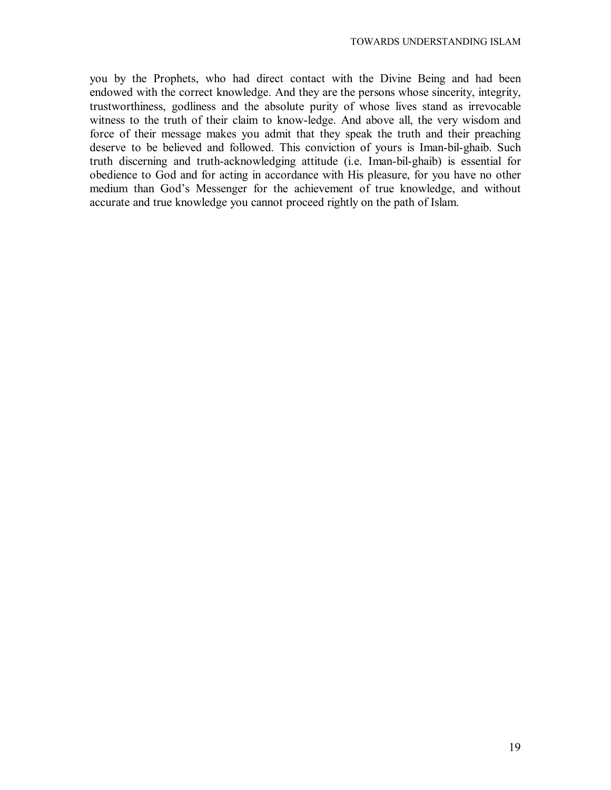you by the Prophets, who had direct contact with the Divine Being and had been endowed with the correct knowledge. And they are the persons whose sincerity, integrity, trustworthiness, godliness and the absolute purity of whose lives stand as irrevocable witness to the truth of their claim to know-ledge. And above all, the very wisdom and force of their message makes you admit that they speak the truth and their preaching deserve to be believed and followed. This conviction of yours is Iman-bil-ghaib. Such truth discerning and truth-acknowledging attitude (i.e. Iman-bil-ghaib) is essential for obedience to God and for acting in accordance with His pleasure, for you have no other medium than God's Messenger for the achievement of true knowledge, and without accurate and true knowledge you cannot proceed rightly on the path of Islam.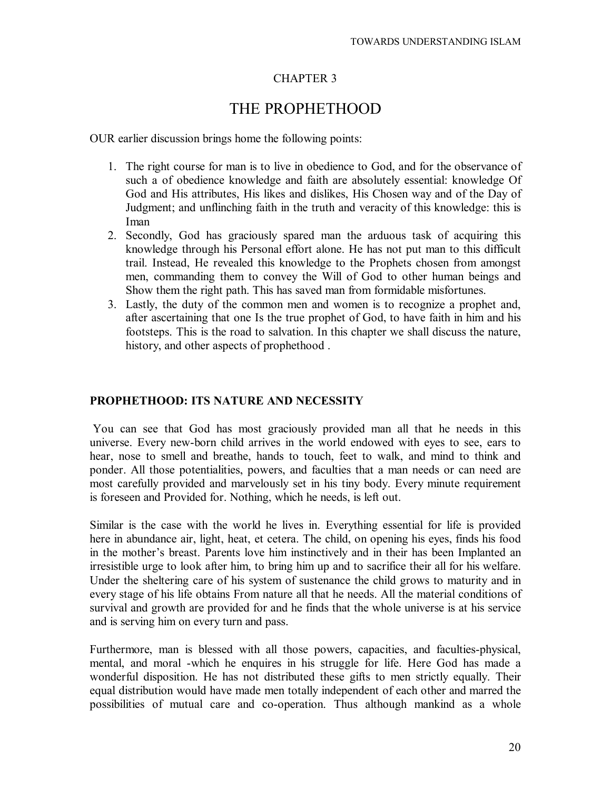### CHAPTER 3

# THE PROPHETHOOD

OUR earlier discussion brings home the following points:

- 1. The right course for man is to live in obedience to God, and for the observance of such a of obedience knowledge and faith are absolutely essential: knowledge Of God and His attributes, His likes and dislikes, His Chosen way and of the Day of Judgment; and unflinching faith in the truth and veracity of this knowledge: this is Iman
- 2. Secondly, God has graciously spared man the arduous task of acquiring this knowledge through his Personal effort alone. He has not put man to this difficult trail. Instead, He revealed this knowledge to the Prophets chosen from amongst men, commanding them to convey the Will of God to other human beings and Show them the right path. This has saved man from formidable misfortunes.
- 3. Lastly, the duty of the common men and women is to recognize a prophet and, after ascertaining that one Is the true prophet of God, to have faith in him and his footsteps. This is the road to salvation. In this chapter we shall discuss the nature, history, and other aspects of prophethood .

### **PROPHETHOOD: ITS NATURE AND NECESSITY**

You can see that God has most graciously provided man all that he needs in this universe. Every new-born child arrives in the world endowed with eyes to see, ears to hear, nose to smell and breathe, hands to touch, feet to walk, and mind to think and ponder. All those potentialities, powers, and faculties that a man needs or can need are most carefully provided and marvelously set in his tiny body. Every minute requirement is foreseen and Provided for. Nothing, which he needs, is left out.

Similar is the case with the world he lives in. Everything essential for life is provided here in abundance air, light, heat, et cetera. The child, on opening his eyes, finds his food in the mother's breast. Parents love him instinctively and in their has been Implanted an irresistible urge to look after him, to bring him up and to sacrifice their all for his welfare. Under the sheltering care of his system of sustenance the child grows to maturity and in every stage of his life obtains From nature all that he needs. All the material conditions of survival and growth are provided for and he finds that the whole universe is at his service and is serving him on every turn and pass.

Furthermore, man is blessed with all those powers, capacities, and faculties-physical, mental, and moral -which he enquires in his struggle for life. Here God has made a wonderful disposition. He has not distributed these gifts to men strictly equally. Their equal distribution would have made men totally independent of each other and marred the possibilities of mutual care and co-operation. Thus although mankind as a whole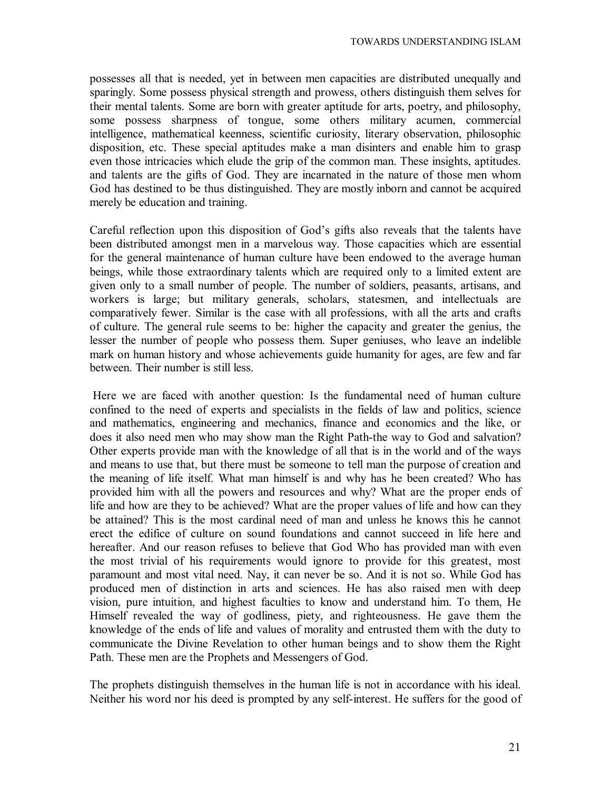possesses all that is needed, yet in between men capacities are distributed unequally and sparingly. Some possess physical strength and prowess, others distinguish them selves for their mental talents. Some are born with greater aptitude for arts, poetry, and philosophy, some possess sharpness of tongue, some others military acumen, commercial intelligence, mathematical keenness, scientific curiosity, literary observation, philosophic disposition, etc. These special aptitudes make a man disinters and enable him to grasp even those intricacies which elude the grip of the common man. These insights, aptitudes. and talents are the gifts of God. They are incarnated in the nature of those men whom God has destined to be thus distinguished. They are mostly inborn and cannot be acquired merely be education and training.

Careful reflection upon this disposition of God's gifts also reveals that the talents have been distributed amongst men in a marvelous way. Those capacities which are essential for the general maintenance of human culture have been endowed to the average human beings, while those extraordinary talents which are required only to a limited extent are given only to a small number of people. The number of soldiers, peasants, artisans, and workers is large; but military generals, scholars, statesmen, and intellectuals are comparatively fewer. Similar is the case with all professions, with all the arts and crafts of culture. The general rule seems to be: higher the capacity and greater the genius, the lesser the number of people who possess them. Super geniuses, who leave an indelible mark on human history and whose achievements guide humanity for ages, are few and far between. Their number is still less.

Here we are faced with another question: Is the fundamental need of human culture confined to the need of experts and specialists in the fields of law and politics, science and mathematics, engineering and mechanics, finance and economics and the like, or does it also need men who may show man the Right Path-the way to God and salvation? Other experts provide man with the knowledge of all that is in the world and of the ways and means to use that, but there must be someone to tell man the purpose of creation and the meaning of life itself. What man himself is and why has he been created? Who has provided him with all the powers and resources and why? What are the proper ends of life and how are they to be achieved? What are the proper values of life and how can they be attained? This is the most cardinal need of man and unless he knows this he cannot erect the edifice of culture on sound foundations and cannot succeed in life here and hereafter. And our reason refuses to believe that God Who has provided man with even the most trivial of his requirements would ignore to provide for this greatest, most paramount and most vital need. Nay, it can never be so. And it is not so. While God has produced men of distinction in arts and sciences. He has also raised men with deep vision, pure intuition, and highest faculties to know and understand him. To them, He Himself revealed the way of godliness, piety, and righteousness. He gave them the knowledge of the ends of life and values of morality and entrusted them with the duty to communicate the Divine Revelation to other human beings and to show them the Right Path. These men are the Prophets and Messengers of God.

The prophets distinguish themselves in the human life is not in accordance with his ideal. Neither his word nor his deed is prompted by any self-interest. He suffers for the good of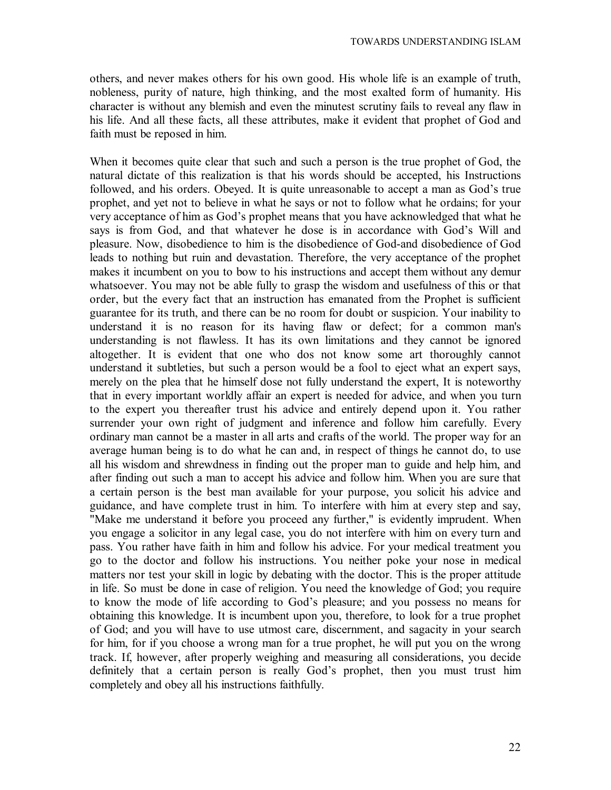others, and never makes others for his own good. His whole life is an example of truth, nobleness, purity of nature, high thinking, and the most exalted form of humanity. His character is without any blemish and even the minutest scrutiny fails to reveal any flaw in his life. And all these facts, all these attributes, make it evident that prophet of God and faith must be reposed in him.

When it becomes quite clear that such and such a person is the true prophet of God, the natural dictate of this realization is that his words should be accepted, his Instructions followed, and his orders. Obeyed. It is quite unreasonable to accept a man as God's true prophet, and yet not to believe in what he says or not to follow what he ordains; for your very acceptance of him as God's prophet means that you have acknowledged that what he says is from God, and that whatever he dose is in accordance with God's Will and pleasure. Now, disobedience to him is the disobedience of God-and disobedience of God leads to nothing but ruin and devastation. Therefore, the very acceptance of the prophet makes it incumbent on you to bow to his instructions and accept them without any demur whatsoever. You may not be able fully to grasp the wisdom and usefulness of this or that order, but the every fact that an instruction has emanated from the Prophet is sufficient guarantee for its truth, and there can be no room for doubt or suspicion. Your inability to understand it is no reason for its having flaw or defect; for a common man's understanding is not flawless. It has its own limitations and they cannot be ignored altogether. It is evident that one who dos not know some art thoroughly cannot understand it subtleties, but such a person would be a fool to eject what an expert says, merely on the plea that he himself dose not fully understand the expert, It is noteworthy that in every important worldly affair an expert is needed for advice, and when you turn to the expert you thereafter trust his advice and entirely depend upon it. You rather surrender your own right of judgment and inference and follow him carefully. Every ordinary man cannot be a master in all arts and crafts of the world. The proper way for an average human being is to do what he can and, in respect of things he cannot do, to use all his wisdom and shrewdness in finding out the proper man to guide and help him, and after finding out such a man to accept his advice and follow him. When you are sure that a certain person is the best man available for your purpose, you solicit his advice and guidance, and have complete trust in him. To interfere with him at every step and say, "Make me understand it before you proceed any further," is evidently imprudent. When you engage a solicitor in any legal case, you do not interfere with him on every turn and pass. You rather have faith in him and follow his advice. For your medical treatment you go to the doctor and follow his instructions. You neither poke your nose in medical matters nor test your skill in logic by debating with the doctor. This is the proper attitude in life. So must be done in case of religion. You need the knowledge of God; you require to know the mode of life according to God's pleasure; and you possess no means for obtaining this knowledge. It is incumbent upon you, therefore, to look for a true prophet of God; and you will have to use utmost care, discernment, and sagacity in your search for him, for if you choose a wrong man for a true prophet, he will put you on the wrong track. If, however, after properly weighing and measuring all considerations, you decide definitely that a certain person is really God's prophet, then you must trust him completely and obey all his instructions faithfully.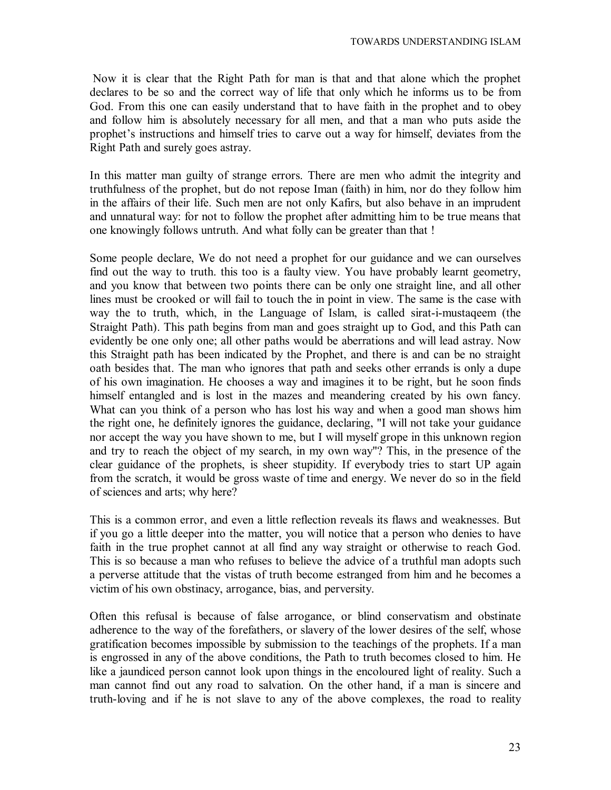Now it is clear that the Right Path for man is that and that alone which the prophet declares to be so and the correct way of life that only which he informs us to be from God. From this one can easily understand that to have faith in the prophet and to obey and follow him is absolutely necessary for all men, and that a man who puts aside the prophet's instructions and himself tries to carve out a way for himself, deviates from the Right Path and surely goes astray.

In this matter man guilty of strange errors. There are men who admit the integrity and truthfulness of the prophet, but do not repose Iman (faith) in him, nor do they follow him in the affairs of their life. Such men are not only Kafirs, but also behave in an imprudent and unnatural way: for not to follow the prophet after admitting him to be true means that one knowingly follows untruth. And what folly can be greater than that !

Some people declare, We do not need a prophet for our guidance and we can ourselves find out the way to truth. this too is a faulty view. You have probably learnt geometry, and you know that between two points there can be only one straight line, and all other lines must be crooked or will fail to touch the in point in view. The same is the case with way the to truth, which, in the Language of Islam, is called sirat-i-mustaqeem (the Straight Path). This path begins from man and goes straight up to God, and this Path can evidently be one only one; all other paths would be aberrations and will lead astray. Now this Straight path has been indicated by the Prophet, and there is and can be no straight oath besides that. The man who ignores that path and seeks other errands is only a dupe of his own imagination. He chooses a way and imagines it to be right, but he soon finds himself entangled and is lost in the mazes and meandering created by his own fancy. What can you think of a person who has lost his way and when a good man shows him the right one, he definitely ignores the guidance, declaring, "I will not take your guidance nor accept the way you have shown to me, but I will myself grope in this unknown region and try to reach the object of my search, in my own way"? This, in the presence of the clear guidance of the prophets, is sheer stupidity. If everybody tries to start UP again from the scratch, it would be gross waste of time and energy. We never do so in the field of sciences and arts; why here?

This is a common error, and even a little reflection reveals its flaws and weaknesses. But if you go a little deeper into the matter, you will notice that a person who denies to have faith in the true prophet cannot at all find any way straight or otherwise to reach God. This is so because a man who refuses to believe the advice of a truthful man adopts such a perverse attitude that the vistas of truth become estranged from him and he becomes a victim of his own obstinacy, arrogance, bias, and perversity.

Often this refusal is because of false arrogance, or blind conservatism and obstinate adherence to the way of the forefathers, or slavery of the lower desires of the self, whose gratification becomes impossible by submission to the teachings of the prophets. If a man is engrossed in any of the above conditions, the Path to truth becomes closed to him. He like a jaundiced person cannot look upon things in the encoloured light of reality. Such a man cannot find out any road to salvation. On the other hand, if a man is sincere and truth-loving and if he is not slave to any of the above complexes, the road to reality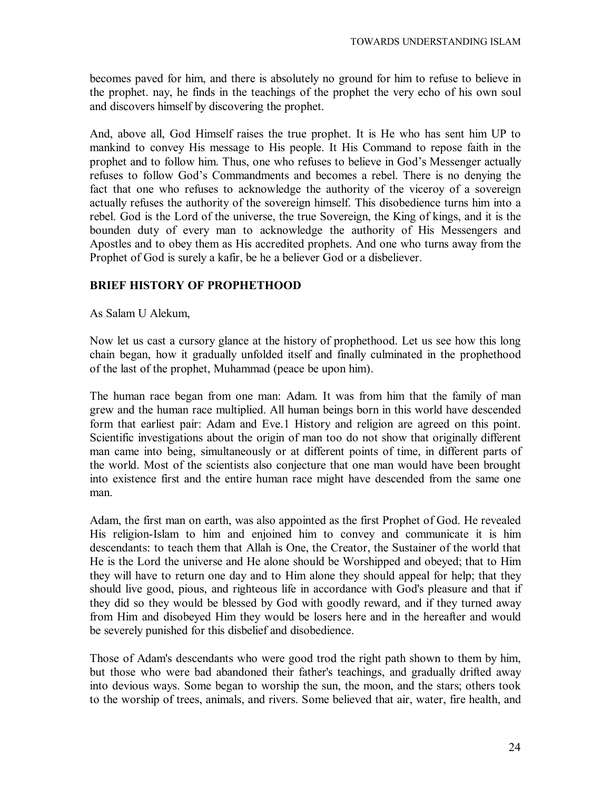becomes paved for him, and there is absolutely no ground for him to refuse to believe in the prophet. nay, he finds in the teachings of the prophet the very echo of his own soul and discovers himself by discovering the prophet.

And, above all, God Himself raises the true prophet. It is He who has sent him UP to mankind to convey His message to His people. It His Command to repose faith in the prophet and to follow him. Thus, one who refuses to believe in God's Messenger actually refuses to follow God's Commandments and becomes a rebel. There is no denying the fact that one who refuses to acknowledge the authority of the viceroy of a sovereign actually refuses the authority of the sovereign himself. This disobedience turns him into a rebel. God is the Lord of the universe, the true Sovereign, the King of kings, and it is the bounden duty of every man to acknowledge the authority of His Messengers and Apostles and to obey them as His accredited prophets. And one who turns away from the Prophet of God is surely a kafir, be he a believer God or a disbeliever.

# **BRIEF HISTORY OF PROPHETHOOD**

As Salam U Alekum,

Now let us cast a cursory glance at the history of prophethood. Let us see how this long chain began, how it gradually unfolded itself and finally culminated in the prophethood of the last of the prophet, Muhammad (peace be upon him).

The human race began from one man: Adam. It was from him that the family of man grew and the human race multiplied. All human beings born in this world have descended form that earliest pair: Adam and Eve.1 History and religion are agreed on this point. Scientific investigations about the origin of man too do not show that originally different man came into being, simultaneously or at different points of time, in different parts of the world. Most of the scientists also conjecture that one man would have been brought into existence first and the entire human race might have descended from the same one man.

Adam, the first man on earth, was also appointed as the first Prophet of God. He revealed His religion-Islam to him and enjoined him to convey and communicate it is him descendants: to teach them that Allah is One, the Creator, the Sustainer of the world that He is the Lord the universe and He alone should be Worshipped and obeyed; that to Him they will have to return one day and to Him alone they should appeal for help; that they should live good, pious, and righteous life in accordance with God's pleasure and that if they did so they would be blessed by God with goodly reward, and if they turned away from Him and disobeyed Him they would be losers here and in the hereafter and would be severely punished for this disbelief and disobedience.

Those of Adam's descendants who were good trod the right path shown to them by him, but those who were bad abandoned their father's teachings, and gradually drifted away into devious ways. Some began to worship the sun, the moon, and the stars; others took to the worship of trees, animals, and rivers. Some believed that air, water, fire health, and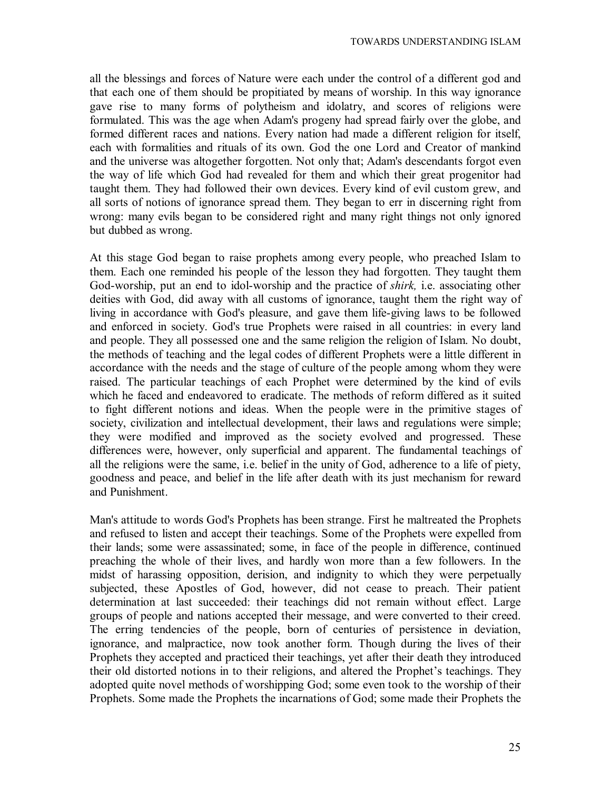all the blessings and forces of Nature were each under the control of a different god and that each one of them should be propitiated by means of worship. In this way ignorance gave rise to many forms of polytheism and idolatry, and scores of religions were formulated. This was the age when Adam's progeny had spread fairly over the globe, and formed different races and nations. Every nation had made a different religion for itself, each with formalities and rituals of its own. God the one Lord and Creator of mankind and the universe was altogether forgotten. Not only that; Adam's descendants forgot even the way of life which God had revealed for them and which their great progenitor had taught them. They had followed their own devices. Every kind of evil custom grew, and all sorts of notions of ignorance spread them. They began to err in discerning right from wrong: many evils began to be considered right and many right things not only ignored but dubbed as wrong.

At this stage God began to raise prophets among every people, who preached Islam to them. Each one reminded his people of the lesson they had forgotten. They taught them God-worship, put an end to idol-worship and the practice of *shirk,* i.e. associating other deities with God, did away with all customs of ignorance, taught them the right way of living in accordance with God's pleasure, and gave them life-giving laws to be followed and enforced in society. God's true Prophets were raised in all countries: in every land and people. They all possessed one and the same religion the religion of Islam. No doubt, the methods of teaching and the legal codes of different Prophets were a little different in accordance with the needs and the stage of culture of the people among whom they were raised. The particular teachings of each Prophet were determined by the kind of evils which he faced and endeavored to eradicate. The methods of reform differed as it suited to fight different notions and ideas. When the people were in the primitive stages of society, civilization and intellectual development, their laws and regulations were simple; they were modified and improved as the society evolved and progressed. These differences were, however, only superficial and apparent. The fundamental teachings of all the religions were the same, i.e. belief in the unity of God, adherence to a life of piety, goodness and peace, and belief in the life after death with its just mechanism for reward and Punishment.

Man's attitude to words God's Prophets has been strange. First he maltreated the Prophets and refused to listen and accept their teachings. Some of the Prophets were expelled from their lands; some were assassinated; some, in face of the people in difference, continued preaching the whole of their lives, and hardly won more than a few followers. In the midst of harassing opposition, derision, and indignity to which they were perpetually subjected, these Apostles of God, however, did not cease to preach. Their patient determination at last succeeded: their teachings did not remain without effect. Large groups of people and nations accepted their message, and were converted to their creed. The erring tendencies of the people, born of centuries of persistence in deviation, ignorance, and malpractice, now took another form. Though during the lives of their Prophets they accepted and practiced their teachings, yet after their death they introduced their old distorted notions in to their religions, and altered the Prophet's teachings. They adopted quite novel methods of worshipping God; some even took to the worship of their Prophets. Some made the Prophets the incarnations of God; some made their Prophets the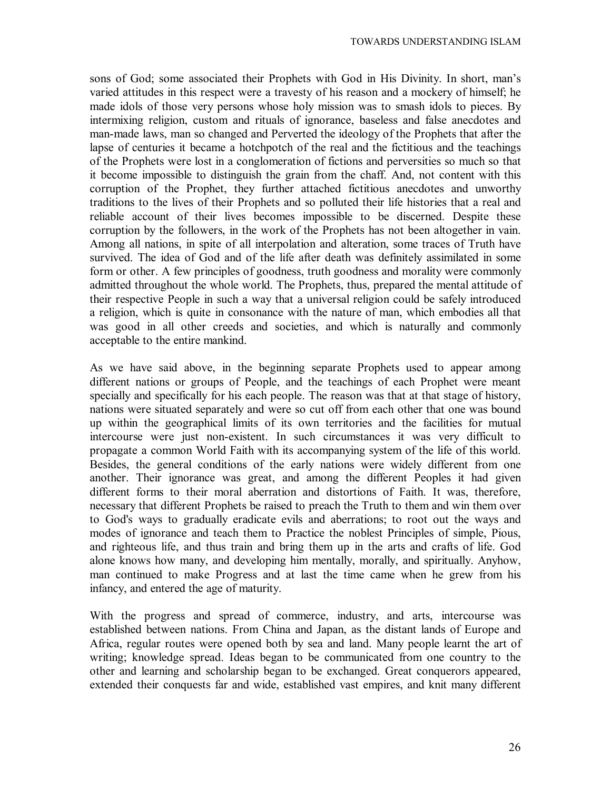sons of God; some associated their Prophets with God in His Divinity. In short, man's varied attitudes in this respect were a travesty of his reason and a mockery of himself; he made idols of those very persons whose holy mission was to smash idols to pieces. By intermixing religion, custom and rituals of ignorance, baseless and false anecdotes and man-made laws, man so changed and Perverted the ideology of the Prophets that after the lapse of centuries it became a hotchpotch of the real and the fictitious and the teachings of the Prophets were lost in a conglomeration of fictions and perversities so much so that it become impossible to distinguish the grain from the chaff. And, not content with this corruption of the Prophet, they further attached fictitious anecdotes and unworthy traditions to the lives of their Prophets and so polluted their life histories that a real and reliable account of their lives becomes impossible to be discerned. Despite these corruption by the followers, in the work of the Prophets has not been altogether in vain. Among all nations, in spite of all interpolation and alteration, some traces of Truth have survived. The idea of God and of the life after death was definitely assimilated in some form or other. A few principles of goodness, truth goodness and morality were commonly admitted throughout the whole world. The Prophets, thus, prepared the mental attitude of their respective People in such a way that a universal religion could be safely introduced a religion, which is quite in consonance with the nature of man, which embodies all that was good in all other creeds and societies, and which is naturally and commonly acceptable to the entire mankind.

As we have said above, in the beginning separate Prophets used to appear among different nations or groups of People, and the teachings of each Prophet were meant specially and specifically for his each people. The reason was that at that stage of history, nations were situated separately and were so cut off from each other that one was bound up within the geographical limits of its own territories and the facilities for mutual intercourse were just non-existent. In such circumstances it was very difficult to propagate a common World Faith with its accompanying system of the life of this world. Besides, the general conditions of the early nations were widely different from one another. Their ignorance was great, and among the different Peoples it had given different forms to their moral aberration and distortions of Faith. It was, therefore, necessary that different Prophets be raised to preach the Truth to them and win them over to God's ways to gradually eradicate evils and aberrations; to root out the ways and modes of ignorance and teach them to Practice the noblest Principles of simple, Pious, and righteous life, and thus train and bring them up in the arts and crafts of life. God alone knows how many, and developing him mentally, morally, and spiritually. Anyhow, man continued to make Progress and at last the time came when he grew from his infancy, and entered the age of maturity.

With the progress and spread of commerce, industry, and arts, intercourse was established between nations. From China and Japan, as the distant lands of Europe and Africa, regular routes were opened both by sea and land. Many people learnt the art of writing; knowledge spread. Ideas began to be communicated from one country to the other and learning and scholarship began to be exchanged. Great conquerors appeared, extended their conquests far and wide, established vast empires, and knit many different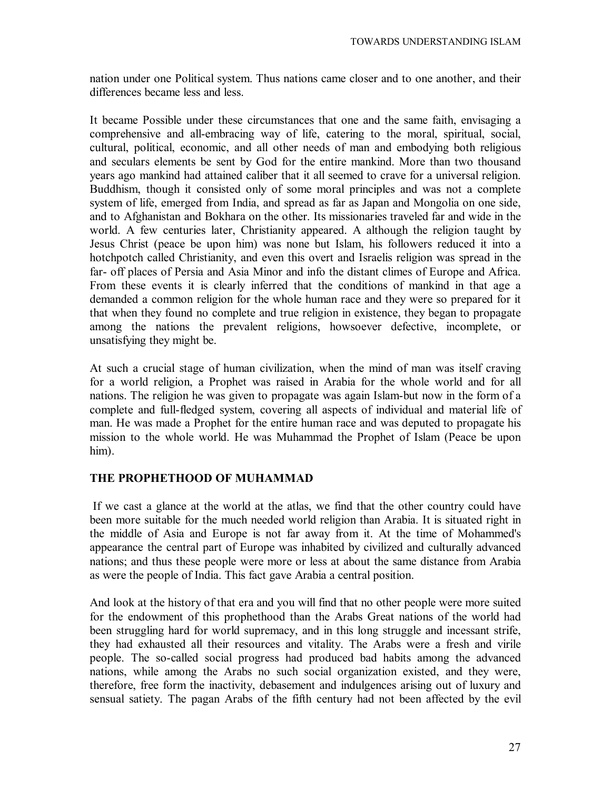nation under one Political system. Thus nations came closer and to one another, and their differences became less and less.

It became Possible under these circumstances that one and the same faith, envisaging a comprehensive and all-embracing way of life, catering to the moral, spiritual, social, cultural, political, economic, and all other needs of man and embodying both religious and seculars elements be sent by God for the entire mankind. More than two thousand years ago mankind had attained caliber that it all seemed to crave for a universal religion. Buddhism, though it consisted only of some moral principles and was not a complete system of life, emerged from India, and spread as far as Japan and Mongolia on one side, and to Afghanistan and Bokhara on the other. Its missionaries traveled far and wide in the world. A few centuries later, Christianity appeared. A although the religion taught by Jesus Christ (peace be upon him) was none but Islam, his followers reduced it into a hotchpotch called Christianity, and even this overt and Israelis religion was spread in the far- off places of Persia and Asia Minor and info the distant climes of Europe and Africa. From these events it is clearly inferred that the conditions of mankind in that age a demanded a common religion for the whole human race and they were so prepared for it that when they found no complete and true religion in existence, they began to propagate among the nations the prevalent religions, howsoever defective, incomplete, or unsatisfying they might be.

At such a crucial stage of human civilization, when the mind of man was itself craving for a world religion, a Prophet was raised in Arabia for the whole world and for all nations. The religion he was given to propagate was again Islam-but now in the form of a complete and full-fledged system, covering all aspects of individual and material life of man. He was made a Prophet for the entire human race and was deputed to propagate his mission to the whole world. He was Muhammad the Prophet of Islam (Peace be upon him).

# **THE PROPHETHOOD OF MUHAMMAD**

If we cast a glance at the world at the atlas, we find that the other country could have been more suitable for the much needed world religion than Arabia. It is situated right in the middle of Asia and Europe is not far away from it. At the time of Mohammed's appearance the central part of Europe was inhabited by civilized and culturally advanced nations; and thus these people were more or less at about the same distance from Arabia as were the people of India. This fact gave Arabia a central position.

And look at the history of that era and you will find that no other people were more suited for the endowment of this prophethood than the Arabs Great nations of the world had been struggling hard for world supremacy, and in this long struggle and incessant strife, they had exhausted all their resources and vitality. The Arabs were a fresh and virile people. The so-called social progress had produced bad habits among the advanced nations, while among the Arabs no such social organization existed, and they were, therefore, free form the inactivity, debasement and indulgences arising out of luxury and sensual satiety. The pagan Arabs of the fifth century had not been affected by the evil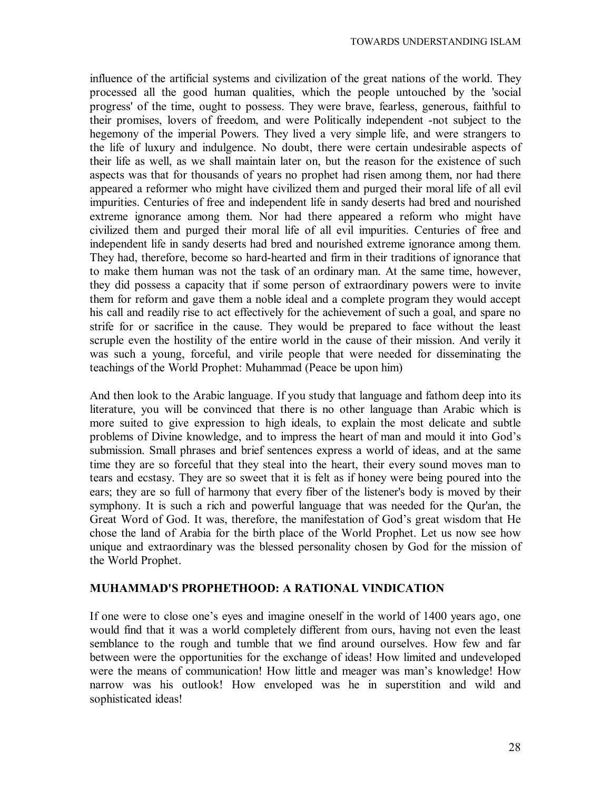influence of the artificial systems and civilization of the great nations of the world. They processed all the good human qualities, which the people untouched by the 'social progress' of the time, ought to possess. They were brave, fearless, generous, faithful to their promises, lovers of freedom, and were Politically independent -not subject to the hegemony of the imperial Powers. They lived a very simple life, and were strangers to the life of luxury and indulgence. No doubt, there were certain undesirable aspects of their life as well, as we shall maintain later on, but the reason for the existence of such aspects was that for thousands of years no prophet had risen among them, nor had there appeared a reformer who might have civilized them and purged their moral life of all evil impurities. Centuries of free and independent life in sandy deserts had bred and nourished extreme ignorance among them. Nor had there appeared a reform who might have civilized them and purged their moral life of all evil impurities. Centuries of free and independent life in sandy deserts had bred and nourished extreme ignorance among them. They had, therefore, become so hard-hearted and firm in their traditions of ignorance that to make them human was not the task of an ordinary man. At the same time, however, they did possess a capacity that if some person of extraordinary powers were to invite them for reform and gave them a noble ideal and a complete program they would accept his call and readily rise to act effectively for the achievement of such a goal, and spare no strife for or sacrifice in the cause. They would be prepared to face without the least scruple even the hostility of the entire world in the cause of their mission. And verily it was such a young, forceful, and virile people that were needed for disseminating the teachings of the World Prophet: Muhammad (Peace be upon him)

And then look to the Arabic language. If you study that language and fathom deep into its literature, you will be convinced that there is no other language than Arabic which is more suited to give expression to high ideals, to explain the most delicate and subtle problems of Divine knowledge, and to impress the heart of man and mould it into God's submission. Small phrases and brief sentences express a world of ideas, and at the same time they are so forceful that they steal into the heart, their every sound moves man to tears and ecstasy. They are so sweet that it is felt as if honey were being poured into the ears; they are so full of harmony that every fiber of the listener's body is moved by their symphony. It is such a rich and powerful language that was needed for the Qur'an, the Great Word of God. It was, therefore, the manifestation of God's great wisdom that He chose the land of Arabia for the birth place of the World Prophet. Let us now see how unique and extraordinary was the blessed personality chosen by God for the mission of the World Prophet.

#### **MUHAMMAD'S PROPHETHOOD: A RATIONAL VINDICATION**

If one were to close one's eyes and imagine oneself in the world of 1400 years ago, one would find that it was a world completely different from ours, having not even the least semblance to the rough and tumble that we find around ourselves. How few and far between were the opportunities for the exchange of ideas! How limited and undeveloped were the means of communication! How little and meager was man's knowledge! How narrow was his outlook! How enveloped was he in superstition and wild and sophisticated ideas!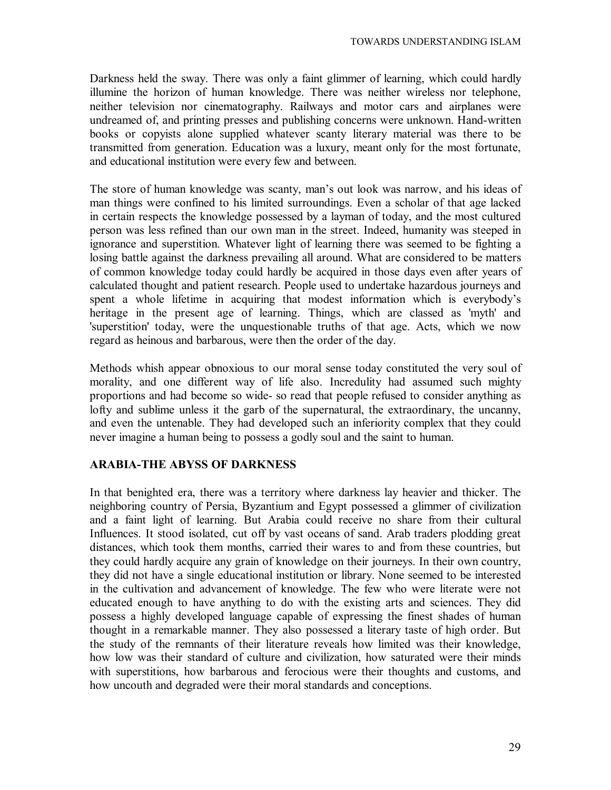Darkness held the sway. There was only a faint glimmer of learning, which could hardly illumine the horizon of human knowledge. There was neither wireless nor telephone, neither television nor cinematography. Railways and motor cars and airplanes were undreamed of, and printing presses and publishing concerns were unknown. Hand-written books or copyists alone supplied whatever scanty literary material was there to be transmitted from generation. Education was a luxury, meant only for the most fortunate, and educational institution were every few and between.

The store of human knowledge was scanty, man's out look was narrow, and his ideas of man things were confined to his limited surroundings. Even a scholar of that age lacked in certain respects the knowledge possessed by a layman of today, and the most cultured person was less refined than our own man in the street. Indeed, humanity was steeped in ignorance and superstition. Whatever light of learning there was seemed to be fighting a losing battle against the darkness prevailing all around. What are considered to be matters of common knowledge today could hardly be acquired in those days even after years of calculated thought and patient research. People used to undertake hazardous journeys and spent a whole lifetime in acquiring that modest information which is everybody's heritage in the present age of learning. Things, which are classed as 'myth' and 'superstition' today, were the unquestionable truths of that age. Acts, which we now regard as heinous and barbarous, were then the order of the day.

Methods whish appear obnoxious to our moral sense today constituted the very soul of morality, and one different way of life also. Incredulity had assumed such mighty proportions and had become so wide- so read that people refused to consider anything as lofty and sublime unless it the garb of the supernatural, the extraordinary, the uncanny, and even the untenable. They had developed such an inferiority complex that they could never imagine a human being to possess a godly soul and the saint to human.

# **ARABIA-THE ABYSS OF DARKNESS**

In that benighted era, there was a territory where darkness lay heavier and thicker. The neighboring country of Persia, Byzantium and Egypt possessed a glimmer of civilization and a faint light of learning. But Arabia could receive no share from their cultural Influences. It stood isolated, cut off by vast oceans of sand. Arab traders plodding great distances, which took them months, carried their wares to and from these countries, but they could hardly acquire any grain of knowledge on their journeys. In their own country, they did not have a single educational institution or library. None seemed to be interested in the cultivation and advancement of knowledge. The few who were literate were not educated enough to have anything to do with the existing arts and sciences. They did possess a highly developed language capable of expressing the finest shades of human thought in a remarkable manner. They also possessed a literary taste of high order. But the study of the remnants of their literature reveals how limited was their knowledge, how low was their standard of culture and civilization, how saturated were their minds with superstitions, how barbarous and ferocious were their thoughts and customs, and how uncouth and degraded were their moral standards and conceptions.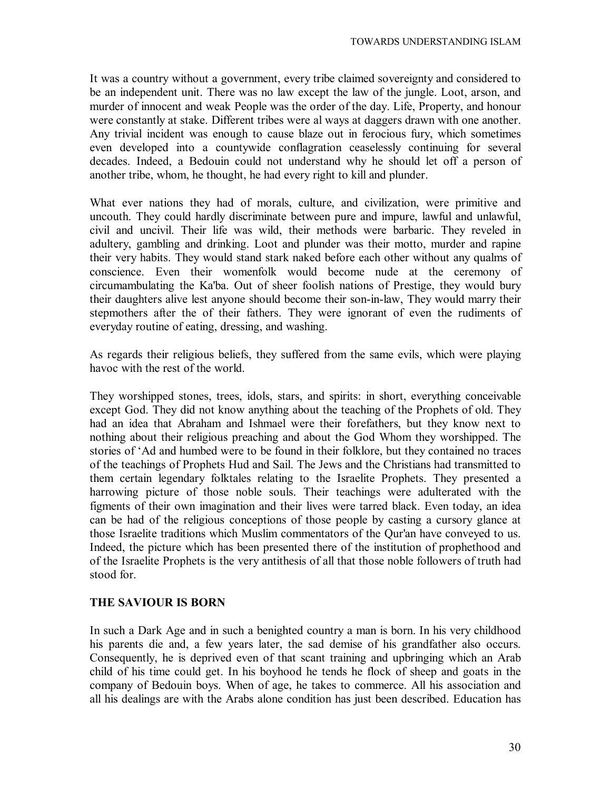It was a country without a government, every tribe claimed sovereignty and considered to be an independent unit. There was no law except the law of the jungle. Loot, arson, and murder of innocent and weak People was the order of the day. Life, Property, and honour were constantly at stake. Different tribes were al ways at daggers drawn with one another. Any trivial incident was enough to cause blaze out in ferocious fury, which sometimes even developed into a countywide conflagration ceaselessly continuing for several decades. Indeed, a Bedouin could not understand why he should let off a person of another tribe, whom, he thought, he had every right to kill and plunder.

What ever nations they had of morals, culture, and civilization, were primitive and uncouth. They could hardly discriminate between pure and impure, lawful and unlawful, civil and uncivil. Their life was wild, their methods were barbaric. They reveled in adultery, gambling and drinking. Loot and plunder was their motto, murder and rapine their very habits. They would stand stark naked before each other without any qualms of conscience. Even their womenfolk would become nude at the ceremony of circumambulating the Ka'ba. Out of sheer foolish nations of Prestige, they would bury their daughters alive lest anyone should become their son-in-law, They would marry their stepmothers after the of their fathers. They were ignorant of even the rudiments of everyday routine of eating, dressing, and washing.

As regards their religious beliefs, they suffered from the same evils, which were playing havoc with the rest of the world.

They worshipped stones, trees, idols, stars, and spirits: in short, everything conceivable except God. They did not know anything about the teaching of the Prophets of old. They had an idea that Abraham and Ishmael were their forefathers, but they know next to nothing about their religious preaching and about the God Whom they worshipped. The stories of 'Ad and humbed were to be found in their folklore, but they contained no traces of the teachings of Prophets Hud and Sail. The Jews and the Christians had transmitted to them certain legendary folktales relating to the Israelite Prophets. They presented a harrowing picture of those noble souls. Their teachings were adulterated with the figments of their own imagination and their lives were tarred black. Even today, an idea can be had of the religious conceptions of those people by casting a cursory glance at those Israelite traditions which Muslim commentators of the Qur'an have conveyed to us. Indeed, the picture which has been presented there of the institution of prophethood and of the Israelite Prophets is the very antithesis of all that those noble followers of truth had stood for.

# **THE SAVIOUR IS BORN**

In such a Dark Age and in such a benighted country a man is born. In his very childhood his parents die and, a few years later, the sad demise of his grandfather also occurs. Consequently, he is deprived even of that scant training and upbringing which an Arab child of his time could get. In his boyhood he tends he flock of sheep and goats in the company of Bedouin boys. When of age, he takes to commerce. All his association and all his dealings are with the Arabs alone condition has just been described. Education has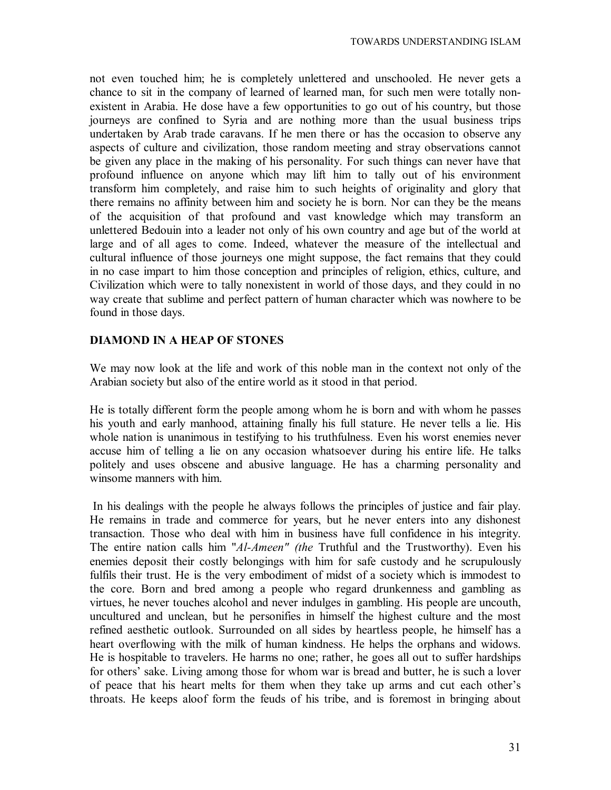not even touched him; he is completely unlettered and unschooled. He never gets a chance to sit in the company of learned of learned man, for such men were totally nonexistent in Arabia. He dose have a few opportunities to go out of his country, but those journeys are confined to Syria and are nothing more than the usual business trips undertaken by Arab trade caravans. If he men there or has the occasion to observe any aspects of culture and civilization, those random meeting and stray observations cannot be given any place in the making of his personality. For such things can never have that profound influence on anyone which may lift him to tally out of his environment transform him completely, and raise him to such heights of originality and glory that there remains no affinity between him and society he is born. Nor can they be the means of the acquisition of that profound and vast knowledge which may transform an unlettered Bedouin into a leader not only of his own country and age but of the world at large and of all ages to come. Indeed, whatever the measure of the intellectual and cultural influence of those journeys one might suppose, the fact remains that they could in no case impart to him those conception and principles of religion, ethics, culture, and Civilization which were to tally nonexistent in world of those days, and they could in no way create that sublime and perfect pattern of human character which was nowhere to be found in those days.

# **DIAMOND IN A HEAP OF STONES**

We may now look at the life and work of this noble man in the context not only of the Arabian society but also of the entire world as it stood in that period.

He is totally different form the people among whom he is born and with whom he passes his youth and early manhood, attaining finally his full stature. He never tells a lie. His whole nation is unanimous in testifying to his truthfulness. Even his worst enemies never accuse him of telling a lie on any occasion whatsoever during his entire life. He talks politely and uses obscene and abusive language. He has a charming personality and winsome manners with him.

In his dealings with the people he always follows the principles of justice and fair play. He remains in trade and commerce for years, but he never enters into any dishonest transaction. Those who deal with him in business have full confidence in his integrity. The entire nation calls him "*Al-Ameen" (the* Truthful and the Trustworthy). Even his enemies deposit their costly belongings with him for safe custody and he scrupulously fulfils their trust. He is the very embodiment of midst of a society which is immodest to the core. Born and bred among a people who regard drunkenness and gambling as virtues, he never touches alcohol and never indulges in gambling. His people are uncouth, uncultured and unclean, but he personifies in himself the highest culture and the most refined aesthetic outlook. Surrounded on all sides by heartless people, he himself has a heart overflowing with the milk of human kindness. He helps the orphans and widows. He is hospitable to travelers. He harms no one; rather, he goes all out to suffer hardships for others' sake. Living among those for whom war is bread and butter, he is such a lover of peace that his heart melts for them when they take up arms and cut each other's throats. He keeps aloof form the feuds of his tribe, and is foremost in bringing about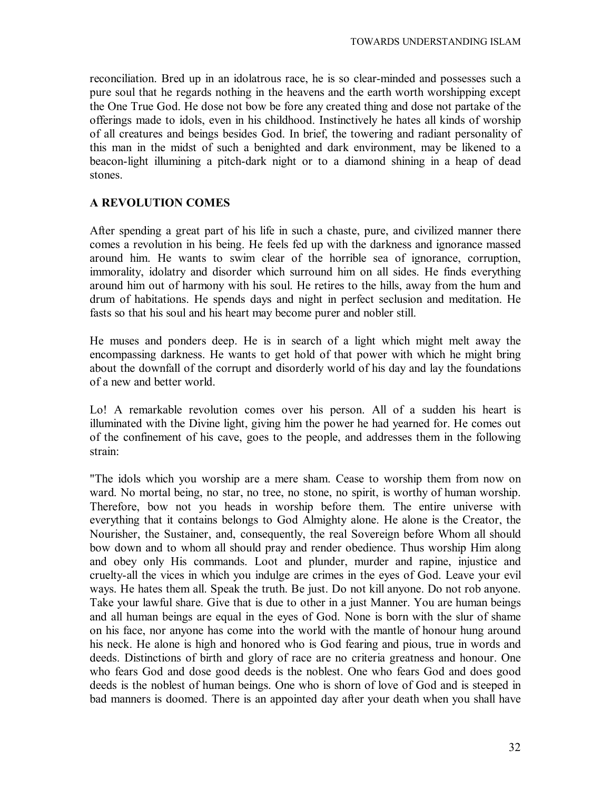reconciliation. Bred up in an idolatrous race, he is so clear-minded and possesses such a pure soul that he regards nothing in the heavens and the earth worth worshipping except the One True God. He dose not bow be fore any created thing and dose not partake of the offerings made to idols, even in his childhood. Instinctively he hates all kinds of worship of all creatures and beings besides God. In brief, the towering and radiant personality of this man in the midst of such a benighted and dark environment, may be likened to a beacon-light illumining a pitch-dark night or to a diamond shining in a heap of dead stones.

### **A REVOLUTION COMES**

After spending a great part of his life in such a chaste, pure, and civilized manner there comes a revolution in his being. He feels fed up with the darkness and ignorance massed around him. He wants to swim clear of the horrible sea of ignorance, corruption, immorality, idolatry and disorder which surround him on all sides. He finds everything around him out of harmony with his soul. He retires to the hills, away from the hum and drum of habitations. He spends days and night in perfect seclusion and meditation. He fasts so that his soul and his heart may become purer and nobler still.

He muses and ponders deep. He is in search of a light which might melt away the encompassing darkness. He wants to get hold of that power with which he might bring about the downfall of the corrupt and disorderly world of his day and lay the foundations of a new and better world.

Lo! A remarkable revolution comes over his person. All of a sudden his heart is illuminated with the Divine light, giving him the power he had yearned for. He comes out of the confinement of his cave, goes to the people, and addresses them in the following strain:

"The idols which you worship are a mere sham. Cease to worship them from now on ward. No mortal being, no star, no tree, no stone, no spirit, is worthy of human worship. Therefore, bow not you heads in worship before them. The entire universe with everything that it contains belongs to God Almighty alone. He alone is the Creator, the Nourisher, the Sustainer, and, consequently, the real Sovereign before Whom all should bow down and to whom all should pray and render obedience. Thus worship Him along and obey only His commands. Loot and plunder, murder and rapine, injustice and cruelty-all the vices in which you indulge are crimes in the eyes of God. Leave your evil ways. He hates them all. Speak the truth. Be just. Do not kill anyone. Do not rob anyone. Take your lawful share. Give that is due to other in a just Manner. You are human beings and all human beings are equal in the eyes of God. None is born with the slur of shame on his face, nor anyone has come into the world with the mantle of honour hung around his neck. He alone is high and honored who is God fearing and pious, true in words and deeds. Distinctions of birth and glory of race are no criteria greatness and honour. One who fears God and dose good deeds is the noblest. One who fears God and does good deeds is the noblest of human beings. One who is shorn of love of God and is steeped in bad manners is doomed. There is an appointed day after your death when you shall have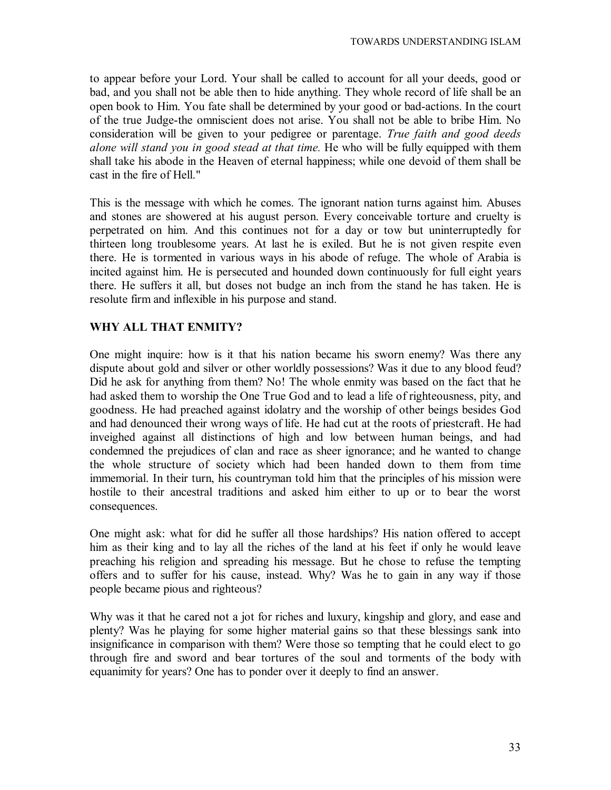to appear before your Lord. Your shall be called to account for all your deeds, good or bad, and you shall not be able then to hide anything. They whole record of life shall be an open book to Him. You fate shall be determined by your good or bad-actions. In the court of the true Judge-the omniscient does not arise. You shall not be able to bribe Him. No consideration will be given to your pedigree or parentage. *True faith and good deeds alone will stand you in good stead at that time.* He who will be fully equipped with them shall take his abode in the Heaven of eternal happiness; while one devoid of them shall be cast in the fire of Hell."

This is the message with which he comes. The ignorant nation turns against him. Abuses and stones are showered at his august person. Every conceivable torture and cruelty is perpetrated on him. And this continues not for a day or tow but uninterruptedly for thirteen long troublesome years. At last he is exiled. But he is not given respite even there. He is tormented in various ways in his abode of refuge. The whole of Arabia is incited against him. He is persecuted and hounded down continuously for full eight years there. He suffers it all, but doses not budge an inch from the stand he has taken. He is resolute firm and inflexible in his purpose and stand.

# **WHY ALL THAT ENMITY?**

One might inquire: how is it that his nation became his sworn enemy? Was there any dispute about gold and silver or other worldly possessions? Was it due to any blood feud? Did he ask for anything from them? No! The whole enmity was based on the fact that he had asked them to worship the One True God and to lead a life of righteousness, pity, and goodness. He had preached against idolatry and the worship of other beings besides God and had denounced their wrong ways of life. He had cut at the roots of priestcraft. He had inveighed against all distinctions of high and low between human beings, and had condemned the prejudices of clan and race as sheer ignorance; and he wanted to change the whole structure of society which had been handed down to them from time immemorial. In their turn, his countryman told him that the principles of his mission were hostile to their ancestral traditions and asked him either to up or to bear the worst consequences.

One might ask: what for did he suffer all those hardships? His nation offered to accept him as their king and to lay all the riches of the land at his feet if only he would leave preaching his religion and spreading his message. But he chose to refuse the tempting offers and to suffer for his cause, instead. Why? Was he to gain in any way if those people became pious and righteous?

Why was it that he cared not a jot for riches and luxury, kingship and glory, and ease and plenty? Was he playing for some higher material gains so that these blessings sank into insignificance in comparison with them? Were those so tempting that he could elect to go through fire and sword and bear tortures of the soul and torments of the body with equanimity for years? One has to ponder over it deeply to find an answer.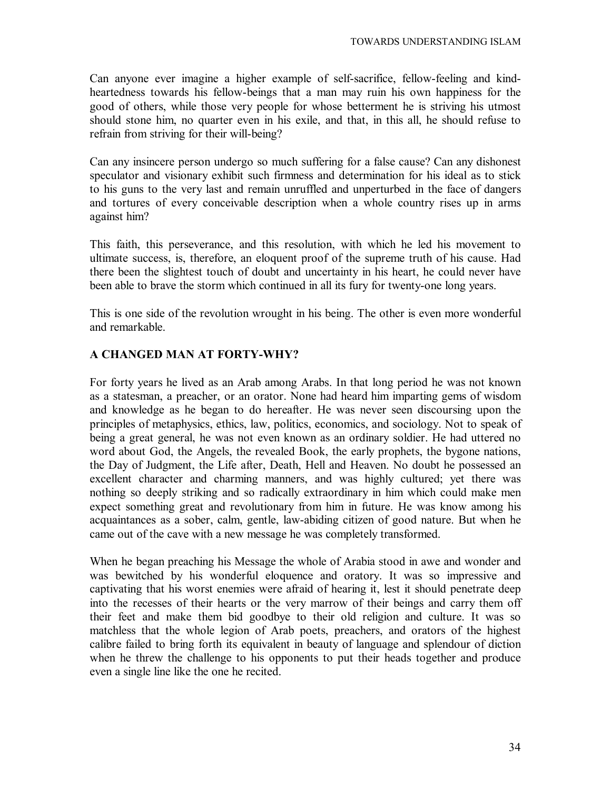Can anyone ever imagine a higher example of self-sacrifice, fellow-feeling and kindheartedness towards his fellow-beings that a man may ruin his own happiness for the good of others, while those very people for whose betterment he is striving his utmost should stone him, no quarter even in his exile, and that, in this all, he should refuse to refrain from striving for their will-being?

Can any insincere person undergo so much suffering for a false cause? Can any dishonest speculator and visionary exhibit such firmness and determination for his ideal as to stick to his guns to the very last and remain unruffled and unperturbed in the face of dangers and tortures of every conceivable description when a whole country rises up in arms against him?

This faith, this perseverance, and this resolution, with which he led his movement to ultimate success, is, therefore, an eloquent proof of the supreme truth of his cause. Had there been the slightest touch of doubt and uncertainty in his heart, he could never have been able to brave the storm which continued in all its fury for twenty-one long years.

This is one side of the revolution wrought in his being. The other is even more wonderful and remarkable.

# **A CHANGED MAN AT FORTY-WHY?**

For forty years he lived as an Arab among Arabs. In that long period he was not known as a statesman, a preacher, or an orator. None had heard him imparting gems of wisdom and knowledge as he began to do hereafter. He was never seen discoursing upon the principles of metaphysics, ethics, law, politics, economics, and sociology. Not to speak of being a great general, he was not even known as an ordinary soldier. He had uttered no word about God, the Angels, the revealed Book, the early prophets, the bygone nations, the Day of Judgment, the Life after, Death, Hell and Heaven. No doubt he possessed an excellent character and charming manners, and was highly cultured; yet there was nothing so deeply striking and so radically extraordinary in him which could make men expect something great and revolutionary from him in future. He was know among his acquaintances as a sober, calm, gentle, law-abiding citizen of good nature. But when he came out of the cave with a new message he was completely transformed.

When he began preaching his Message the whole of Arabia stood in awe and wonder and was bewitched by his wonderful eloquence and oratory. It was so impressive and captivating that his worst enemies were afraid of hearing it, lest it should penetrate deep into the recesses of their hearts or the very marrow of their beings and carry them off their feet and make them bid goodbye to their old religion and culture. It was so matchless that the whole legion of Arab poets, preachers, and orators of the highest calibre failed to bring forth its equivalent in beauty of language and splendour of diction when he threw the challenge to his opponents to put their heads together and produce even a single line like the one he recited.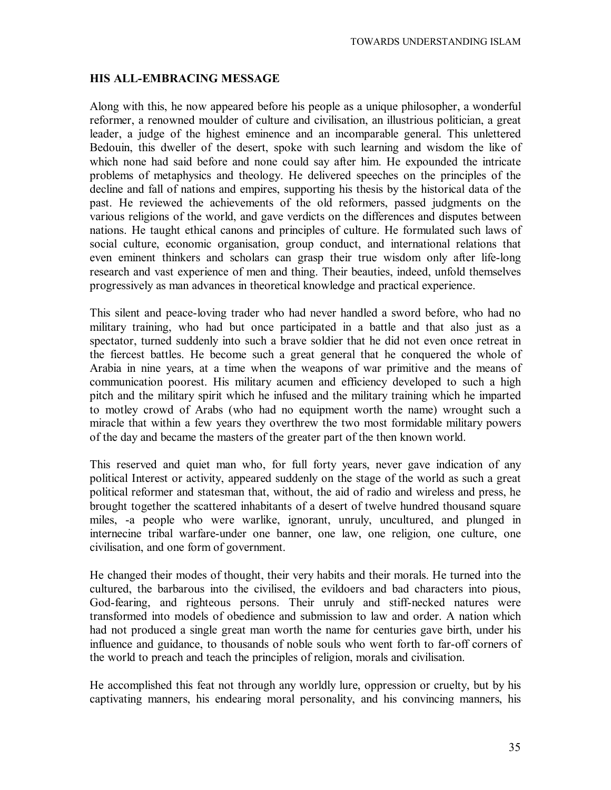# **HIS ALL-EMBRACING MESSAGE**

Along with this, he now appeared before his people as a unique philosopher, a wonderful reformer, a renowned moulder of culture and civilisation, an illustrious politician, a great leader, a judge of the highest eminence and an incomparable general. This unlettered Bedouin, this dweller of the desert, spoke with such learning and wisdom the like of which none had said before and none could say after him. He expounded the intricate problems of metaphysics and theology. He delivered speeches on the principles of the decline and fall of nations and empires, supporting his thesis by the historical data of the past. He reviewed the achievements of the old reformers, passed judgments on the various religions of the world, and gave verdicts on the differences and disputes between nations. He taught ethical canons and principles of culture. He formulated such laws of social culture, economic organisation, group conduct, and international relations that even eminent thinkers and scholars can grasp their true wisdom only after life-long research and vast experience of men and thing. Their beauties, indeed, unfold themselves progressively as man advances in theoretical knowledge and practical experience.

This silent and peace-loving trader who had never handled a sword before, who had no military training, who had but once participated in a battle and that also just as a spectator, turned suddenly into such a brave soldier that he did not even once retreat in the fiercest battles. He become such a great general that he conquered the whole of Arabia in nine years, at a time when the weapons of war primitive and the means of communication poorest. His military acumen and efficiency developed to such a high pitch and the military spirit which he infused and the military training which he imparted to motley crowd of Arabs (who had no equipment worth the name) wrought such a miracle that within a few years they overthrew the two most formidable military powers of the day and became the masters of the greater part of the then known world.

This reserved and quiet man who, for full forty years, never gave indication of any political Interest or activity, appeared suddenly on the stage of the world as such a great political reformer and statesman that, without, the aid of radio and wireless and press, he brought together the scattered inhabitants of a desert of twelve hundred thousand square miles, -a people who were warlike, ignorant, unruly, uncultured, and plunged in internecine tribal warfare-under one banner, one law, one religion, one culture, one civilisation, and one form of government.

He changed their modes of thought, their very habits and their morals. He turned into the cultured, the barbarous into the civilised, the evildoers and bad characters into pious, God-fearing, and righteous persons. Their unruly and stiff-necked natures were transformed into models of obedience and submission to law and order. A nation which had not produced a single great man worth the name for centuries gave birth, under his influence and guidance, to thousands of noble souls who went forth to far-off corners of the world to preach and teach the principles of religion, morals and civilisation.

He accomplished this feat not through any worldly lure, oppression or cruelty, but by his captivating manners, his endearing moral personality, and his convincing manners, his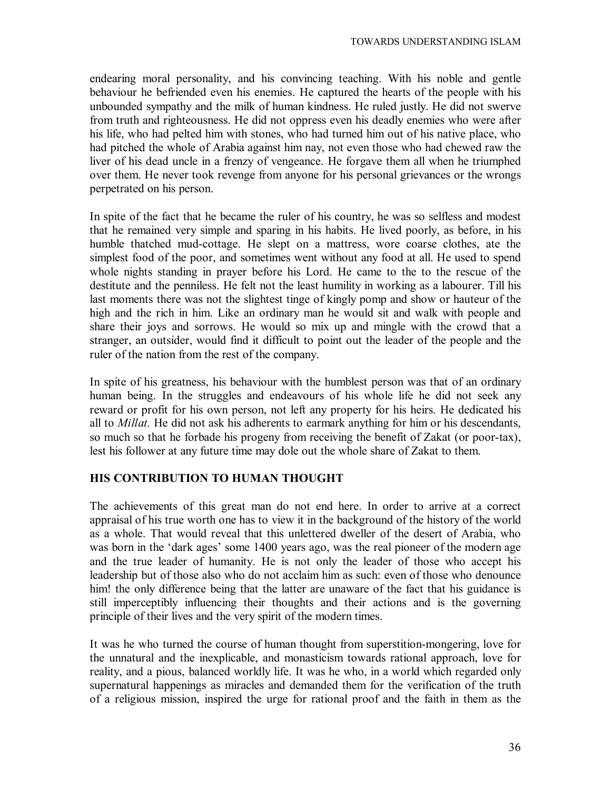endearing moral personality, and his convincing teaching. With his noble and gentle behaviour he befriended even his enemies. He captured the hearts of the people with his unbounded sympathy and the milk of human kindness. He ruled justly. He did not swerve from truth and righteousness. He did not oppress even his deadly enemies who were after his life, who had pelted him with stones, who had turned him out of his native place, who had pitched the whole of Arabia against him nay, not even those who had chewed raw the liver of his dead uncle in a frenzy of vengeance. He forgave them all when he triumphed over them. He never took revenge from anyone for his personal grievances or the wrongs perpetrated on his person.

In spite of the fact that he became the ruler of his country, he was so selfless and modest that he remained very simple and sparing in his habits. He lived poorly, as before, in his humble thatched mud-cottage. He slept on a mattress, wore coarse clothes, ate the simplest food of the poor, and sometimes went without any food at all. He used to spend whole nights standing in prayer before his Lord. He came to the to the rescue of the destitute and the penniless. He felt not the least humility in working as a labourer. Till his last moments there was not the slightest tinge of kingly pomp and show or hauteur of the high and the rich in him. Like an ordinary man he would sit and walk with people and share their joys and sorrows. He would so mix up and mingle with the crowd that a stranger, an outsider, would find it difficult to point out the leader of the people and the ruler of the nation from the rest of the company.

In spite of his greatness, his behaviour with the humblest person was that of an ordinary human being. In the struggles and endeavours of his whole life he did not seek any reward or profit for his own person, not left any property for his heirs. He dedicated his all to *Millat.* He did not ask his adherents to earmark anything for him or his descendants, so much so that he forbade his progeny from receiving the benefit of Zakat (or poor-tax), lest his follower at any future time may dole out the whole share of Zakat to them.

# **HIS CONTRIBUTION TO HUMAN THOUGHT**

The achievements of this great man do not end here. In order to arrive at a correct appraisal of his true worth one has to view it in the background of the history of the world as a whole. That would reveal that this unlettered dweller of the desert of Arabia, who was born in the 'dark ages' some 1400 years ago, was the real pioneer of the modern age and the true leader of humanity. He is not only the leader of those who accept his leadership but of those also who do not acclaim him as such: even of those who denounce him! the only difference being that the latter are unaware of the fact that his guidance is still imperceptibly influencing their thoughts and their actions and is the governing principle of their lives and the very spirit of the modern times.

It was he who turned the course of human thought from superstition-mongering, love for the unnatural and the inexplicable, and monasticism towards rational approach, love for reality, and a pious, balanced worldly life. It was he who, in a world which regarded only supernatural happenings as miracles and demanded them for the verification of the truth of a religious mission, inspired the urge for rational proof and the faith in them as the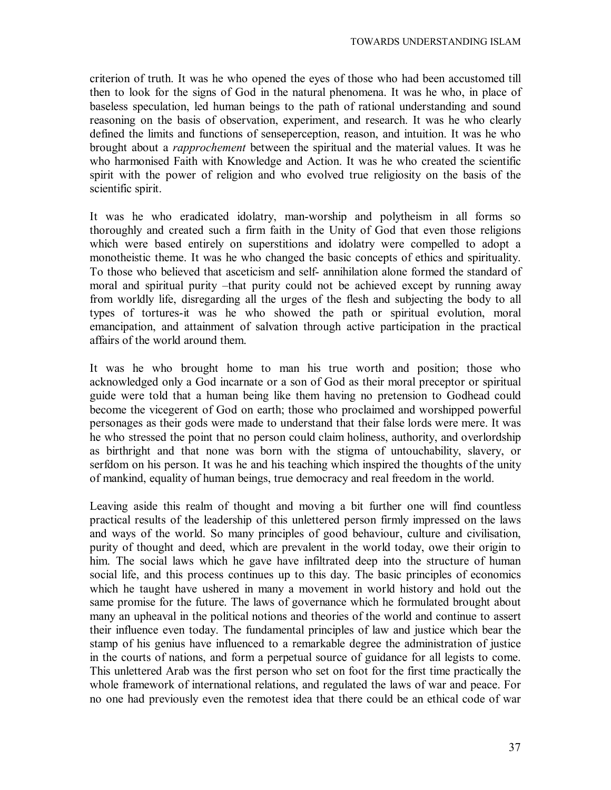criterion of truth. It was he who opened the eyes of those who had been accustomed till then to look for the signs of God in the natural phenomena. It was he who, in place of baseless speculation, led human beings to the path of rational understanding and sound reasoning on the basis of observation, experiment, and research. It was he who clearly defined the limits and functions of senseperception, reason, and intuition. It was he who brought about a *rapprochement* between the spiritual and the material values. It was he who harmonised Faith with Knowledge and Action. It was he who created the scientific spirit with the power of religion and who evolved true religiosity on the basis of the scientific spirit.

It was he who eradicated idolatry, man-worship and polytheism in all forms so thoroughly and created such a firm faith in the Unity of God that even those religions which were based entirely on superstitions and idolatry were compelled to adopt a monotheistic theme. It was he who changed the basic concepts of ethics and spirituality. To those who believed that asceticism and self- annihilation alone formed the standard of moral and spiritual purity –that purity could not be achieved except by running away from worldly life, disregarding all the urges of the flesh and subjecting the body to all types of tortures-it was he who showed the path or spiritual evolution, moral emancipation, and attainment of salvation through active participation in the practical affairs of the world around them.

It was he who brought home to man his true worth and position; those who acknowledged only a God incarnate or a son of God as their moral preceptor or spiritual guide were told that a human being like them having no pretension to Godhead could become the vicegerent of God on earth; those who proclaimed and worshipped powerful personages as their gods were made to understand that their false lords were mere. It was he who stressed the point that no person could claim holiness, authority, and overlordship as birthright and that none was born with the stigma of untouchability, slavery, or serfdom on his person. It was he and his teaching which inspired the thoughts of the unity of mankind, equality of human beings, true democracy and real freedom in the world.

Leaving aside this realm of thought and moving a bit further one will find countless practical results of the leadership of this unlettered person firmly impressed on the laws and ways of the world. So many principles of good behaviour, culture and civilisation, purity of thought and deed, which are prevalent in the world today, owe their origin to him. The social laws which he gave have infiltrated deep into the structure of human social life, and this process continues up to this day. The basic principles of economics which he taught have ushered in many a movement in world history and hold out the same promise for the future. The laws of governance which he formulated brought about many an upheaval in the political notions and theories of the world and continue to assert their influence even today. The fundamental principles of law and justice which bear the stamp of his genius have influenced to a remarkable degree the administration of justice in the courts of nations, and form a perpetual source of guidance for all legists to come. This unlettered Arab was the first person who set on foot for the first time practically the whole framework of international relations, and regulated the laws of war and peace. For no one had previously even the remotest idea that there could be an ethical code of war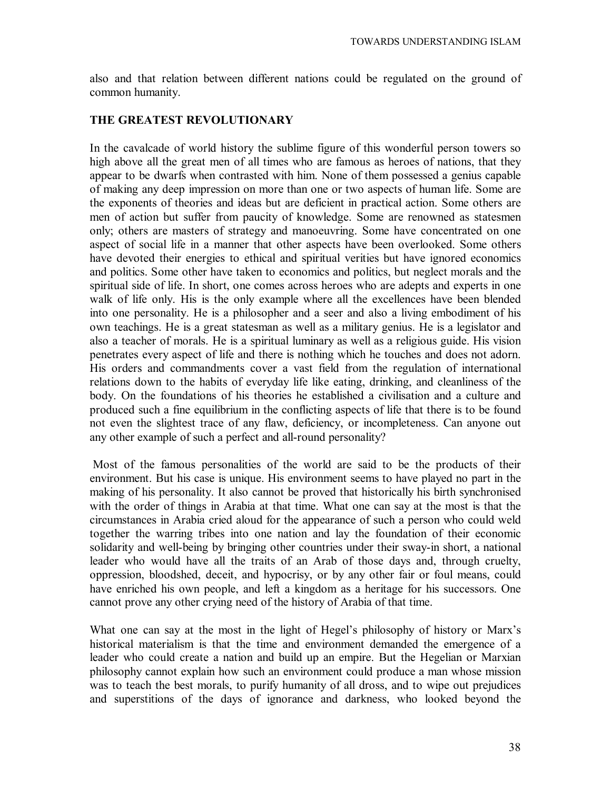also and that relation between different nations could be regulated on the ground of common humanity.

## **THE GREATEST REVOLUTIONARY**

In the cavalcade of world history the sublime figure of this wonderful person towers so high above all the great men of all times who are famous as heroes of nations, that they appear to be dwarfs when contrasted with him. None of them possessed a genius capable of making any deep impression on more than one or two aspects of human life. Some are the exponents of theories and ideas but are deficient in practical action. Some others are men of action but suffer from paucity of knowledge. Some are renowned as statesmen only; others are masters of strategy and manoeuvring. Some have concentrated on one aspect of social life in a manner that other aspects have been overlooked. Some others have devoted their energies to ethical and spiritual verities but have ignored economics and politics. Some other have taken to economics and politics, but neglect morals and the spiritual side of life. In short, one comes across heroes who are adepts and experts in one walk of life only. His is the only example where all the excellences have been blended into one personality. He is a philosopher and a seer and also a living embodiment of his own teachings. He is a great statesman as well as a military genius. He is a legislator and also a teacher of morals. He is a spiritual luminary as well as a religious guide. His vision penetrates every aspect of life and there is nothing which he touches and does not adorn. His orders and commandments cover a vast field from the regulation of international relations down to the habits of everyday life like eating, drinking, and cleanliness of the body. On the foundations of his theories he established a civilisation and a culture and produced such a fine equilibrium in the conflicting aspects of life that there is to be found not even the slightest trace of any flaw, deficiency, or incompleteness. Can anyone out any other example of such a perfect and all-round personality?

Most of the famous personalities of the world are said to be the products of their environment. But his case is unique. His environment seems to have played no part in the making of his personality. It also cannot be proved that historically his birth synchronised with the order of things in Arabia at that time. What one can say at the most is that the circumstances in Arabia cried aloud for the appearance of such a person who could weld together the warring tribes into one nation and lay the foundation of their economic solidarity and well-being by bringing other countries under their sway-in short, a national leader who would have all the traits of an Arab of those days and, through cruelty, oppression, bloodshed, deceit, and hypocrisy, or by any other fair or foul means, could have enriched his own people, and left a kingdom as a heritage for his successors. One cannot prove any other crying need of the history of Arabia of that time.

What one can say at the most in the light of Hegel's philosophy of history or Marx's historical materialism is that the time and environment demanded the emergence of a leader who could create a nation and build up an empire. But the Hegelian or Marxian philosophy cannot explain how such an environment could produce a man whose mission was to teach the best morals, to purify humanity of all dross, and to wipe out prejudices and superstitions of the days of ignorance and darkness, who looked beyond the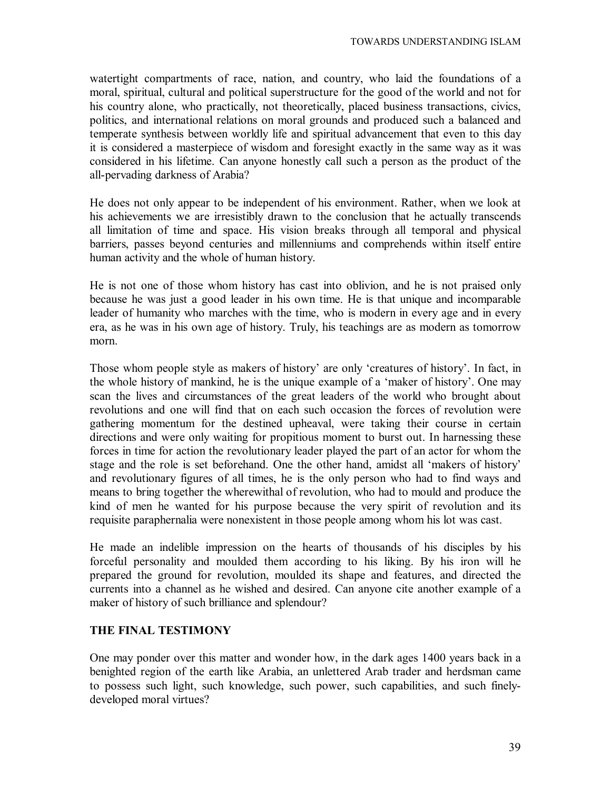watertight compartments of race, nation, and country, who laid the foundations of a moral, spiritual, cultural and political superstructure for the good of the world and not for his country alone, who practically, not theoretically, placed business transactions, civics, politics, and international relations on moral grounds and produced such a balanced and temperate synthesis between worldly life and spiritual advancement that even to this day it is considered a masterpiece of wisdom and foresight exactly in the same way as it was considered in his lifetime. Can anyone honestly call such a person as the product of the all-pervading darkness of Arabia?

He does not only appear to be independent of his environment. Rather, when we look at his achievements we are irresistibly drawn to the conclusion that he actually transcends all limitation of time and space. His vision breaks through all temporal and physical barriers, passes beyond centuries and millenniums and comprehends within itself entire human activity and the whole of human history.

He is not one of those whom history has cast into oblivion, and he is not praised only because he was just a good leader in his own time. He is that unique and incomparable leader of humanity who marches with the time, who is modern in every age and in every era, as he was in his own age of history. Truly, his teachings are as modern as tomorrow morn.

Those whom people style as makers of history' are only 'creatures of history'. In fact, in the whole history of mankind, he is the unique example of a 'maker of history'. One may scan the lives and circumstances of the great leaders of the world who brought about revolutions and one will find that on each such occasion the forces of revolution were gathering momentum for the destined upheaval, were taking their course in certain directions and were only waiting for propitious moment to burst out. In harnessing these forces in time for action the revolutionary leader played the part of an actor for whom the stage and the role is set beforehand. One the other hand, amidst all 'makers of history' and revolutionary figures of all times, he is the only person who had to find ways and means to bring together the wherewithal of revolution, who had to mould and produce the kind of men he wanted for his purpose because the very spirit of revolution and its requisite paraphernalia were nonexistent in those people among whom his lot was cast.

He made an indelible impression on the hearts of thousands of his disciples by his forceful personality and moulded them according to his liking. By his iron will he prepared the ground for revolution, moulded its shape and features, and directed the currents into a channel as he wished and desired. Can anyone cite another example of a maker of history of such brilliance and splendour?

## **THE FINAL TESTIMONY**

One may ponder over this matter and wonder how, in the dark ages 1400 years back in a benighted region of the earth like Arabia, an unlettered Arab trader and herdsman came to possess such light, such knowledge, such power, such capabilities, and such finelydeveloped moral virtues?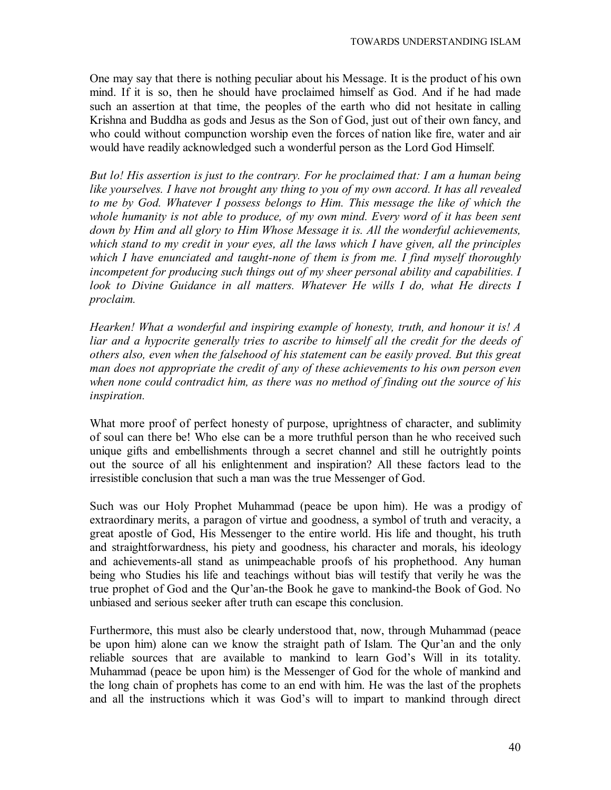One may say that there is nothing peculiar about his Message. It is the product of his own mind. If it is so, then he should have proclaimed himself as God. And if he had made such an assertion at that time, the peoples of the earth who did not hesitate in calling Krishna and Buddha as gods and Jesus as the Son of God, just out of their own fancy, and who could without compunction worship even the forces of nation like fire, water and air would have readily acknowledged such a wonderful person as the Lord God Himself.

*But lo! His assertion is just to the contrary. For he proclaimed that: I am a human being like yourselves. I have not brought any thing to you of my own accord. It has all revealed*  to me by God. Whatever I possess belongs to Him. This message the like of which the *whole humanity is not able to produce, of my own mind. Every word of it has been sent*  down by Him and all glory to Him Whose Message it is. All the wonderful achievements, *which stand to my credit in your eyes, all the laws which I have given, all the principles which I have enunciated and taught-none of them is from me. I find myself thoroughly incompetent for producing such things out of my sheer personal ability and capabilities. I*  look to Divine Guidance in all matters. Whatever He wills I do, what He directs I *proclaim.*

*Hearken! What a wonderful and inspiring example of honesty, truth, and honour it is! A*  liar and a hypocrite generally tries to ascribe to himself all the credit for the deeds of *others also, even when the falsehood of his statement can be easily proved. But this great man does not appropriate the credit of any of these achievements to his own person even when none could contradict him, as there was no method of finding out the source of his inspiration.*

What more proof of perfect honesty of purpose, uprightness of character, and sublimity of soul can there be! Who else can be a more truthful person than he who received such unique gifts and embellishments through a secret channel and still he outrightly points out the source of all his enlightenment and inspiration? All these factors lead to the irresistible conclusion that such a man was the true Messenger of God.

Such was our Holy Prophet Muhammad (peace be upon him). He was a prodigy of extraordinary merits, a paragon of virtue and goodness, a symbol of truth and veracity, a great apostle of God, His Messenger to the entire world. His life and thought, his truth and straightforwardness, his piety and goodness, his character and morals, his ideology and achievements-all stand as unimpeachable proofs of his prophethood. Any human being who Studies his life and teachings without bias will testify that verily he was the true prophet of God and the Qur'an-the Book he gave to mankind-the Book of God. No unbiased and serious seeker after truth can escape this conclusion.

Furthermore, this must also be clearly understood that, now, through Muhammad (peace be upon him) alone can we know the straight path of Islam. The Qur'an and the only reliable sources that are available to mankind to learn God's Will in its totality. Muhammad (peace be upon him) is the Messenger of God for the whole of mankind and the long chain of prophets has come to an end with him. He was the last of the prophets and all the instructions which it was God's will to impart to mankind through direct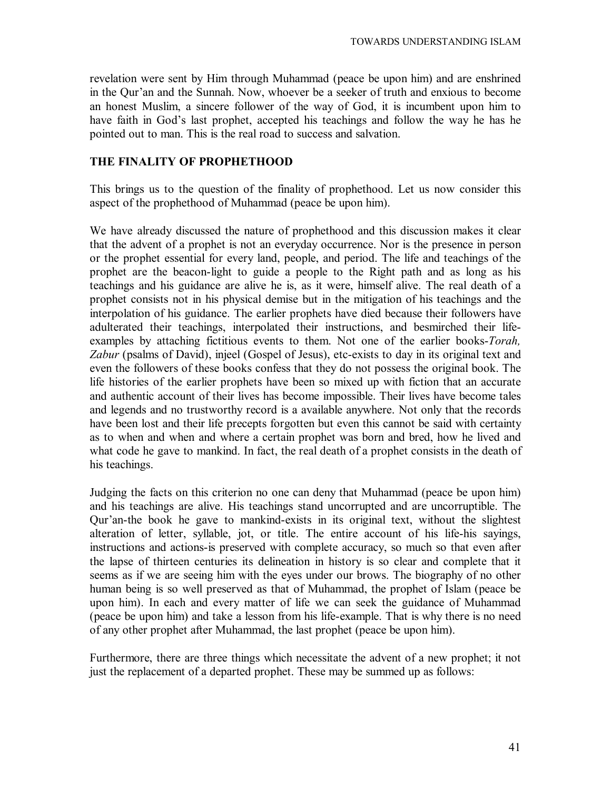revelation were sent by Him through Muhammad (peace be upon him) and are enshrined in the Qur'an and the Sunnah. Now, whoever be a seeker of truth and enxious to become an honest Muslim, a sincere follower of the way of God, it is incumbent upon him to have faith in God's last prophet, accepted his teachings and follow the way he has he pointed out to man. This is the real road to success and salvation.

## **THE FINALITY OF PROPHETHOOD**

This brings us to the question of the finality of prophethood. Let us now consider this aspect of the prophethood of Muhammad (peace be upon him).

We have already discussed the nature of prophethood and this discussion makes it clear that the advent of a prophet is not an everyday occurrence. Nor is the presence in person or the prophet essential for every land, people, and period. The life and teachings of the prophet are the beacon-light to guide a people to the Right path and as long as his teachings and his guidance are alive he is, as it were, himself alive. The real death of a prophet consists not in his physical demise but in the mitigation of his teachings and the interpolation of his guidance. The earlier prophets have died because their followers have adulterated their teachings, interpolated their instructions, and besmirched their lifeexamples by attaching fictitious events to them. Not one of the earlier books-*Torah,*  Zabur (psalms of David), injeel (Gospel of Jesus), etc-exists to day in its original text and even the followers of these books confess that they do not possess the original book. The life histories of the earlier prophets have been so mixed up with fiction that an accurate and authentic account of their lives has become impossible. Their lives have become tales and legends and no trustworthy record is a available anywhere. Not only that the records have been lost and their life precepts forgotten but even this cannot be said with certainty as to when and when and where a certain prophet was born and bred, how he lived and what code he gave to mankind. In fact, the real death of a prophet consists in the death of his teachings.

Judging the facts on this criterion no one can deny that Muhammad (peace be upon him) and his teachings are alive. His teachings stand uncorrupted and are uncorruptible. The Qur'an-the book he gave to mankind-exists in its original text, without the slightest alteration of letter, syllable, jot, or title. The entire account of his life-his sayings, instructions and actions-is preserved with complete accuracy, so much so that even after the lapse of thirteen centuries its delineation in history is so clear and complete that it seems as if we are seeing him with the eyes under our brows. The biography of no other human being is so well preserved as that of Muhammad, the prophet of Islam (peace be upon him). In each and every matter of life we can seek the guidance of Muhammad (peace be upon him) and take a lesson from his life-example. That is why there is no need of any other prophet after Muhammad, the last prophet (peace be upon him).

Furthermore, there are three things which necessitate the advent of a new prophet; it not just the replacement of a departed prophet. These may be summed up as follows: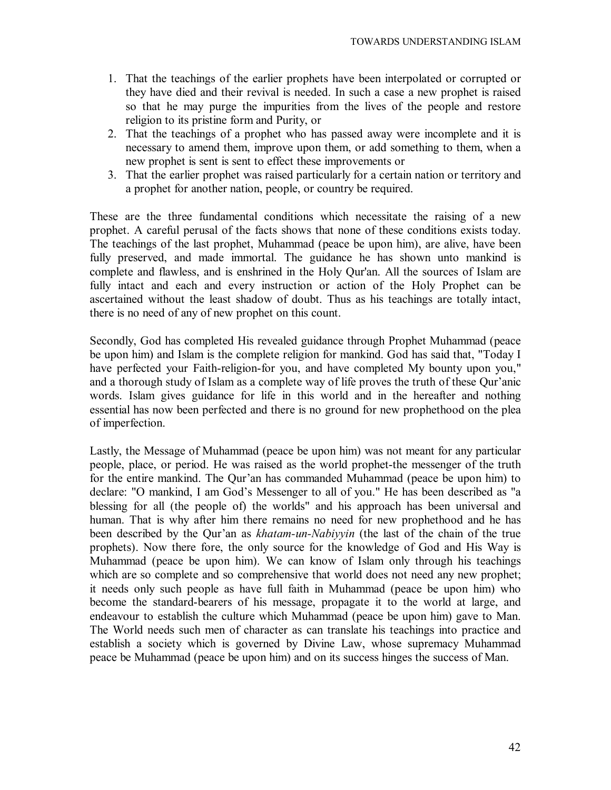- 1. That the teachings of the earlier prophets have been interpolated or corrupted or they have died and their revival is needed. In such a case a new prophet is raised so that he may purge the impurities from the lives of the people and restore religion to its pristine form and Purity, or
- 2. That the teachings of a prophet who has passed away were incomplete and it is necessary to amend them, improve upon them, or add something to them, when a new prophet is sent is sent to effect these improvements or
- 3. That the earlier prophet was raised particularly for a certain nation or territory and a prophet for another nation, people, or country be required.

These are the three fundamental conditions which necessitate the raising of a new prophet. A careful perusal of the facts shows that none of these conditions exists today. The teachings of the last prophet, Muhammad (peace be upon him), are alive, have been fully preserved, and made immortal. The guidance he has shown unto mankind is complete and flawless, and is enshrined in the Holy Qur'an. All the sources of Islam are fully intact and each and every instruction or action of the Holy Prophet can be ascertained without the least shadow of doubt. Thus as his teachings are totally intact, there is no need of any of new prophet on this count.

Secondly, God has completed His revealed guidance through Prophet Muhammad (peace be upon him) and Islam is the complete religion for mankind. God has said that, "Today I have perfected your Faith-religion-for you, and have completed My bounty upon you," and a thorough study of Islam as a complete way of life proves the truth of these Qur'anic words. Islam gives guidance for life in this world and in the hereafter and nothing essential has now been perfected and there is no ground for new prophethood on the plea of imperfection.

Lastly, the Message of Muhammad (peace be upon him) was not meant for any particular people, place, or period. He was raised as the world prophet-the messenger of the truth for the entire mankind. The Qur'an has commanded Muhammad (peace be upon him) to declare: "O mankind, I am God's Messenger to all of you." He has been described as "a blessing for all (the people of) the worlds" and his approach has been universal and human. That is why after him there remains no need for new prophethood and he has been described by the Qur'an as *khatam-un-Nabiyyin* (the last of the chain of the true prophets). Now there fore, the only source for the knowledge of God and His Way is Muhammad (peace be upon him). We can know of Islam only through his teachings which are so complete and so comprehensive that world does not need any new prophet; it needs only such people as have full faith in Muhammad (peace be upon him) who become the standard-bearers of his message, propagate it to the world at large, and endeavour to establish the culture which Muhammad (peace be upon him) gave to Man. The World needs such men of character as can translate his teachings into practice and establish a society which is governed by Divine Law, whose supremacy Muhammad peace be Muhammad (peace be upon him) and on its success hinges the success of Man.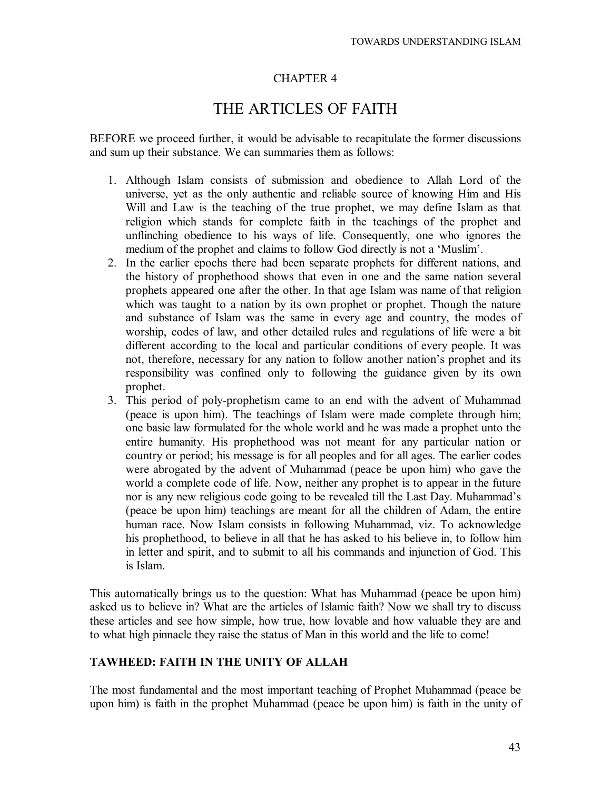#### CHAPTER 4

# THE ARTICLES OF FAITH

BEFORE we proceed further, it would be advisable to recapitulate the former discussions and sum up their substance. We can summaries them as follows:

- 1. Although Islam consists of submission and obedience to Allah Lord of the universe, yet as the only authentic and reliable source of knowing Him and His Will and Law is the teaching of the true prophet, we may define Islam as that religion which stands for complete faith in the teachings of the prophet and unflinching obedience to his ways of life. Consequently, one who ignores the medium of the prophet and claims to follow God directly is not a 'Muslim'.
- 2. In the earlier epochs there had been separate prophets for different nations, and the history of prophethood shows that even in one and the same nation several prophets appeared one after the other. In that age Islam was name of that religion which was taught to a nation by its own prophet or prophet. Though the nature and substance of Islam was the same in every age and country, the modes of worship, codes of law, and other detailed rules and regulations of life were a bit different according to the local and particular conditions of every people. It was not, therefore, necessary for any nation to follow another nation's prophet and its responsibility was confined only to following the guidance given by its own prophet.
- 3. This period of poly-prophetism came to an end with the advent of Muhammad (peace is upon him). The teachings of Islam were made complete through him; one basic law formulated for the whole world and he was made a prophet unto the entire humanity. His prophethood was not meant for any particular nation or country or period; his message is for all peoples and for all ages. The earlier codes were abrogated by the advent of Muhammad (peace be upon him) who gave the world a complete code of life. Now, neither any prophet is to appear in the future nor is any new religious code going to be revealed till the Last Day. Muhammad's (peace be upon him) teachings are meant for all the children of Adam, the entire human race. Now Islam consists in following Muhammad, viz. To acknowledge his prophethood, to believe in all that he has asked to his believe in, to follow him in letter and spirit, and to submit to all his commands and injunction of God. This is Islam.

This automatically brings us to the question: What has Muhammad (peace be upon him) asked us to believe in? What are the articles of Islamic faith? Now we shall try to discuss these articles and see how simple, how true, how lovable and how valuable they are and to what high pinnacle they raise the status of Man in this world and the life to come!

#### **TAWHEED: FAITH IN THE UNITY OF ALLAH**

The most fundamental and the most important teaching of Prophet Muhammad (peace be upon him) is faith in the prophet Muhammad (peace be upon him) is faith in the unity of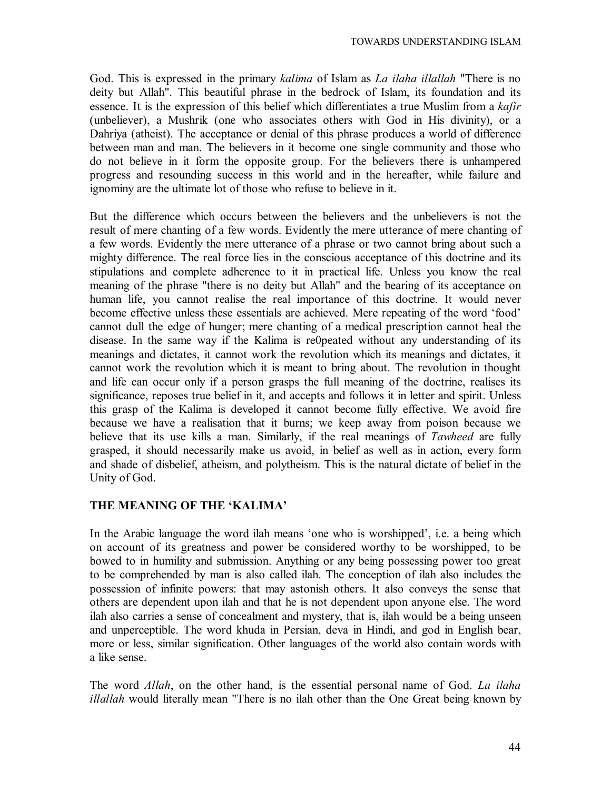God. This is expressed in the primary *kalima* of Islam as *La ilaha illallah* "There is no deity but Allah". This beautiful phrase in the bedrock of Islam, its foundation and its essence. It is the expression of this belief which differentiates a true Muslim from a *kafir* (unbeliever), a Mushrik (one who associates others with God in His divinity), or a Dahriya (atheist). The acceptance or denial of this phrase produces a world of difference between man and man. The believers in it become one single community and those who do not believe in it form the opposite group. For the believers there is unhampered progress and resounding success in this world and in the hereafter, while failure and ignominy are the ultimate lot of those who refuse to believe in it.

But the difference which occurs between the believers and the unbelievers is not the result of mere chanting of a few words. Evidently the mere utterance of mere chanting of a few words. Evidently the mere utterance of a phrase or two cannot bring about such a mighty difference. The real force lies in the conscious acceptance of this doctrine and its stipulations and complete adherence to it in practical life. Unless you know the real meaning of the phrase "there is no deity but Allah" and the bearing of its acceptance on human life, you cannot realise the real importance of this doctrine. It would never become effective unless these essentials are achieved. Mere repeating of the word 'food' cannot dull the edge of hunger; mere chanting of a medical prescription cannot heal the disease. In the same way if the Kalima is re0peated without any understanding of its meanings and dictates, it cannot work the revolution which its meanings and dictates, it cannot work the revolution which it is meant to bring about. The revolution in thought and life can occur only if a person grasps the full meaning of the doctrine, realises its significance, reposes true belief in it, and accepts and follows it in letter and spirit. Unless this grasp of the Kalima is developed it cannot become fully effective. We avoid fire because we have a realisation that it burns; we keep away from poison because we believe that its use kills a man. Similarly, if the real meanings of *Tawheed* are fully grasped, it should necessarily make us avoid, in belief as well as in action, every form and shade of disbelief, atheism, and polytheism. This is the natural dictate of belief in the Unity of God.

## **THE MEANING OF THE 'KALIMA'**

In the Arabic language the word ilah means 'one who is worshipped', i.e. a being which on account of its greatness and power be considered worthy to be worshipped, to be bowed to in humility and submission. Anything or any being possessing power too great to be comprehended by man is also called ilah. The conception of ilah also includes the possession of infinite powers: that may astonish others. It also conveys the sense that others are dependent upon ilah and that he is not dependent upon anyone else. The word ilah also carries a sense of concealment and mystery, that is, ilah would be a being unseen and unperceptible. The word khuda in Persian, deva in Hindi, and god in English bear, more or less, similar signification. Other languages of the world also contain words with a like sense.

The word *Allah*, on the other hand, is the essential personal name of God. *La ilaha illallah* would literally mean "There is no ilah other than the One Great being known by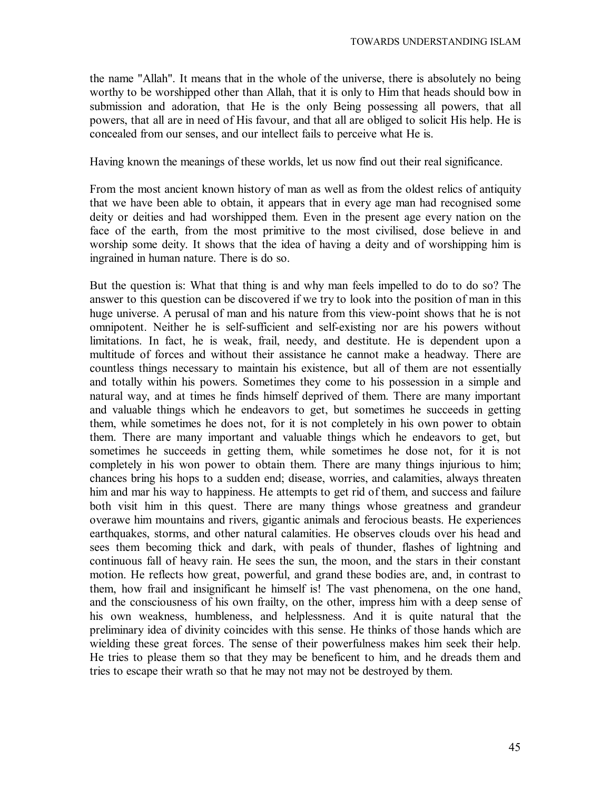the name "Allah". It means that in the whole of the universe, there is absolutely no being worthy to be worshipped other than Allah, that it is only to Him that heads should bow in submission and adoration, that He is the only Being possessing all powers, that all powers, that all are in need of His favour, and that all are obliged to solicit His help. He is concealed from our senses, and our intellect fails to perceive what He is.

Having known the meanings of these worlds, let us now find out their real significance.

From the most ancient known history of man as well as from the oldest relics of antiquity that we have been able to obtain, it appears that in every age man had recognised some deity or deities and had worshipped them. Even in the present age every nation on the face of the earth, from the most primitive to the most civilised, dose believe in and worship some deity. It shows that the idea of having a deity and of worshipping him is ingrained in human nature. There is do so.

But the question is: What that thing is and why man feels impelled to do to do so? The answer to this question can be discovered if we try to look into the position of man in this huge universe. A perusal of man and his nature from this view-point shows that he is not omnipotent. Neither he is self-sufficient and self-existing nor are his powers without limitations. In fact, he is weak, frail, needy, and destitute. He is dependent upon a multitude of forces and without their assistance he cannot make a headway. There are countless things necessary to maintain his existence, but all of them are not essentially and totally within his powers. Sometimes they come to his possession in a simple and natural way, and at times he finds himself deprived of them. There are many important and valuable things which he endeavors to get, but sometimes he succeeds in getting them, while sometimes he does not, for it is not completely in his own power to obtain them. There are many important and valuable things which he endeavors to get, but sometimes he succeeds in getting them, while sometimes he dose not, for it is not completely in his won power to obtain them. There are many things injurious to him; chances bring his hops to a sudden end; disease, worries, and calamities, always threaten him and mar his way to happiness. He attempts to get rid of them, and success and failure both visit him in this quest. There are many things whose greatness and grandeur overawe him mountains and rivers, gigantic animals and ferocious beasts. He experiences earthquakes, storms, and other natural calamities. He observes clouds over his head and sees them becoming thick and dark, with peals of thunder, flashes of lightning and continuous fall of heavy rain. He sees the sun, the moon, and the stars in their constant motion. He reflects how great, powerful, and grand these bodies are, and, in contrast to them, how frail and insignificant he himself is! The vast phenomena, on the one hand, and the consciousness of his own frailty, on the other, impress him with a deep sense of his own weakness, humbleness, and helplessness. And it is quite natural that the preliminary idea of divinity coincides with this sense. He thinks of those hands which are wielding these great forces. The sense of their powerfulness makes him seek their help. He tries to please them so that they may be beneficent to him, and he dreads them and tries to escape their wrath so that he may not may not be destroyed by them.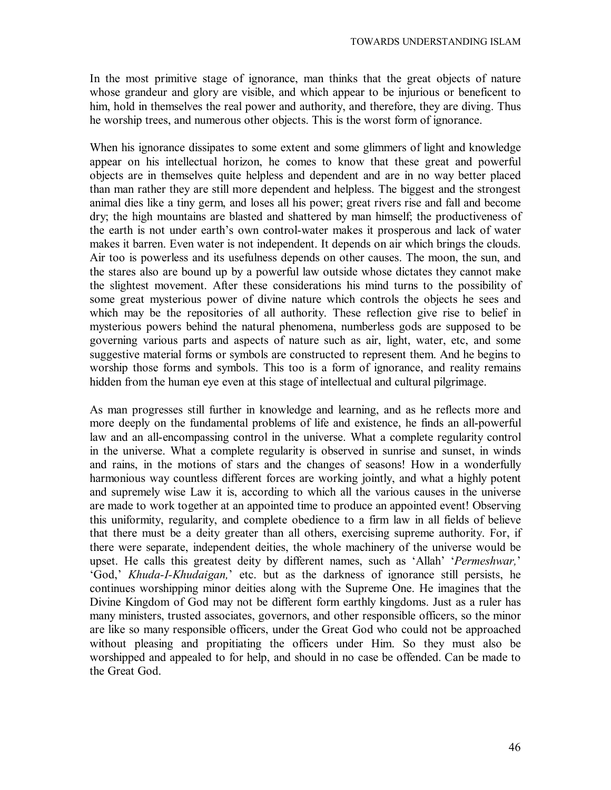In the most primitive stage of ignorance, man thinks that the great objects of nature whose grandeur and glory are visible, and which appear to be injurious or beneficent to him, hold in themselves the real power and authority, and therefore, they are diving. Thus he worship trees, and numerous other objects. This is the worst form of ignorance.

When his ignorance dissipates to some extent and some glimmers of light and knowledge appear on his intellectual horizon, he comes to know that these great and powerful objects are in themselves quite helpless and dependent and are in no way better placed than man rather they are still more dependent and helpless. The biggest and the strongest animal dies like a tiny germ, and loses all his power; great rivers rise and fall and become dry; the high mountains are blasted and shattered by man himself; the productiveness of the earth is not under earth's own control-water makes it prosperous and lack of water makes it barren. Even water is not independent. It depends on air which brings the clouds. Air too is powerless and its usefulness depends on other causes. The moon, the sun, and the stares also are bound up by a powerful law outside whose dictates they cannot make the slightest movement. After these considerations his mind turns to the possibility of some great mysterious power of divine nature which controls the objects he sees and which may be the repositories of all authority. These reflection give rise to belief in mysterious powers behind the natural phenomena, numberless gods are supposed to be governing various parts and aspects of nature such as air, light, water, etc, and some suggestive material forms or symbols are constructed to represent them. And he begins to worship those forms and symbols. This too is a form of ignorance, and reality remains hidden from the human eye even at this stage of intellectual and cultural pilgrimage.

As man progresses still further in knowledge and learning, and as he reflects more and more deeply on the fundamental problems of life and existence, he finds an all-powerful law and an all-encompassing control in the universe. What a complete regularity control in the universe. What a complete regularity is observed in sunrise and sunset, in winds and rains, in the motions of stars and the changes of seasons! How in a wonderfully harmonious way countless different forces are working jointly, and what a highly potent and supremely wise Law it is, according to which all the various causes in the universe are made to work together at an appointed time to produce an appointed event! Observing this uniformity, regularity, and complete obedience to a firm law in all fields of believe that there must be a deity greater than all others, exercising supreme authority. For, if there were separate, independent deities, the whole machinery of the universe would be upset. He calls this greatest deity by different names, such as 'Allah' '*Permeshwar,*' 'God,' *Khuda-I-Khudaigan,*' etc. but as the darkness of ignorance still persists, he continues worshipping minor deities along with the Supreme One. He imagines that the Divine Kingdom of God may not be different form earthly kingdoms. Just as a ruler has many ministers, trusted associates, governors, and other responsible officers, so the minor are like so many responsible officers, under the Great God who could not be approached without pleasing and propitiating the officers under Him. So they must also be worshipped and appealed to for help, and should in no case be offended. Can be made to the Great God.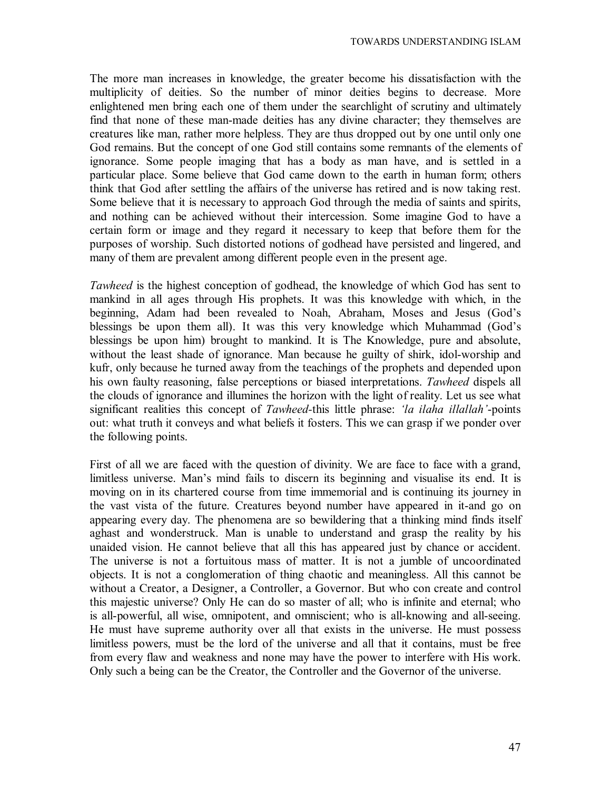The more man increases in knowledge, the greater become his dissatisfaction with the multiplicity of deities. So the number of minor deities begins to decrease. More enlightened men bring each one of them under the searchlight of scrutiny and ultimately find that none of these man-made deities has any divine character; they themselves are creatures like man, rather more helpless. They are thus dropped out by one until only one God remains. But the concept of one God still contains some remnants of the elements of ignorance. Some people imaging that has a body as man have, and is settled in a particular place. Some believe that God came down to the earth in human form; others think that God after settling the affairs of the universe has retired and is now taking rest. Some believe that it is necessary to approach God through the media of saints and spirits, and nothing can be achieved without their intercession. Some imagine God to have a certain form or image and they regard it necessary to keep that before them for the purposes of worship. Such distorted notions of godhead have persisted and lingered, and many of them are prevalent among different people even in the present age.

*Tawheed* is the highest conception of godhead, the knowledge of which God has sent to mankind in all ages through His prophets. It was this knowledge with which, in the beginning, Adam had been revealed to Noah, Abraham, Moses and Jesus (God's blessings be upon them all). It was this very knowledge which Muhammad (God's blessings be upon him) brought to mankind. It is The Knowledge, pure and absolute, without the least shade of ignorance. Man because he guilty of shirk, idol-worship and kufr, only because he turned away from the teachings of the prophets and depended upon his own faulty reasoning, false perceptions or biased interpretations. *Tawheed* dispels all the clouds of ignorance and illumines the horizon with the light of reality. Let us see what significant realities this concept of *Tawheed-*this little phrase: *'la ilaha illallah'*-points out: what truth it conveys and what beliefs it fosters. This we can grasp if we ponder over the following points.

First of all we are faced with the question of divinity. We are face to face with a grand, limitless universe. Man's mind fails to discern its beginning and visualise its end. It is moving on in its chartered course from time immemorial and is continuing its journey in the vast vista of the future. Creatures beyond number have appeared in it-and go on appearing every day. The phenomena are so bewildering that a thinking mind finds itself aghast and wonderstruck. Man is unable to understand and grasp the reality by his unaided vision. He cannot believe that all this has appeared just by chance or accident. The universe is not a fortuitous mass of matter. It is not a jumble of uncoordinated objects. It is not a conglomeration of thing chaotic and meaningless. All this cannot be without a Creator, a Designer, a Controller, a Governor. But who con create and control this majestic universe? Only He can do so master of all; who is infinite and eternal; who is all-powerful, all wise, omnipotent, and omniscient; who is all-knowing and all-seeing. He must have supreme authority over all that exists in the universe. He must possess limitless powers, must be the lord of the universe and all that it contains, must be free from every flaw and weakness and none may have the power to interfere with His work. Only such a being can be the Creator, the Controller and the Governor of the universe.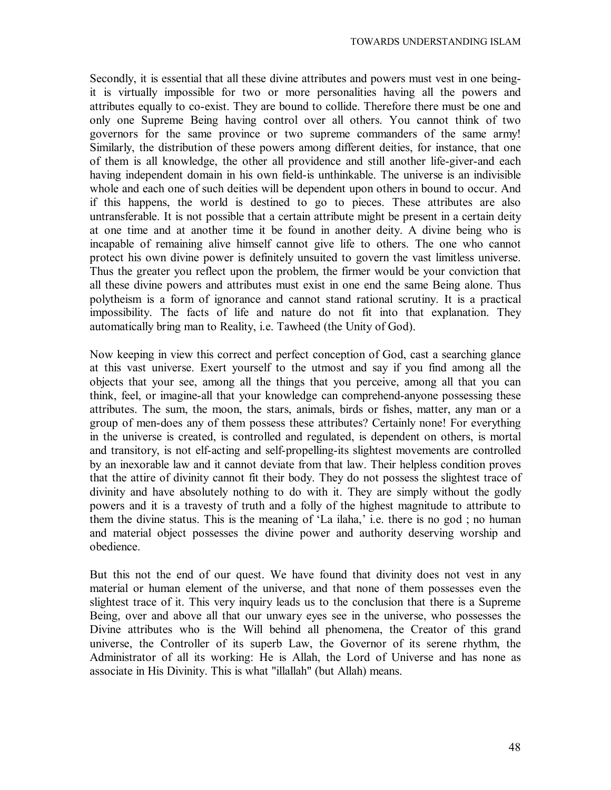Secondly, it is essential that all these divine attributes and powers must vest in one beingit is virtually impossible for two or more personalities having all the powers and attributes equally to co-exist. They are bound to collide. Therefore there must be one and only one Supreme Being having control over all others. You cannot think of two governors for the same province or two supreme commanders of the same army! Similarly, the distribution of these powers among different deities, for instance, that one of them is all knowledge, the other all providence and still another life-giver-and each having independent domain in his own field-is unthinkable. The universe is an indivisible whole and each one of such deities will be dependent upon others in bound to occur. And if this happens, the world is destined to go to pieces. These attributes are also untransferable. It is not possible that a certain attribute might be present in a certain deity at one time and at another time it be found in another deity. A divine being who is incapable of remaining alive himself cannot give life to others. The one who cannot protect his own divine power is definitely unsuited to govern the vast limitless universe. Thus the greater you reflect upon the problem, the firmer would be your conviction that all these divine powers and attributes must exist in one end the same Being alone. Thus polytheism is a form of ignorance and cannot stand rational scrutiny. It is a practical impossibility. The facts of life and nature do not fit into that explanation. They automatically bring man to Reality, i.e. Tawheed (the Unity of God).

Now keeping in view this correct and perfect conception of God, cast a searching glance at this vast universe. Exert yourself to the utmost and say if you find among all the objects that your see, among all the things that you perceive, among all that you can think, feel, or imagine-all that your knowledge can comprehend-anyone possessing these attributes. The sum, the moon, the stars, animals, birds or fishes, matter, any man or a group of men-does any of them possess these attributes? Certainly none! For everything in the universe is created, is controlled and regulated, is dependent on others, is mortal and transitory, is not elf-acting and self-propelling-its slightest movements are controlled by an inexorable law and it cannot deviate from that law. Their helpless condition proves that the attire of divinity cannot fit their body. They do not possess the slightest trace of divinity and have absolutely nothing to do with it. They are simply without the godly powers and it is a travesty of truth and a folly of the highest magnitude to attribute to them the divine status. This is the meaning of 'La ilaha,' i.e. there is no god ; no human and material object possesses the divine power and authority deserving worship and obedience.

But this not the end of our quest. We have found that divinity does not vest in any material or human element of the universe, and that none of them possesses even the slightest trace of it. This very inquiry leads us to the conclusion that there is a Supreme Being, over and above all that our unwary eyes see in the universe, who possesses the Divine attributes who is the Will behind all phenomena, the Creator of this grand universe, the Controller of its superb Law, the Governor of its serene rhythm, the Administrator of all its working: He is Allah, the Lord of Universe and has none as associate in His Divinity. This is what "illallah" (but Allah) means.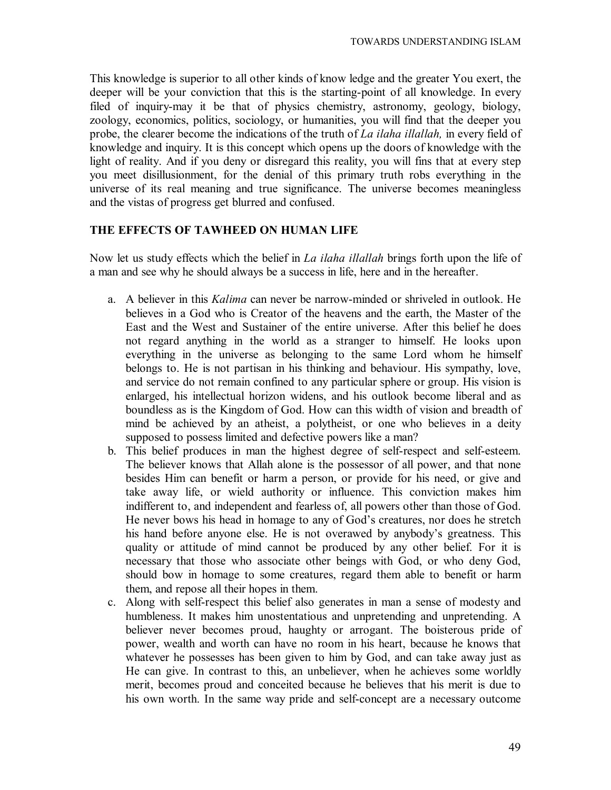This knowledge is superior to all other kinds of know ledge and the greater You exert, the deeper will be your conviction that this is the starting-point of all knowledge. In every filed of inquiry-may it be that of physics chemistry, astronomy, geology, biology, zoology, economics, politics, sociology, or humanities, you will find that the deeper you probe, the clearer become the indications of the truth of *La ilaha illallah,* in every field of knowledge and inquiry. It is this concept which opens up the doors of knowledge with the light of reality. And if you deny or disregard this reality, you will fins that at every step you meet disillusionment, for the denial of this primary truth robs everything in the universe of its real meaning and true significance. The universe becomes meaningless and the vistas of progress get blurred and confused.

## **THE EFFECTS OF TAWHEED ON HUMAN LIFE**

Now let us study effects which the belief in *La ilaha illallah* brings forth upon the life of a man and see why he should always be a success in life, here and in the hereafter.

- a. A believer in this *Kalima* can never be narrow-minded or shriveled in outlook. He believes in a God who is Creator of the heavens and the earth, the Master of the East and the West and Sustainer of the entire universe. After this belief he does not regard anything in the world as a stranger to himself. He looks upon everything in the universe as belonging to the same Lord whom he himself belongs to. He is not partisan in his thinking and behaviour. His sympathy, love, and service do not remain confined to any particular sphere or group. His vision is enlarged, his intellectual horizon widens, and his outlook become liberal and as boundless as is the Kingdom of God. How can this width of vision and breadth of mind be achieved by an atheist, a polytheist, or one who believes in a deity supposed to possess limited and defective powers like a man?
- b. This belief produces in man the highest degree of self-respect and self-esteem. The believer knows that Allah alone is the possessor of all power, and that none besides Him can benefit or harm a person, or provide for his need, or give and take away life, or wield authority or influence. This conviction makes him indifferent to, and independent and fearless of, all powers other than those of God. He never bows his head in homage to any of God's creatures, nor does he stretch his hand before anyone else. He is not overawed by anybody's greatness. This quality or attitude of mind cannot be produced by any other belief. For it is necessary that those who associate other beings with God, or who deny God, should bow in homage to some creatures, regard them able to benefit or harm them, and repose all their hopes in them.
- c. Along with self-respect this belief also generates in man a sense of modesty and humbleness. It makes him unostentatious and unpretending and unpretending. A believer never becomes proud, haughty or arrogant. The boisterous pride of power, wealth and worth can have no room in his heart, because he knows that whatever he possesses has been given to him by God, and can take away just as He can give. In contrast to this, an unbeliever, when he achieves some worldly merit, becomes proud and conceited because he believes that his merit is due to his own worth. In the same way pride and self-concept are a necessary outcome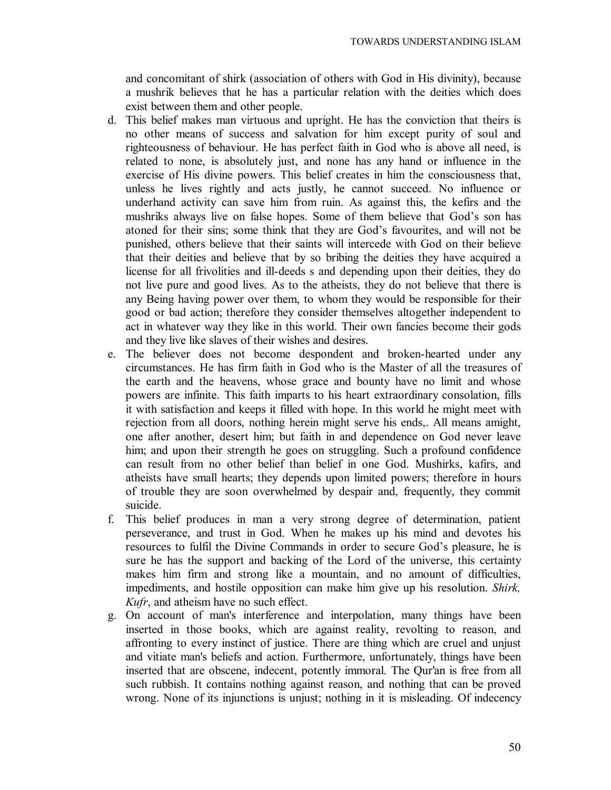and concomitant of shirk (association of others with God in His divinity), because a mushrik believes that he has a particular relation with the deities which does exist between them and other people.

- d. This belief makes man virtuous and upright. He has the conviction that theirs is no other means of success and salvation for him except purity of soul and righteousness of behaviour. He has perfect faith in God who is above all need, is related to none, is absolutely just, and none has any hand or influence in the exercise of His divine powers. This belief creates in him the consciousness that, unless he lives rightly and acts justly, he cannot succeed. No influence or underhand activity can save him from ruin. As against this, the kefirs and the mushriks always live on false hopes. Some of them believe that God's son has atoned for their sins; some think that they are God's favourites, and will not be punished, others believe that their saints will intercede with God on their believe that their deities and believe that by so bribing the deities they have acquired a license for all frivolities and ill-deeds s and depending upon their deities, they do not live pure and good lives. As to the atheists, they do not believe that there is any Being having power over them, to whom they would be responsible for their good or bad action; therefore they consider themselves altogether independent to act in whatever way they like in this world. Their own fancies become their gods and they live like slaves of their wishes and desires.
- e. The believer does not become despondent and broken-hearted under any circumstances. He has firm faith in God who is the Master of all the treasures of the earth and the heavens, whose grace and bounty have no limit and whose powers are infinite. This faith imparts to his heart extraordinary consolation, fills it with satisfaction and keeps it filled with hope. In this world he might meet with rejection from all doors, nothing herein might serve his ends,. All means amight, one after another, desert him; but faith in and dependence on God never leave him; and upon their strength he goes on struggling. Such a profound confidence can result from no other belief than belief in one God. Mushirks, kafirs, and atheists have small hearts; they depends upon limited powers; therefore in hours of trouble they are soon overwhelmed by despair and, frequently, they commit suicide.
- f. This belief produces in man a very strong degree of determination, patient perseverance, and trust in God. When he makes up his mind and devotes his resources to fulfil the Divine Commands in order to secure God's pleasure, he is sure he has the support and backing of the Lord of the universe, this certainty makes him firm and strong like a mountain, and no amount of difficulties, impediments, and hostile opposition can make him give up his resolution. *Shirk, Kufr*, and atheism have no such effect.
- g. On account of man's interference and interpolation, many things have been inserted in those books, which are against reality, revolting to reason, and affronting to every instinct of justice. There are thing which are cruel and unjust and vitiate man's beliefs and action. Furthermore, unfortunately, things have been inserted that are obscene, indecent, potently immoral. The Qur'an is free from all such rubbish. It contains nothing against reason, and nothing that can be proved wrong. None of its injunctions is unjust; nothing in it is misleading. Of indecency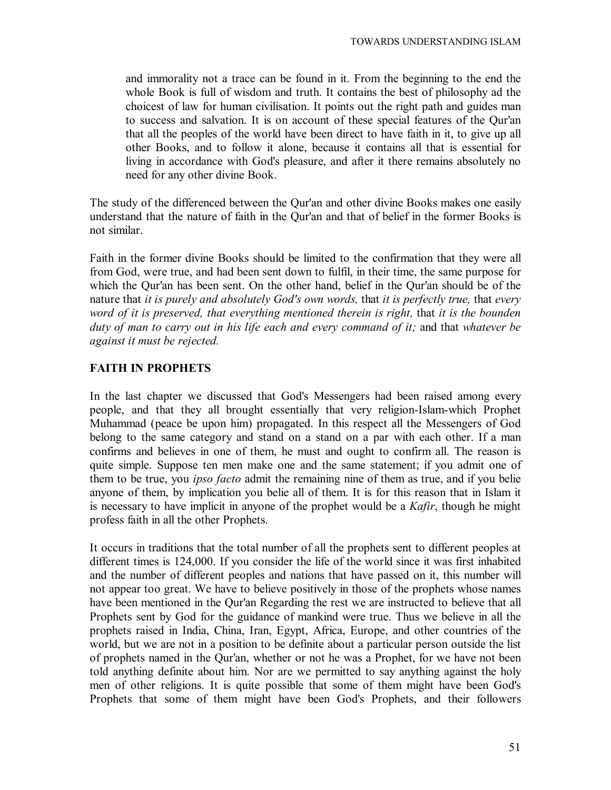and immorality not a trace can be found in it. From the beginning to the end the whole Book is full of wisdom and truth. It contains the best of philosophy ad the choicest of law for human civilisation. It points out the right path and guides man to success and salvation. It is on account of these special features of the Qur'an that all the peoples of the world have been direct to have faith in it, to give up all other Books, and to follow it alone, because it contains all that is essential for living in accordance with God's pleasure, and after it there remains absolutely no need for any other divine Book.

The study of the differenced between the Qur'an and other divine Books makes one easily understand that the nature of faith in the Qur'an and that of belief in the former Books is not similar.

Faith in the former divine Books should be limited to the confirmation that they were all from God, were true, and had been sent down to fulfil, in their time, the same purpose for which the Qur'an has been sent. On the other hand, belief in the Qur'an should be of the nature that *it is purely and absolutely God's own words,* that *it is perfectly true,* that *every word of it is preserved, that everything mentioned therein is right,* that *it is the bounden duty of man to carry out in his life each and every command of it;* and that *whatever be against it must be rejected.*

## **FAITH IN PROPHETS**

In the last chapter we discussed that God's Messengers had been raised among every people, and that they all brought essentially that very religion-Islam-which Prophet Muhammad (peace be upon him) propagated. In this respect all the Messengers of God belong to the same category and stand on a stand on a par with each other. If a man confirms and believes in one of them, he must and ought to confirm all. The reason is quite simple. Suppose ten men make one and the same statement; if you admit one of them to be true, you *ipso facto* admit the remaining nine of them as true, and if you belie anyone of them, by implication you belie all of them. It is for this reason that in Islam it is necessary to have implicit in anyone of the prophet would be a *Kafir*, though he might profess faith in all the other Prophets.

It occurs in traditions that the total number of all the prophets sent to different peoples at different times is 124,000. If you consider the life of the world since it was first inhabited and the number of different peoples and nations that have passed on it, this number will not appear too great. We have to believe positively in those of the prophets whose names have been mentioned in the Qur'an Regarding the rest we are instructed to believe that all Prophets sent by God for the guidance of mankind were true. Thus we believe in all the prophets raised in India, China, Iran, Egypt, Africa, Europe, and other countries of the world, but we are not in a position to be definite about a particular person outside the list of prophets named in the Qur'an, whether or not he was a Prophet, for we have not been told anything definite about him. Nor are we permitted to say anything against the holy men of other religions. It is quite possible that some of them might have been God's Prophets that some of them might have been God's Prophets, and their followers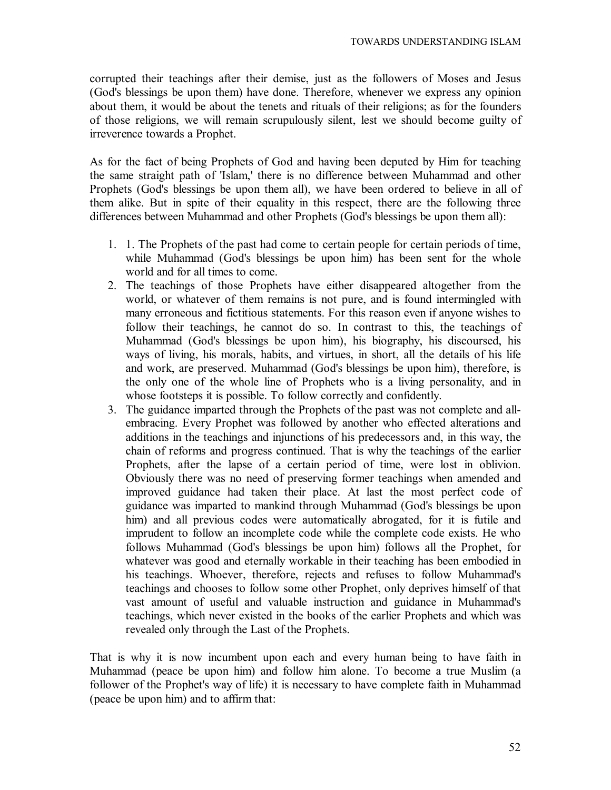corrupted their teachings after their demise, just as the followers of Moses and Jesus (God's blessings be upon them) have done. Therefore, whenever we express any opinion about them, it would be about the tenets and rituals of their religions; as for the founders of those religions, we will remain scrupulously silent, lest we should become guilty of irreverence towards a Prophet.

As for the fact of being Prophets of God and having been deputed by Him for teaching the same straight path of 'Islam,' there is no difference between Muhammad and other Prophets (God's blessings be upon them all), we have been ordered to believe in all of them alike. But in spite of their equality in this respect, there are the following three differences between Muhammad and other Prophets (God's blessings be upon them all):

- 1. 1. The Prophets of the past had come to certain people for certain periods of time, while Muhammad (God's blessings be upon him) has been sent for the whole world and for all times to come.
- 2. The teachings of those Prophets have either disappeared altogether from the world, or whatever of them remains is not pure, and is found intermingled with many erroneous and fictitious statements. For this reason even if anyone wishes to follow their teachings, he cannot do so. In contrast to this, the teachings of Muhammad (God's blessings be upon him), his biography, his discoursed, his ways of living, his morals, habits, and virtues, in short, all the details of his life and work, are preserved. Muhammad (God's blessings be upon him), therefore, is the only one of the whole line of Prophets who is a living personality, and in whose footsteps it is possible. To follow correctly and confidently.
- 3. The guidance imparted through the Prophets of the past was not complete and allembracing. Every Prophet was followed by another who effected alterations and additions in the teachings and injunctions of his predecessors and, in this way, the chain of reforms and progress continued. That is why the teachings of the earlier Prophets, after the lapse of a certain period of time, were lost in oblivion. Obviously there was no need of preserving former teachings when amended and improved guidance had taken their place. At last the most perfect code of guidance was imparted to mankind through Muhammad (God's blessings be upon him) and all previous codes were automatically abrogated, for it is futile and imprudent to follow an incomplete code while the complete code exists. He who follows Muhammad (God's blessings be upon him) follows all the Prophet, for whatever was good and eternally workable in their teaching has been embodied in his teachings. Whoever, therefore, rejects and refuses to follow Muhammad's teachings and chooses to follow some other Prophet, only deprives himself of that vast amount of useful and valuable instruction and guidance in Muhammad's teachings, which never existed in the books of the earlier Prophets and which was revealed only through the Last of the Prophets.

That is why it is now incumbent upon each and every human being to have faith in Muhammad (peace be upon him) and follow him alone. To become a true Muslim (a follower of the Prophet's way of life) it is necessary to have complete faith in Muhammad (peace be upon him) and to affirm that: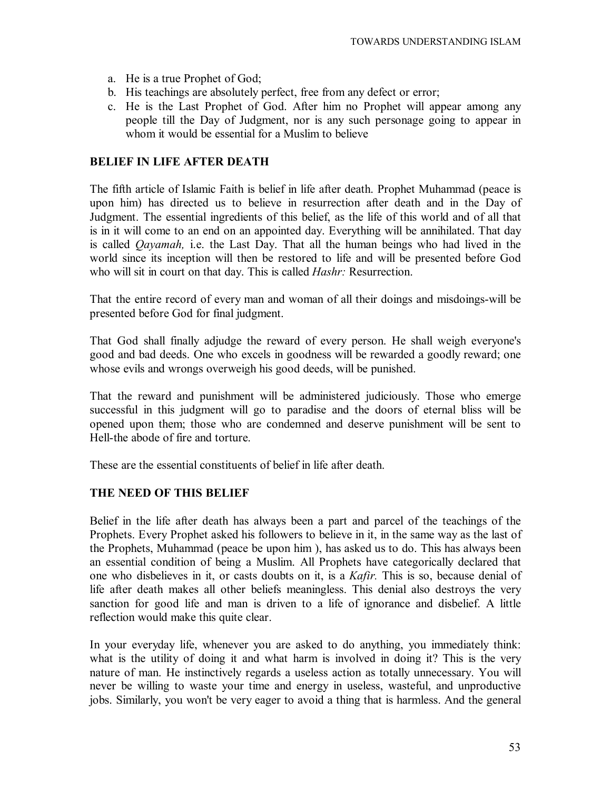- a. He is a true Prophet of God;
- b. His teachings are absolutely perfect, free from any defect or error;
- c. He is the Last Prophet of God. After him no Prophet will appear among any people till the Day of Judgment, nor is any such personage going to appear in whom it would be essential for a Muslim to believe

## **BELIEF IN LIFE AFTER DEATH**

The fifth article of Islamic Faith is belief in life after death. Prophet Muhammad (peace is upon him) has directed us to believe in resurrection after death and in the Day of Judgment. The essential ingredients of this belief, as the life of this world and of all that is in it will come to an end on an appointed day. Everything will be annihilated. That day is called *Qayamah,* i.e. the Last Day. That all the human beings who had lived in the world since its inception will then be restored to life and will be presented before God who will sit in court on that day. This is called *Hashr:* Resurrection.

That the entire record of every man and woman of all their doings and misdoings-will be presented before God for final judgment.

That God shall finally adjudge the reward of every person. He shall weigh everyone's good and bad deeds. One who excels in goodness will be rewarded a goodly reward; one whose evils and wrongs overweigh his good deeds, will be punished.

That the reward and punishment will be administered judiciously. Those who emerge successful in this judgment will go to paradise and the doors of eternal bliss will be opened upon them; those who are condemned and deserve punishment will be sent to Hell-the abode of fire and torture.

These are the essential constituents of belief in life after death.

## **THE NEED OF THIS BELIEF**

Belief in the life after death has always been a part and parcel of the teachings of the Prophets. Every Prophet asked his followers to believe in it, in the same way as the last of the Prophets, Muhammad (peace be upon him ), has asked us to do. This has always been an essential condition of being a Muslim. All Prophets have categorically declared that one who disbelieves in it, or casts doubts on it, is a *Kafir.* This is so, because denial of life after death makes all other beliefs meaningless. This denial also destroys the very sanction for good life and man is driven to a life of ignorance and disbelief. A little reflection would make this quite clear.

In your everyday life, whenever you are asked to do anything, you immediately think: what is the utility of doing it and what harm is involved in doing it? This is the very nature of man. He instinctively regards a useless action as totally unnecessary. You will never be willing to waste your time and energy in useless, wasteful, and unproductive jobs. Similarly, you won't be very eager to avoid a thing that is harmless. And the general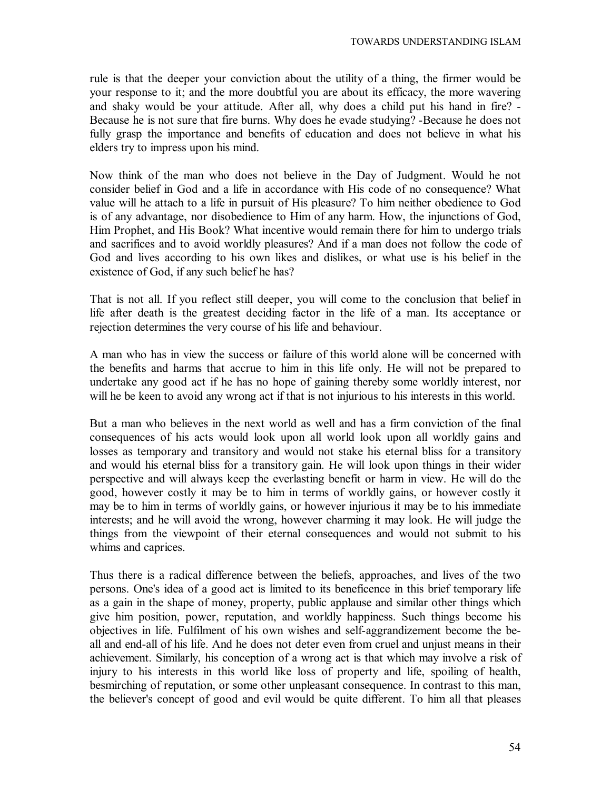rule is that the deeper your conviction about the utility of a thing, the firmer would be your response to it; and the more doubtful you are about its efficacy, the more wavering and shaky would be your attitude. After all, why does a child put his hand in fire? - Because he is not sure that fire burns. Why does he evade studying? -Because he does not fully grasp the importance and benefits of education and does not believe in what his elders try to impress upon his mind.

Now think of the man who does not believe in the Day of Judgment. Would he not consider belief in God and a life in accordance with His code of no consequence? What value will he attach to a life in pursuit of His pleasure? To him neither obedience to God is of any advantage, nor disobedience to Him of any harm. How, the injunctions of God, Him Prophet, and His Book? What incentive would remain there for him to undergo trials and sacrifices and to avoid worldly pleasures? And if a man does not follow the code of God and lives according to his own likes and dislikes, or what use is his belief in the existence of God, if any such belief he has?

That is not all. If you reflect still deeper, you will come to the conclusion that belief in life after death is the greatest deciding factor in the life of a man. Its acceptance or rejection determines the very course of his life and behaviour.

A man who has in view the success or failure of this world alone will be concerned with the benefits and harms that accrue to him in this life only. He will not be prepared to undertake any good act if he has no hope of gaining thereby some worldly interest, nor will he be keen to avoid any wrong act if that is not injurious to his interests in this world.

But a man who believes in the next world as well and has a firm conviction of the final consequences of his acts would look upon all world look upon all worldly gains and losses as temporary and transitory and would not stake his eternal bliss for a transitory and would his eternal bliss for a transitory gain. He will look upon things in their wider perspective and will always keep the everlasting benefit or harm in view. He will do the good, however costly it may be to him in terms of worldly gains, or however costly it may be to him in terms of worldly gains, or however injurious it may be to his immediate interests; and he will avoid the wrong, however charming it may look. He will judge the things from the viewpoint of their eternal consequences and would not submit to his whims and caprices.

Thus there is a radical difference between the beliefs, approaches, and lives of the two persons. One's idea of a good act is limited to its beneficence in this brief temporary life as a gain in the shape of money, property, public applause and similar other things which give him position, power, reputation, and worldly happiness. Such things become his objectives in life. Fulfilment of his own wishes and self-aggrandizement become the beall and end-all of his life. And he does not deter even from cruel and unjust means in their achievement. Similarly, his conception of a wrong act is that which may involve a risk of injury to his interests in this world like loss of property and life, spoiling of health, besmirching of reputation, or some other unpleasant consequence. In contrast to this man, the believer's concept of good and evil would be quite different. To him all that pleases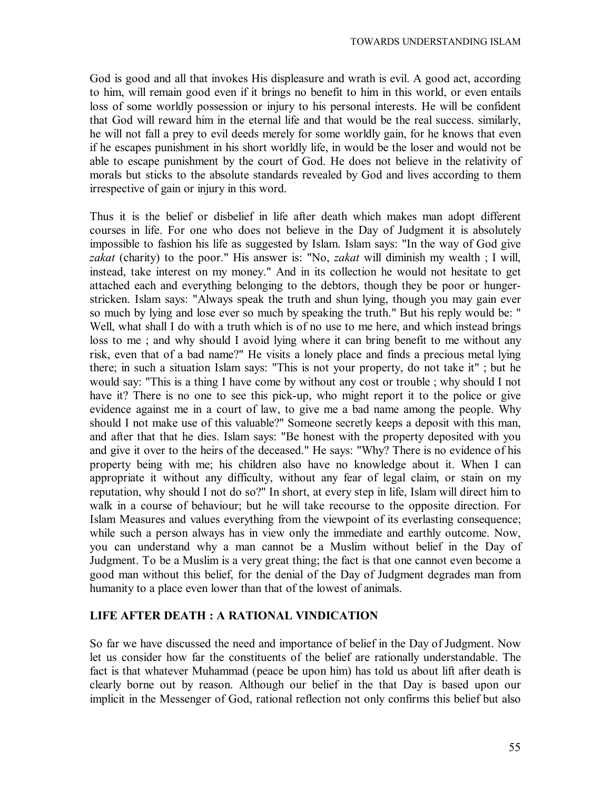God is good and all that invokes His displeasure and wrath is evil. A good act, according to him, will remain good even if it brings no benefit to him in this world, or even entails loss of some worldly possession or injury to his personal interests. He will be confident that God will reward him in the eternal life and that would be the real success. similarly, he will not fall a prey to evil deeds merely for some worldly gain, for he knows that even if he escapes punishment in his short worldly life, in would be the loser and would not be able to escape punishment by the court of God. He does not believe in the relativity of morals but sticks to the absolute standards revealed by God and lives according to them irrespective of gain or injury in this word.

Thus it is the belief or disbelief in life after death which makes man adopt different courses in life. For one who does not believe in the Day of Judgment it is absolutely impossible to fashion his life as suggested by Islam. Islam says: "In the way of God give *zakat* (charity) to the poor." His answer is: "No, *zakat* will diminish my wealth ; I will, instead, take interest on my money." And in its collection he would not hesitate to get attached each and everything belonging to the debtors, though they be poor or hungerstricken. Islam says: "Always speak the truth and shun lying, though you may gain ever so much by lying and lose ever so much by speaking the truth." But his reply would be: " Well, what shall I do with a truth which is of no use to me here, and which instead brings loss to me ; and why should I avoid lying where it can bring benefit to me without any risk, even that of a bad name?" He visits a lonely place and finds a precious metal lying there; in such a situation Islam says: "This is not your property, do not take it" ; but he would say: "This is a thing I have come by without any cost or trouble ; why should I not have it? There is no one to see this pick-up, who might report it to the police or give evidence against me in a court of law, to give me a bad name among the people. Why should I not make use of this valuable?" Someone secretly keeps a deposit with this man, and after that that he dies. Islam says: "Be honest with the property deposited with you and give it over to the heirs of the deceased." He says: "Why? There is no evidence of his property being with me; his children also have no knowledge about it. When I can appropriate it without any difficulty, without any fear of legal claim, or stain on my reputation, why should I not do so?" In short, at every step in life, Islam will direct him to walk in a course of behaviour; but he will take recourse to the opposite direction. For Islam Measures and values everything from the viewpoint of its everlasting consequence; while such a person always has in view only the immediate and earthly outcome. Now, you can understand why a man cannot be a Muslim without belief in the Day of Judgment. To be a Muslim is a very great thing; the fact is that one cannot even become a good man without this belief, for the denial of the Day of Judgment degrades man from humanity to a place even lower than that of the lowest of animals.

## **LIFE AFTER DEATH : A RATIONAL VINDICATION**

So far we have discussed the need and importance of belief in the Day of Judgment. Now let us consider how far the constituents of the belief are rationally understandable. The fact is that whatever Muhammad (peace be upon him) has told us about lift after death is clearly borne out by reason. Although our belief in the that Day is based upon our implicit in the Messenger of God, rational reflection not only confirms this belief but also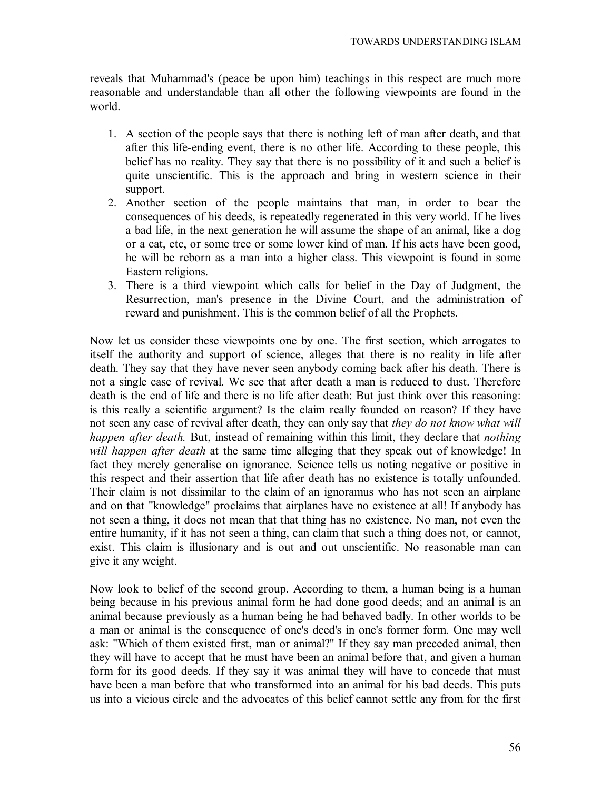reveals that Muhammad's (peace be upon him) teachings in this respect are much more reasonable and understandable than all other the following viewpoints are found in the world.

- 1. A section of the people says that there is nothing left of man after death, and that after this life-ending event, there is no other life. According to these people, this belief has no reality. They say that there is no possibility of it and such a belief is quite unscientific. This is the approach and bring in western science in their support.
- 2. Another section of the people maintains that man, in order to bear the consequences of his deeds, is repeatedly regenerated in this very world. If he lives a bad life, in the next generation he will assume the shape of an animal, like a dog or a cat, etc, or some tree or some lower kind of man. If his acts have been good, he will be reborn as a man into a higher class. This viewpoint is found in some Eastern religions.
- 3. There is a third viewpoint which calls for belief in the Day of Judgment, the Resurrection, man's presence in the Divine Court, and the administration of reward and punishment. This is the common belief of all the Prophets.

Now let us consider these viewpoints one by one. The first section, which arrogates to itself the authority and support of science, alleges that there is no reality in life after death. They say that they have never seen anybody coming back after his death. There is not a single case of revival. We see that after death a man is reduced to dust. Therefore death is the end of life and there is no life after death: But just think over this reasoning: is this really a scientific argument? Is the claim really founded on reason? If they have not seen any case of revival after death, they can only say that *they do not know what will happen after death.* But, instead of remaining within this limit, they declare that *nothing will happen after death* at the same time alleging that they speak out of knowledge! In fact they merely generalise on ignorance. Science tells us noting negative or positive in this respect and their assertion that life after death has no existence is totally unfounded. Their claim is not dissimilar to the claim of an ignoramus who has not seen an airplane and on that "knowledge" proclaims that airplanes have no existence at all! If anybody has not seen a thing, it does not mean that that thing has no existence. No man, not even the entire humanity, if it has not seen a thing, can claim that such a thing does not, or cannot, exist. This claim is illusionary and is out and out unscientific. No reasonable man can give it any weight.

Now look to belief of the second group. According to them, a human being is a human being because in his previous animal form he had done good deeds; and an animal is an animal because previously as a human being he had behaved badly. In other worlds to be a man or animal is the consequence of one's deed's in one's former form. One may well ask: "Which of them existed first, man or animal?" If they say man preceded animal, then they will have to accept that he must have been an animal before that, and given a human form for its good deeds. If they say it was animal they will have to concede that must have been a man before that who transformed into an animal for his bad deeds. This puts us into a vicious circle and the advocates of this belief cannot settle any from for the first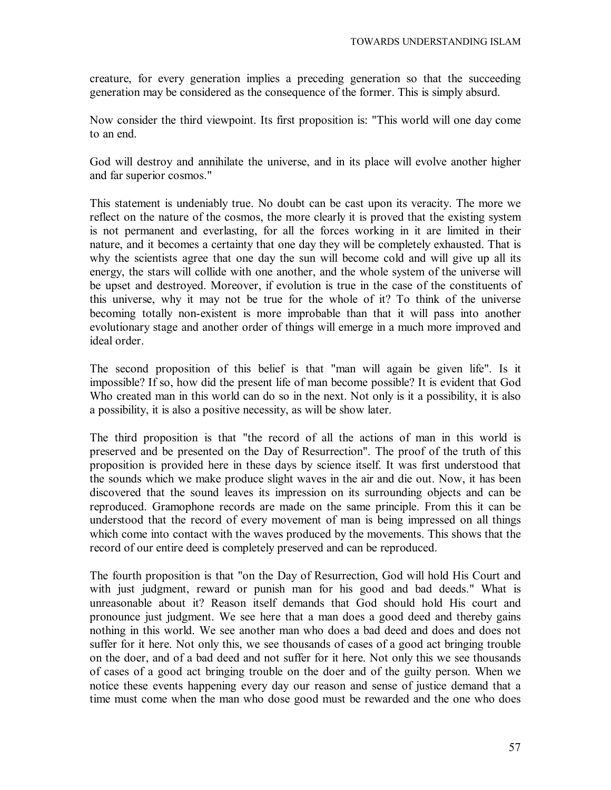creature, for every generation implies a preceding generation so that the succeeding generation may be considered as the consequence of the former. This is simply absurd.

Now consider the third viewpoint. Its first proposition is: "This world will one day come to an end.

God will destroy and annihilate the universe, and in its place will evolve another higher and far superior cosmos."

This statement is undeniably true. No doubt can be cast upon its veracity. The more we reflect on the nature of the cosmos, the more clearly it is proved that the existing system is not permanent and everlasting, for all the forces working in it are limited in their nature, and it becomes a certainty that one day they will be completely exhausted. That is why the scientists agree that one day the sun will become cold and will give up all its energy, the stars will collide with one another, and the whole system of the universe will be upset and destroyed. Moreover, if evolution is true in the case of the constituents of this universe, why it may not be true for the whole of it? To think of the universe becoming totally non-existent is more improbable than that it will pass into another evolutionary stage and another order of things will emerge in a much more improved and ideal order.

The second proposition of this belief is that "man will again be given life". Is it impossible? If so, how did the present life of man become possible? It is evident that God Who created man in this world can do so in the next. Not only is it a possibility, it is also a possibility, it is also a positive necessity, as will be show later.

The third proposition is that "the record of all the actions of man in this world is preserved and be presented on the Day of Resurrection". The proof of the truth of this proposition is provided here in these days by science itself. It was first understood that the sounds which we make produce slight waves in the air and die out. Now, it has been discovered that the sound leaves its impression on its surrounding objects and can be reproduced. Gramophone records are made on the same principle. From this it can be understood that the record of every movement of man is being impressed on all things which come into contact with the waves produced by the movements. This shows that the record of our entire deed is completely preserved and can be reproduced.

The fourth proposition is that "on the Day of Resurrection, God will hold His Court and with just judgment, reward or punish man for his good and bad deeds." What is unreasonable about it? Reason itself demands that God should hold His court and pronounce just judgment. We see here that a man does a good deed and thereby gains nothing in this world. We see another man who does a bad deed and does and does not suffer for it here. Not only this, we see thousands of cases of a good act bringing trouble on the doer, and of a bad deed and not suffer for it here. Not only this we see thousands of cases of a good act bringing trouble on the doer and of the guilty person. When we notice these events happening every day our reason and sense of justice demand that a time must come when the man who dose good must be rewarded and the one who does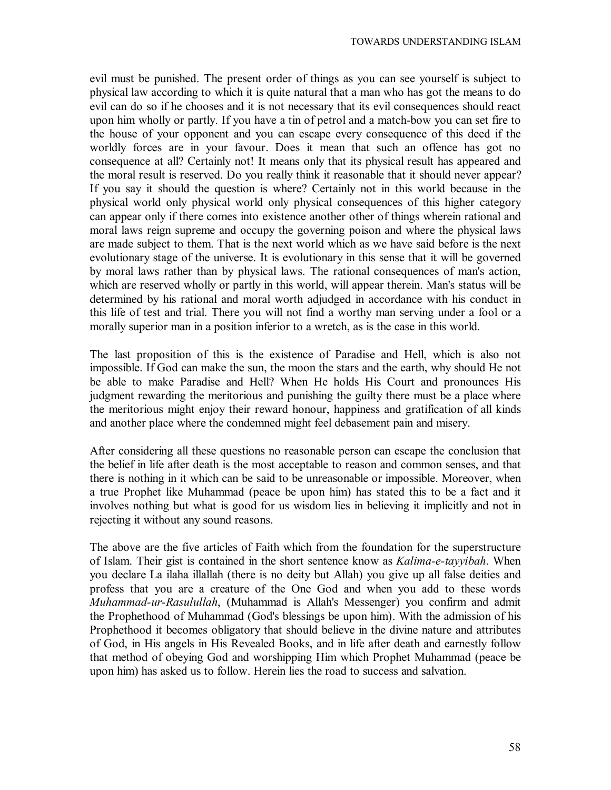evil must be punished. The present order of things as you can see yourself is subject to physical law according to which it is quite natural that a man who has got the means to do evil can do so if he chooses and it is not necessary that its evil consequences should react upon him wholly or partly. If you have a tin of petrol and a match-bow you can set fire to the house of your opponent and you can escape every consequence of this deed if the worldly forces are in your favour. Does it mean that such an offence has got no consequence at all? Certainly not! It means only that its physical result has appeared and the moral result is reserved. Do you really think it reasonable that it should never appear? If you say it should the question is where? Certainly not in this world because in the physical world only physical world only physical consequences of this higher category can appear only if there comes into existence another other of things wherein rational and moral laws reign supreme and occupy the governing poison and where the physical laws are made subject to them. That is the next world which as we have said before is the next evolutionary stage of the universe. It is evolutionary in this sense that it will be governed by moral laws rather than by physical laws. The rational consequences of man's action, which are reserved wholly or partly in this world, will appear therein. Man's status will be determined by his rational and moral worth adjudged in accordance with his conduct in this life of test and trial. There you will not find a worthy man serving under a fool or a morally superior man in a position inferior to a wretch, as is the case in this world.

The last proposition of this is the existence of Paradise and Hell, which is also not impossible. If God can make the sun, the moon the stars and the earth, why should He not be able to make Paradise and Hell? When He holds His Court and pronounces His judgment rewarding the meritorious and punishing the guilty there must be a place where the meritorious might enjoy their reward honour, happiness and gratification of all kinds and another place where the condemned might feel debasement pain and misery.

After considering all these questions no reasonable person can escape the conclusion that the belief in life after death is the most acceptable to reason and common senses, and that there is nothing in it which can be said to be unreasonable or impossible. Moreover, when a true Prophet like Muhammad (peace be upon him) has stated this to be a fact and it involves nothing but what is good for us wisdom lies in believing it implicitly and not in rejecting it without any sound reasons.

The above are the five articles of Faith which from the foundation for the superstructure of Islam. Their gist is contained in the short sentence know as *Kalima-e-tayyibah*. When you declare La ilaha illallah (there is no deity but Allah) you give up all false deities and profess that you are a creature of the One God and when you add to these words *Muhammad-ur-Rasulullah*, (Muhammad is Allah's Messenger) you confirm and admit the Prophethood of Muhammad (God's blessings be upon him). With the admission of his Prophethood it becomes obligatory that should believe in the divine nature and attributes of God, in His angels in His Revealed Books, and in life after death and earnestly follow that method of obeying God and worshipping Him which Prophet Muhammad (peace be upon him) has asked us to follow. Herein lies the road to success and salvation.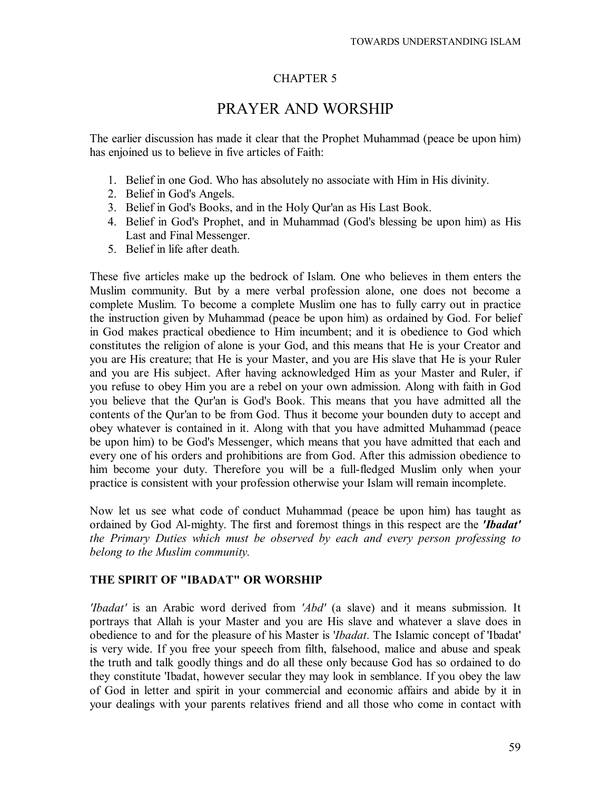## CHAPTER 5

# PRAYER AND WORSHIP

The earlier discussion has made it clear that the Prophet Muhammad (peace be upon him) has enjoined us to believe in five articles of Faith:

- 1. Belief in one God. Who has absolutely no associate with Him in His divinity.
- 2. Belief in God's Angels.
- 3. Belief in God's Books, and in the Holy Qur'an as His Last Book.
- 4. Belief in God's Prophet, and in Muhammad (God's blessing be upon him) as His Last and Final Messenger.
- 5. Belief in life after death.

These five articles make up the bedrock of Islam. One who believes in them enters the Muslim community. But by a mere verbal profession alone, one does not become a complete Muslim. To become a complete Muslim one has to fully carry out in practice the instruction given by Muhammad (peace be upon him) as ordained by God. For belief in God makes practical obedience to Him incumbent; and it is obedience to God which constitutes the religion of alone is your God, and this means that He is your Creator and you are His creature; that He is your Master, and you are His slave that He is your Ruler and you are His subject. After having acknowledged Him as your Master and Ruler, if you refuse to obey Him you are a rebel on your own admission. Along with faith in God you believe that the Qur'an is God's Book. This means that you have admitted all the contents of the Qur'an to be from God. Thus it become your bounden duty to accept and obey whatever is contained in it. Along with that you have admitted Muhammad (peace be upon him) to be God's Messenger, which means that you have admitted that each and every one of his orders and prohibitions are from God. After this admission obedience to him become your duty. Therefore you will be a full-fledged Muslim only when your practice is consistent with your profession otherwise your Islam will remain incomplete.

Now let us see what code of conduct Muhammad (peace be upon him) has taught as ordained by God Al-mighty. The first and foremost things in this respect are the *'Ibadat' the Primary Duties which must be observed by each and every person professing to belong to the Muslim community.*

## **THE SPIRIT OF "IBADAT" OR WORSHIP**

*'Ibadat'* is an Arabic word derived from *'Abd'* (a slave) and it means submission. It portrays that Allah is your Master and you are His slave and whatever a slave does in obedience to and for the pleasure of his Master is '*Ibadat*. The Islamic concept of 'Ibadat' is very wide. If you free your speech from filth, falsehood, malice and abuse and speak the truth and talk goodly things and do all these only because God has so ordained to do they constitute 'Ibadat, however secular they may look in semblance. If you obey the law of God in letter and spirit in your commercial and economic affairs and abide by it in your dealings with your parents relatives friend and all those who come in contact with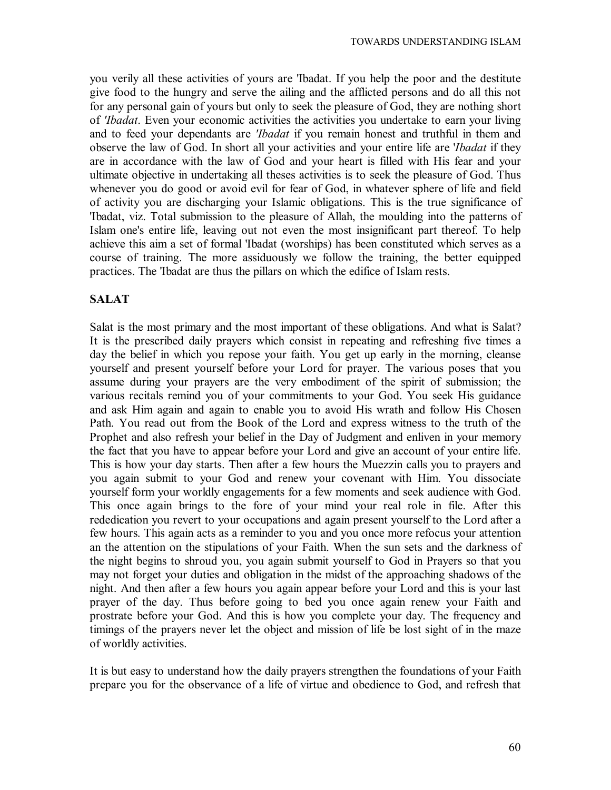you verily all these activities of yours are 'Ibadat. If you help the poor and the destitute give food to the hungry and serve the ailing and the afflicted persons and do all this not for any personal gain of yours but only to seek the pleasure of God, they are nothing short of *'Ibadat*. Even your economic activities the activities you undertake to earn your living and to feed your dependants are *'Ibadat* if you remain honest and truthful in them and observe the law of God. In short all your activities and your entire life are '*Ibadat* if they are in accordance with the law of God and your heart is filled with His fear and your ultimate objective in undertaking all theses activities is to seek the pleasure of God. Thus whenever you do good or avoid evil for fear of God, in whatever sphere of life and field of activity you are discharging your Islamic obligations. This is the true significance of 'Ibadat, viz. Total submission to the pleasure of Allah, the moulding into the patterns of Islam one's entire life, leaving out not even the most insignificant part thereof. To help achieve this aim a set of formal 'Ibadat (worships) has been constituted which serves as a course of training. The more assiduously we follow the training, the better equipped practices. The 'Ibadat are thus the pillars on which the edifice of Islam rests.

#### **SALAT**

Salat is the most primary and the most important of these obligations. And what is Salat? It is the prescribed daily prayers which consist in repeating and refreshing five times a day the belief in which you repose your faith. You get up early in the morning, cleanse yourself and present yourself before your Lord for prayer. The various poses that you assume during your prayers are the very embodiment of the spirit of submission; the various recitals remind you of your commitments to your God. You seek His guidance and ask Him again and again to enable you to avoid His wrath and follow His Chosen Path. You read out from the Book of the Lord and express witness to the truth of the Prophet and also refresh your belief in the Day of Judgment and enliven in your memory the fact that you have to appear before your Lord and give an account of your entire life. This is how your day starts. Then after a few hours the Muezzin calls you to prayers and you again submit to your God and renew your covenant with Him. You dissociate yourself form your worldly engagements for a few moments and seek audience with God. This once again brings to the fore of your mind your real role in file. After this rededication you revert to your occupations and again present yourself to the Lord after a few hours. This again acts as a reminder to you and you once more refocus your attention an the attention on the stipulations of your Faith. When the sun sets and the darkness of the night begins to shroud you, you again submit yourself to God in Prayers so that you may not forget your duties and obligation in the midst of the approaching shadows of the night. And then after a few hours you again appear before your Lord and this is your last prayer of the day. Thus before going to bed you once again renew your Faith and prostrate before your God. And this is how you complete your day. The frequency and timings of the prayers never let the object and mission of life be lost sight of in the maze of worldly activities.

It is but easy to understand how the daily prayers strengthen the foundations of your Faith prepare you for the observance of a life of virtue and obedience to God, and refresh that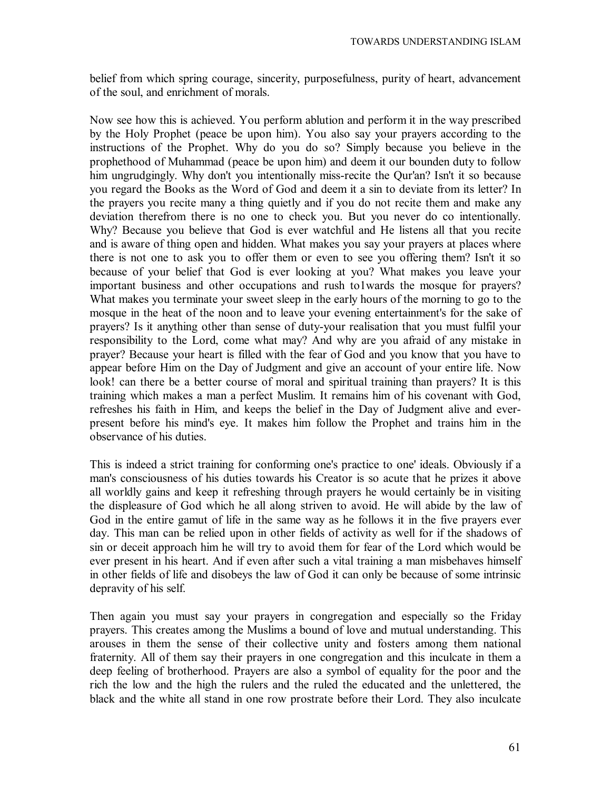belief from which spring courage, sincerity, purposefulness, purity of heart, advancement of the soul, and enrichment of morals.

Now see how this is achieved. You perform ablution and perform it in the way prescribed by the Holy Prophet (peace be upon him). You also say your prayers according to the instructions of the Prophet. Why do you do so? Simply because you believe in the prophethood of Muhammad (peace be upon him) and deem it our bounden duty to follow him ungrudgingly. Why don't you intentionally miss-recite the Qur'an? Isn't it so because you regard the Books as the Word of God and deem it a sin to deviate from its letter? In the prayers you recite many a thing quietly and if you do not recite them and make any deviation therefrom there is no one to check you. But you never do co intentionally. Why? Because you believe that God is ever watchful and He listens all that you recite and is aware of thing open and hidden. What makes you say your prayers at places where there is not one to ask you to offer them or even to see you offering them? Isn't it so because of your belief that God is ever looking at you? What makes you leave your important business and other occupations and rush to1wards the mosque for prayers? What makes you terminate your sweet sleep in the early hours of the morning to go to the mosque in the heat of the noon and to leave your evening entertainment's for the sake of prayers? Is it anything other than sense of duty-your realisation that you must fulfil your responsibility to the Lord, come what may? And why are you afraid of any mistake in prayer? Because your heart is filled with the fear of God and you know that you have to appear before Him on the Day of Judgment and give an account of your entire life. Now look! can there be a better course of moral and spiritual training than prayers? It is this training which makes a man a perfect Muslim. It remains him of his covenant with God, refreshes his faith in Him, and keeps the belief in the Day of Judgment alive and everpresent before his mind's eye. It makes him follow the Prophet and trains him in the observance of his duties.

This is indeed a strict training for conforming one's practice to one' ideals. Obviously if a man's consciousness of his duties towards his Creator is so acute that he prizes it above all worldly gains and keep it refreshing through prayers he would certainly be in visiting the displeasure of God which he all along striven to avoid. He will abide by the law of God in the entire gamut of life in the same way as he follows it in the five prayers ever day. This man can be relied upon in other fields of activity as well for if the shadows of sin or deceit approach him he will try to avoid them for fear of the Lord which would be ever present in his heart. And if even after such a vital training a man misbehaves himself in other fields of life and disobeys the law of God it can only be because of some intrinsic depravity of his self.

Then again you must say your prayers in congregation and especially so the Friday prayers. This creates among the Muslims a bound of love and mutual understanding. This arouses in them the sense of their collective unity and fosters among them national fraternity. All of them say their prayers in one congregation and this inculcate in them a deep feeling of brotherhood. Prayers are also a symbol of equality for the poor and the rich the low and the high the rulers and the ruled the educated and the unlettered, the black and the white all stand in one row prostrate before their Lord. They also inculcate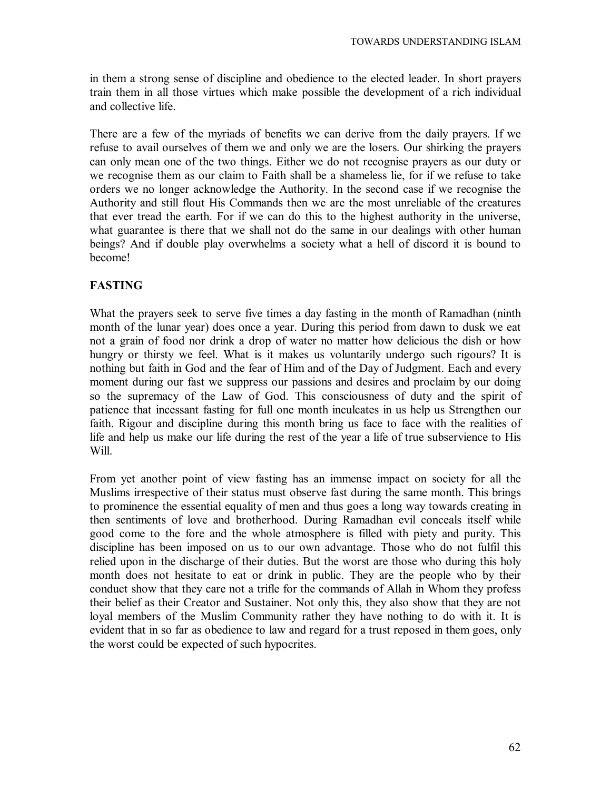in them a strong sense of discipline and obedience to the elected leader. In short prayers train them in all those virtues which make possible the development of a rich individual and collective life.

There are a few of the myriads of benefits we can derive from the daily prayers. If we refuse to avail ourselves of them we and only we are the losers. Our shirking the prayers can only mean one of the two things. Either we do not recognise prayers as our duty or we recognise them as our claim to Faith shall be a shameless lie, for if we refuse to take orders we no longer acknowledge the Authority. In the second case if we recognise the Authority and still flout His Commands then we are the most unreliable of the creatures that ever tread the earth. For if we can do this to the highest authority in the universe, what guarantee is there that we shall not do the same in our dealings with other human beings? And if double play overwhelms a society what a hell of discord it is bound to become!

## **FASTING**

What the prayers seek to serve five times a day fasting in the month of Ramadhan (ninth month of the lunar year) does once a year. During this period from dawn to dusk we eat not a grain of food nor drink a drop of water no matter how delicious the dish or how hungry or thirsty we feel. What is it makes us voluntarily undergo such rigours? It is nothing but faith in God and the fear of Him and of the Day of Judgment. Each and every moment during our fast we suppress our passions and desires and proclaim by our doing so the supremacy of the Law of God. This consciousness of duty and the spirit of patience that incessant fasting for full one month inculcates in us help us Strengthen our faith. Rigour and discipline during this month bring us face to face with the realities of life and help us make our life during the rest of the year a life of true subservience to His Will.

From yet another point of view fasting has an immense impact on society for all the Muslims irrespective of their status must observe fast during the same month. This brings to prominence the essential equality of men and thus goes a long way towards creating in then sentiments of love and brotherhood. During Ramadhan evil conceals itself while good come to the fore and the whole atmosphere is filled with piety and purity. This discipline has been imposed on us to our own advantage. Those who do not fulfil this relied upon in the discharge of their duties. But the worst are those who during this holy month does not hesitate to eat or drink in public. They are the people who by their conduct show that they care not a trifle for the commands of Allah in Whom they profess their belief as their Creator and Sustainer. Not only this, they also show that they are not loyal members of the Muslim Community rather they have nothing to do with it. It is evident that in so far as obedience to law and regard for a trust reposed in them goes, only the worst could be expected of such hypocrites.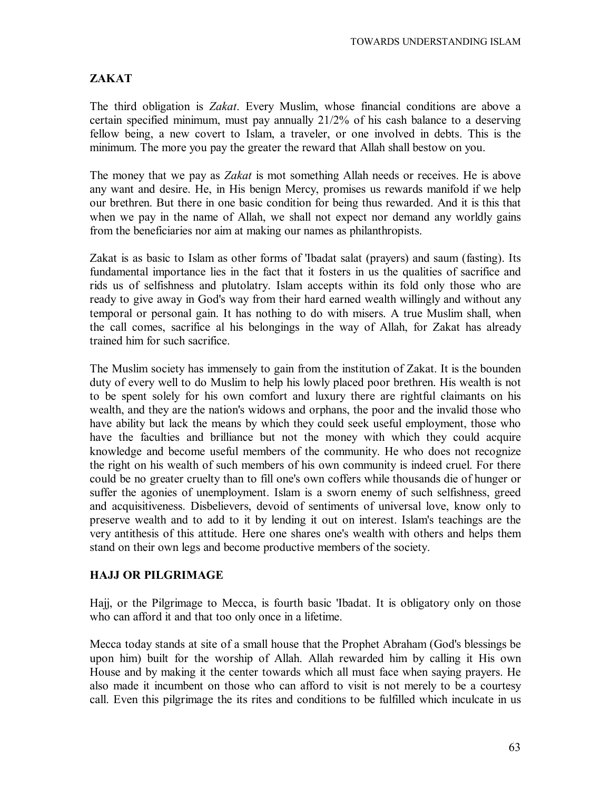## **ZAKAT**

The third obligation is *Zakat*. Every Muslim, whose financial conditions are above a certain specified minimum, must pay annually 21/2% of his cash balance to a deserving fellow being, a new covert to Islam, a traveler, or one involved in debts. This is the minimum. The more you pay the greater the reward that Allah shall bestow on you.

The money that we pay as *Zakat* is mot something Allah needs or receives. He is above any want and desire. He, in His benign Mercy, promises us rewards manifold if we help our brethren. But there in one basic condition for being thus rewarded. And it is this that when we pay in the name of Allah, we shall not expect nor demand any worldly gains from the beneficiaries nor aim at making our names as philanthropists.

Zakat is as basic to Islam as other forms of 'Ibadat salat (prayers) and saum (fasting). Its fundamental importance lies in the fact that it fosters in us the qualities of sacrifice and rids us of selfishness and plutolatry. Islam accepts within its fold only those who are ready to give away in God's way from their hard earned wealth willingly and without any temporal or personal gain. It has nothing to do with misers. A true Muslim shall, when the call comes, sacrifice al his belongings in the way of Allah, for Zakat has already trained him for such sacrifice.

The Muslim society has immensely to gain from the institution of Zakat. It is the bounden duty of every well to do Muslim to help his lowly placed poor brethren. His wealth is not to be spent solely for his own comfort and luxury there are rightful claimants on his wealth, and they are the nation's widows and orphans, the poor and the invalid those who have ability but lack the means by which they could seek useful employment, those who have the faculties and brilliance but not the money with which they could acquire knowledge and become useful members of the community. He who does not recognize the right on his wealth of such members of his own community is indeed cruel. For there could be no greater cruelty than to fill one's own coffers while thousands die of hunger or suffer the agonies of unemployment. Islam is a sworn enemy of such selfishness, greed and acquisitiveness. Disbelievers, devoid of sentiments of universal love, know only to preserve wealth and to add to it by lending it out on interest. Islam's teachings are the very antithesis of this attitude. Here one shares one's wealth with others and helps them stand on their own legs and become productive members of the society.

## **HAJJ OR PILGRIMAGE**

Hajj, or the Pilgrimage to Mecca, is fourth basic 'Ibadat. It is obligatory only on those who can afford it and that too only once in a lifetime.

Mecca today stands at site of a small house that the Prophet Abraham (God's blessings be upon him) built for the worship of Allah. Allah rewarded him by calling it His own House and by making it the center towards which all must face when saying prayers. He also made it incumbent on those who can afford to visit is not merely to be a courtesy call. Even this pilgrimage the its rites and conditions to be fulfilled which inculcate in us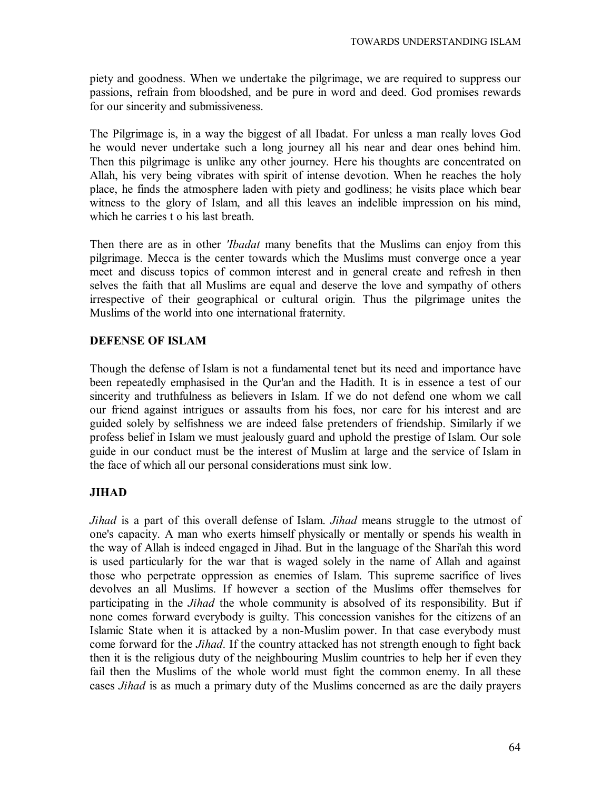piety and goodness. When we undertake the pilgrimage, we are required to suppress our passions, refrain from bloodshed, and be pure in word and deed. God promises rewards for our sincerity and submissiveness.

The Pilgrimage is, in a way the biggest of all Ibadat. For unless a man really loves God he would never undertake such a long journey all his near and dear ones behind him. Then this pilgrimage is unlike any other journey. Here his thoughts are concentrated on Allah, his very being vibrates with spirit of intense devotion. When he reaches the holy place, he finds the atmosphere laden with piety and godliness; he visits place which bear witness to the glory of Islam, and all this leaves an indelible impression on his mind, which he carries t o his last breath.

Then there are as in other *'Ibadat* many benefits that the Muslims can enjoy from this pilgrimage. Mecca is the center towards which the Muslims must converge once a year meet and discuss topics of common interest and in general create and refresh in then selves the faith that all Muslims are equal and deserve the love and sympathy of others irrespective of their geographical or cultural origin. Thus the pilgrimage unites the Muslims of the world into one international fraternity.

## **DEFENSE OF ISLAM**

Though the defense of Islam is not a fundamental tenet but its need and importance have been repeatedly emphasised in the Qur'an and the Hadith. It is in essence a test of our sincerity and truthfulness as believers in Islam. If we do not defend one whom we call our friend against intrigues or assaults from his foes, nor care for his interest and are guided solely by selfishness we are indeed false pretenders of friendship. Similarly if we profess belief in Islam we must jealously guard and uphold the prestige of Islam. Our sole guide in our conduct must be the interest of Muslim at large and the service of Islam in the face of which all our personal considerations must sink low.

## **JIHAD**

*Jihad* is a part of this overall defense of Islam. *Jihad* means struggle to the utmost of one's capacity. A man who exerts himself physically or mentally or spends his wealth in the way of Allah is indeed engaged in Jihad. But in the language of the Shari'ah this word is used particularly for the war that is waged solely in the name of Allah and against those who perpetrate oppression as enemies of Islam. This supreme sacrifice of lives devolves an all Muslims. If however a section of the Muslims offer themselves for participating in the *Jihad* the whole community is absolved of its responsibility. But if none comes forward everybody is guilty. This concession vanishes for the citizens of an Islamic State when it is attacked by a non-Muslim power. In that case everybody must come forward for the *Jihad*. If the country attacked has not strength enough to fight back then it is the religious duty of the neighbouring Muslim countries to help her if even they fail then the Muslims of the whole world must fight the common enemy. In all these cases *Jihad* is as much a primary duty of the Muslims concerned as are the daily prayers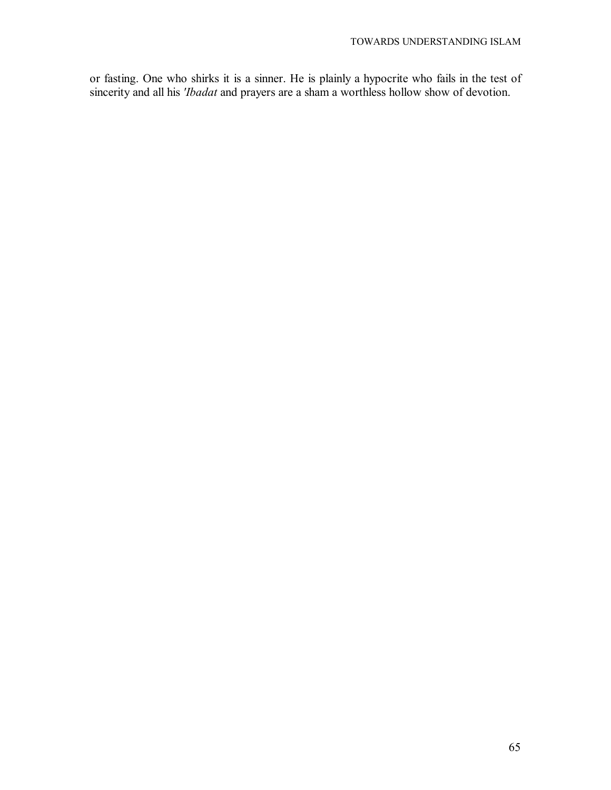or fasting. One who shirks it is a sinner. He is plainly a hypocrite who fails in the test of sincerity and all his *'Ibadat* and prayers are a sham a worthless hollow show of devotion.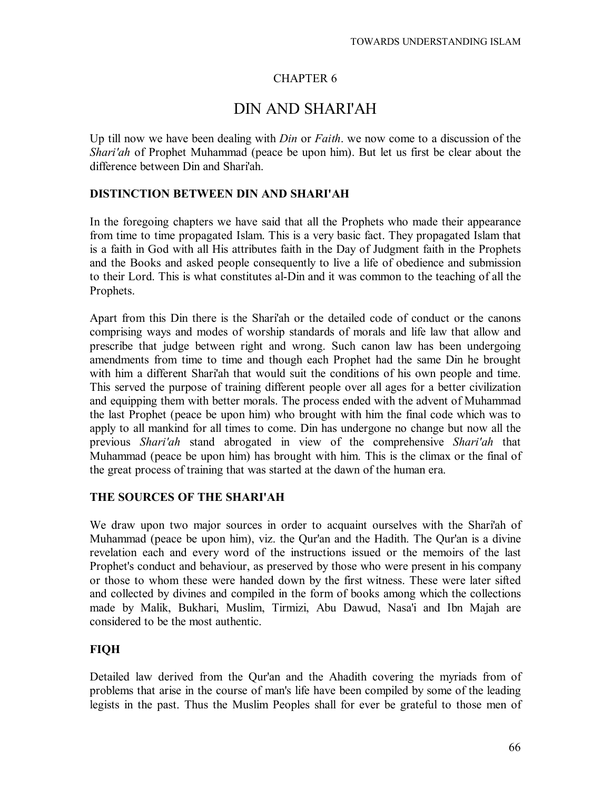## CHAPTER 6

# DIN AND SHARI'AH

Up till now we have been dealing with *Din* or *Faith*. we now come to a discussion of the *Shari'ah* of Prophet Muhammad (peace be upon him). But let us first be clear about the difference between Din and Shari'ah.

## **DISTINCTION BETWEEN DIN AND SHARI'AH**

In the foregoing chapters we have said that all the Prophets who made their appearance from time to time propagated Islam. This is a very basic fact. They propagated Islam that is a faith in God with all His attributes faith in the Day of Judgment faith in the Prophets and the Books and asked people consequently to live a life of obedience and submission to their Lord. This is what constitutes al-Din and it was common to the teaching of all the Prophets.

Apart from this Din there is the Shari'ah or the detailed code of conduct or the canons comprising ways and modes of worship standards of morals and life law that allow and prescribe that judge between right and wrong. Such canon law has been undergoing amendments from time to time and though each Prophet had the same Din he brought with him a different Shari'ah that would suit the conditions of his own people and time. This served the purpose of training different people over all ages for a better civilization and equipping them with better morals. The process ended with the advent of Muhammad the last Prophet (peace be upon him) who brought with him the final code which was to apply to all mankind for all times to come. Din has undergone no change but now all the previous *Shari'ah* stand abrogated in view of the comprehensive *Shari'ah* that Muhammad (peace be upon him) has brought with him. This is the climax or the final of the great process of training that was started at the dawn of the human era.

## **THE SOURCES OF THE SHARI'AH**

We draw upon two major sources in order to acquaint ourselves with the Shari'ah of Muhammad (peace be upon him), viz. the Qur'an and the Hadith. The Qur'an is a divine revelation each and every word of the instructions issued or the memoirs of the last Prophet's conduct and behaviour, as preserved by those who were present in his company or those to whom these were handed down by the first witness. These were later sifted and collected by divines and compiled in the form of books among which the collections made by Malik, Bukhari, Muslim, Tirmizi, Abu Dawud, Nasa'i and Ibn Majah are considered to be the most authentic.

## **FIQH**

Detailed law derived from the Qur'an and the Ahadith covering the myriads from of problems that arise in the course of man's life have been compiled by some of the leading legists in the past. Thus the Muslim Peoples shall for ever be grateful to those men of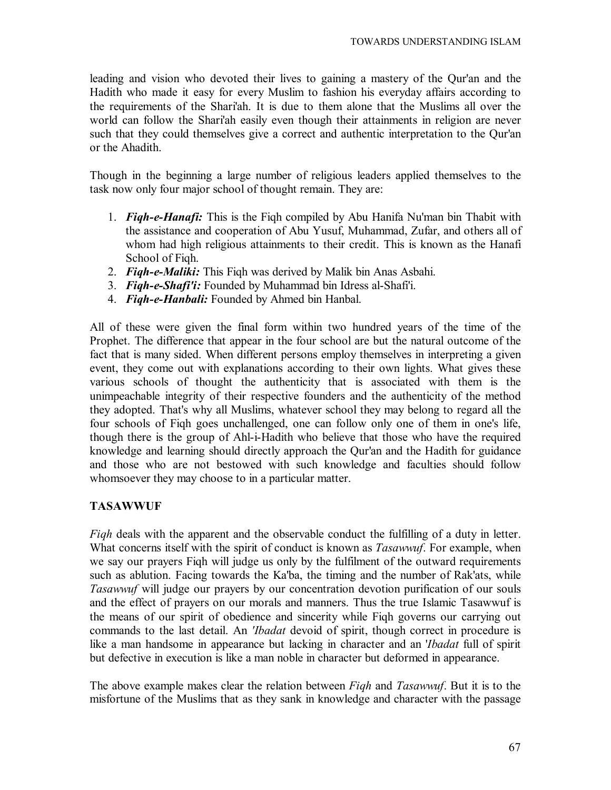leading and vision who devoted their lives to gaining a mastery of the Qur'an and the Hadith who made it easy for every Muslim to fashion his everyday affairs according to the requirements of the Shari'ah. It is due to them alone that the Muslims all over the world can follow the Shari'ah easily even though their attainments in religion are never such that they could themselves give a correct and authentic interpretation to the Qur'an or the Ahadith.

Though in the beginning a large number of religious leaders applied themselves to the task now only four major school of thought remain. They are:

- 1. *Fiqh-e-Hanafi:* This is the Fiqh compiled by Abu Hanifa Nu'man bin Thabit with the assistance and cooperation of Abu Yusuf, Muhammad, Zufar, and others all of whom had high religious attainments to their credit. This is known as the Hanafi School of Fiqh.
- 2. *Fiqh-e-Maliki:* This Fiqh was derived by Malik bin Anas Asbahi.
- 3. *Fiqh-e-Shafi'i:* Founded by Muhammad bin Idress al-Shafi'i.
- 4. *Fiqh-e-Hanbali:* Founded by Ahmed bin Hanbal.

All of these were given the final form within two hundred years of the time of the Prophet. The difference that appear in the four school are but the natural outcome of the fact that is many sided. When different persons employ themselves in interpreting a given event, they come out with explanations according to their own lights. What gives these various schools of thought the authenticity that is associated with them is the unimpeachable integrity of their respective founders and the authenticity of the method they adopted. That's why all Muslims, whatever school they may belong to regard all the four schools of Fiqh goes unchallenged, one can follow only one of them in one's life, though there is the group of Ahl-i-Hadith who believe that those who have the required knowledge and learning should directly approach the Qur'an and the Hadith for guidance and those who are not bestowed with such knowledge and faculties should follow whomsoever they may choose to in a particular matter.

## **TASAWWUF**

*Fiqh* deals with the apparent and the observable conduct the fulfilling of a duty in letter. What concerns itself with the spirit of conduct is known as *Tasawwuf*. For example, when we say our prayers Fiqh will judge us only by the fulfilment of the outward requirements such as ablution. Facing towards the Ka'ba, the timing and the number of Rak'ats, while *Tasawwuf* will judge our prayers by our concentration devotion purification of our souls and the effect of prayers on our morals and manners. Thus the true Islamic Tasawwuf is the means of our spirit of obedience and sincerity while Fiqh governs our carrying out commands to the last detail. An *'Ibadat* devoid of spirit, though correct in procedure is like a man handsome in appearance but lacking in character and an '*Ibadat* full of spirit but defective in execution is like a man noble in character but deformed in appearance.

The above example makes clear the relation between *Fiqh* and *Tasawwuf*. But it is to the misfortune of the Muslims that as they sank in knowledge and character with the passage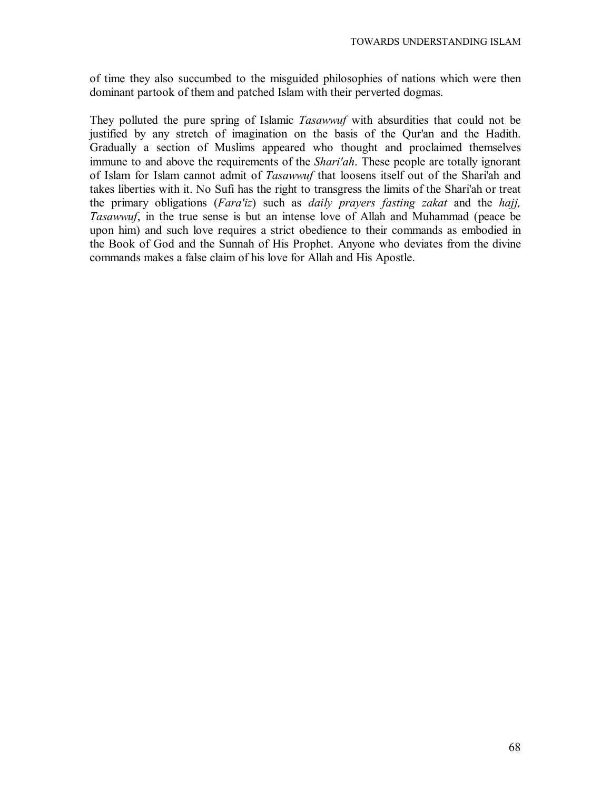of time they also succumbed to the misguided philosophies of nations which were then dominant partook of them and patched Islam with their perverted dogmas.

They polluted the pure spring of Islamic *Tasawwuf* with absurdities that could not be justified by any stretch of imagination on the basis of the Qur'an and the Hadith. Gradually a section of Muslims appeared who thought and proclaimed themselves immune to and above the requirements of the *Shari'ah*. These people are totally ignorant of Islam for Islam cannot admit of *Tasawwuf* that loosens itself out of the Shari'ah and takes liberties with it. No Sufi has the right to transgress the limits of the Shari'ah or treat the primary obligations (*Fara'iz*) such as *daily prayers fasting zakat* and the *hajj, Tasawwuf*, in the true sense is but an intense love of Allah and Muhammad (peace be upon him) and such love requires a strict obedience to their commands as embodied in the Book of God and the Sunnah of His Prophet. Anyone who deviates from the divine commands makes a false claim of his love for Allah and His Apostle.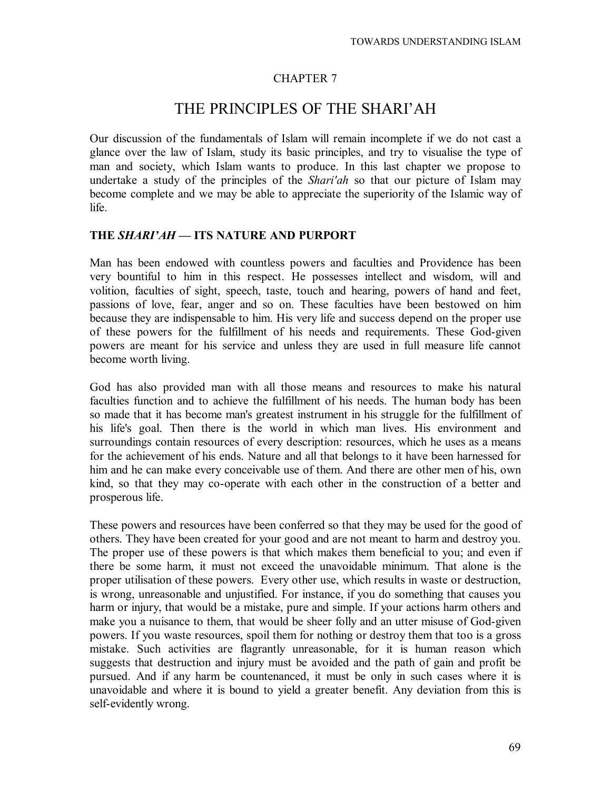## CHAPTER 7

## THE PRINCIPLES OF THE SHARI'AH

Our discussion of the fundamentals of Islam will remain incomplete if we do not cast a glance over the law of Islam, study its basic principles, and try to visualise the type of man and society, which Islam wants to produce. In this last chapter we propose to undertake a study of the principles of the *Shari'ah* so that our picture of Islam may become complete and we may be able to appreciate the superiority of the Islamic way of life.

#### **THE** *SHARI'AH —* **ITS NATURE AND PURPORT**

Man has been endowed with countless powers and faculties and Providence has been very bountiful to him in this respect. He possesses intellect and wisdom, will and volition, faculties of sight, speech, taste, touch and hearing, powers of hand and feet, passions of love, fear, anger and so on. These faculties have been bestowed on him because they are indispensable to him. His very life and success depend on the proper use of these powers for the fulfillment of his needs and requirements. These God-given powers are meant for his service and unless they are used in full measure life cannot become worth living.

God has also provided man with all those means and resources to make his natural faculties function and to achieve the fulfillment of his needs. The human body has been so made that it has become man's greatest instrument in his struggle for the fulfillment of his life's goal. Then there is the world in which man lives. His environment and surroundings contain resources of every description: resources, which he uses as a means for the achievement of his ends. Nature and all that belongs to it have been harnessed for him and he can make every conceivable use of them. And there are other men of his, own kind, so that they may co-operate with each other in the construction of a better and prosperous life.

These powers and resources have been conferred so that they may be used for the good of others. They have been created for your good and are not meant to harm and destroy you. The proper use of these powers is that which makes them beneficial to you; and even if there be some harm, it must not exceed the unavoidable minimum. That alone is the proper utilisation of these powers. Every other use, which results in waste or destruction, is wrong, unreasonable and unjustified. For instance, if you do something that causes you harm or injury, that would be a mistake, pure and simple. If your actions harm others and make you a nuisance to them, that would be sheer folly and an utter misuse of God-given powers. If you waste resources, spoil them for nothing or destroy them that too is a gross mistake. Such activities are flagrantly unreasonable, for it is human reason which suggests that destruction and injury must be avoided and the path of gain and profit be pursued. And if any harm be countenanced, it must be only in such cases where it is unavoidable and where it is bound to yield a greater benefit. Any deviation from this is self-evidently wrong.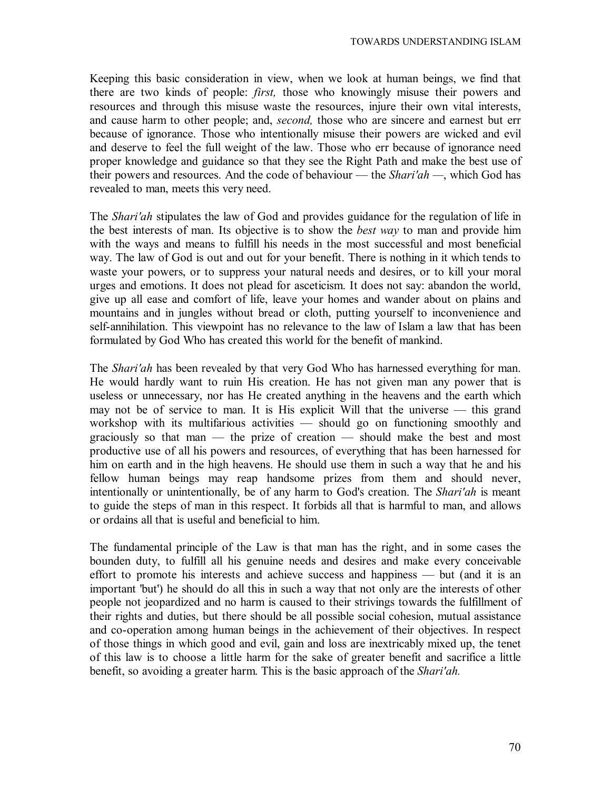Keeping this basic consideration in view, when we look at human beings, we find that there are two kinds of people: *first,* those who knowingly misuse their powers and resources and through this misuse waste the resources, injure their own vital interests, and cause harm to other people; and, *second,* those who are sincere and earnest but err because of ignorance. Those who intentionally misuse their powers are wicked and evil and deserve to feel the full weight of the law. Those who err because of ignorance need proper knowledge and guidance so that they see the Right Path and make the best use of their powers and resources. And the code of behaviour — the *Shari'ah —*, which God has revealed to man, meets this very need.

The *Shari'ah* stipulates the law of God and provides guidance for the regulation of life in the best interests of man. Its objective is to show the *best way* to man and provide him with the ways and means to fulfill his needs in the most successful and most beneficial way. The law of God is out and out for your benefit. There is nothing in it which tends to waste your powers, or to suppress your natural needs and desires, or to kill your moral urges and emotions. It does not plead for asceticism. It does not say: abandon the world, give up all ease and comfort of life, leave your homes and wander about on plains and mountains and in jungles without bread or cloth, putting yourself to inconvenience and self-annihilation. This viewpoint has no relevance to the law of Islam a law that has been formulated by God Who has created this world for the benefit of mankind.

The *Shari'ah* has been revealed by that very God Who has harnessed everything for man. He would hardly want to ruin His creation. He has not given man any power that is useless or unnecessary, nor has He created anything in the heavens and the earth which may not be of service to man. It is His explicit Will that the universe — this grand workshop with its multifarious activities — should go on functioning smoothly and graciously so that man — the prize of creation — should make the best and most productive use of all his powers and resources, of everything that has been harnessed for him on earth and in the high heavens. He should use them in such a way that he and his fellow human beings may reap handsome prizes from them and should never, intentionally or unintentionally, be of any harm to God's creation. The *Shari'ah* is meant to guide the steps of man in this respect. It forbids all that is harmful to man, and allows or ordains all that is useful and beneficial to him.

The fundamental principle of the Law is that man has the right, and in some cases the bounden duty, to fulfill all his genuine needs and desires and make every conceivable effort to promote his interests and achieve success and happiness — but (and it is an important 'but') he should do all this in such a way that not only are the interests of other people not jeopardized and no harm is caused to their strivings towards the fulfillment of their rights and duties, but there should be all possible social cohesion, mutual assistance and co-operation among human beings in the achievement of their objectives. In respect of those things in which good and evil, gain and loss are inextricably mixed up, the tenet of this law is to choose a little harm for the sake of greater benefit and sacrifice a little benefit, so avoiding a greater harm. This is the basic approach of the *Shari'ah.*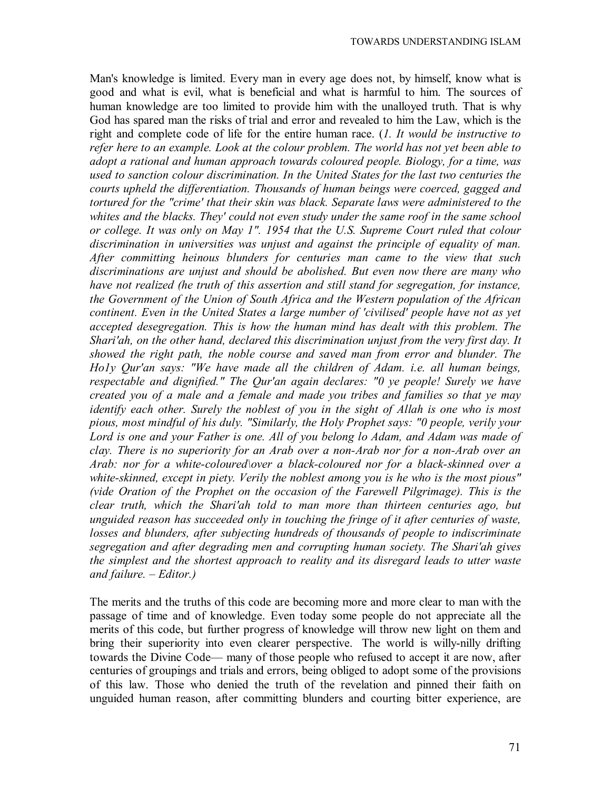Man's knowledge is limited. Every man in every age does not, by himself, know what is good and what is evil, what is beneficial and what is harmful to him. The sources of human knowledge are too limited to provide him with the unalloyed truth. That is why God has spared man the risks of trial and error and revealed to him the Law, which is the right and complete code of life for the entire human race. (*1. It would be instructive to refer here to an example. Look at the colour problem. The world has not yet been able to adopt a rational and human approach towards coloured people. Biology, for a time, was used to sanction colour discrimination. In the United States for the last two centuries the courts upheld the differentiation. Thousands of human beings were coerced, gagged and tortured for the "crime' that their skin was black. Separate laws were administered to the whites and the blacks. They' could not even study under the same roof in the same school or college. It was only on May 1". 1954 that the U.S. Supreme Court ruled that colour discrimination in universities was unjust and against the principle of equality of man. After committing heinous blunders for centuries man came to the view that such discriminations are unjust and should be abolished. But even now there are many who*  have not realized (he truth of this assertion and still stand for segregation, for instance, *the Government of the Union of South Africa and the Western population of the African continent. Even in the United States a large number of 'civilised' people have not as yet accepted desegregation. This is how the human mind has dealt with this problem. The Shari'ah, on the other hand, declared this discrimination unjust from the very first day. It showed the right path, the noble course and saved man from error and blunder. The Ho1y Qur'an says: "We have made all the children of Adam. i.e. all human beings, respectable and dignified." The Qur'an again declares: "0 ye people! Surely we have created you of a male and a female and made you tribes and families so that ye may identify each other. Surely the noblest of you in the sight of Allah is one who is most pious, most mindful of his duly. "Similarly, the Holy Prophet says: "0 people, verily your Lord is one and your Father is one. All of you belong lo Adam, and Adam was made of clay. There is no superiority for an Arab over a non-Arab nor for a non-Arab over an Arab: nor for a white-coloured\over a black-coloured nor for a black-skinned over a white-skinned, except in piety. Verily the noblest among you is he who is the most pious" (vide Oration of the Prophet on the occasion of the Farewell Pilgrimage). This is the clear truth, which the Shari'ah told to man more than thirteen centuries ago, but unguided reason has succeeded only in touching the fringe of it after centuries of waste, losses and blunders, after subjecting hundreds of thousands of people to indiscriminate segregation and after degrading men and corrupting human society. The Shari'ah gives the simplest and the shortest approach to reality and its disregard leads to utter waste and failure. – Editor.)*

The merits and the truths of this code are becoming more and more clear to man with the passage of time and of knowledge. Even today some people do not appreciate all the merits of this code, but further progress of knowledge will throw new light on them and bring their superiority into even clearer perspective. The world is willy-nilly drifting towards the Divine Code— many of those people who refused to accept it are now, after centuries of groupings and trials and errors, being obliged to adopt some of the provisions of this law. Those who denied the truth of the revelation and pinned their faith on unguided human reason, after committing blunders and courting bitter experience, are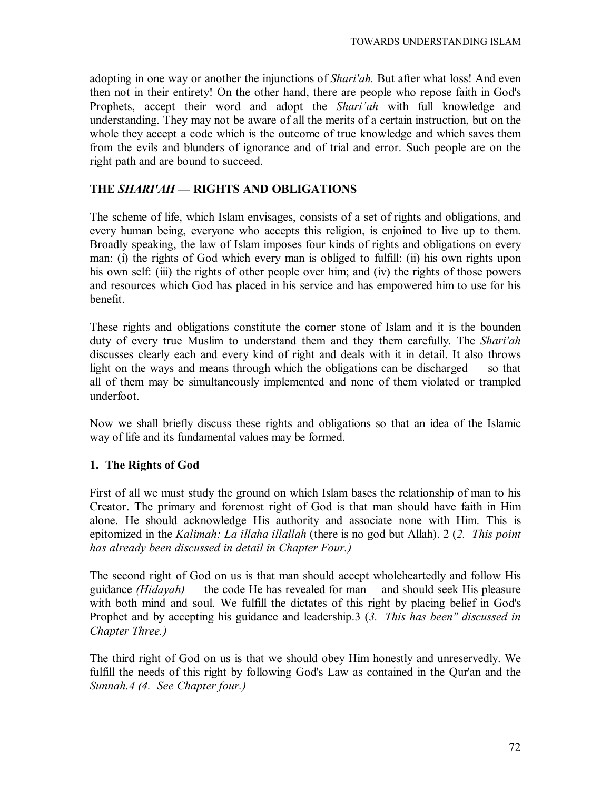adopting in one way or another the injunctions of *Shari'ah.* But after what loss! And even then not in their entirety! On the other hand, there are people who repose faith in God's Prophets, accept their word and adopt the *Shari'ah* with full knowledge and understanding. They may not be aware of all the merits of a certain instruction, but on the whole they accept a code which is the outcome of true knowledge and which saves them from the evils and blunders of ignorance and of trial and error. Such people are on the right path and are bound to succeed.

## **THE** *SHARI'AH —* **RIGHTS AND OBLIGATIONS**

The scheme of life, which Islam envisages, consists of a set of rights and obligations, and every human being, everyone who accepts this religion, is enjoined to live up to them. Broadly speaking, the law of Islam imposes four kinds of rights and obligations on every man: (i) the rights of God which every man is obliged to fulfill: (ii) his own rights upon his own self: (iii) the rights of other people over him; and (iv) the rights of those powers and resources which God has placed in his service and has empowered him to use for his benefit.

These rights and obligations constitute the corner stone of Islam and it is the bounden duty of every true Muslim to understand them and they them carefully. The *Shari'ah* discusses clearly each and every kind of right and deals with it in detail. It also throws light on the ways and means through which the obligations can be discharged — so that all of them may be simultaneously implemented and none of them violated or trampled underfoot.

Now we shall briefly discuss these rights and obligations so that an idea of the Islamic way of life and its fundamental values may be formed.

#### **1. The Rights of God**

First of all we must study the ground on which Islam bases the relationship of man to his Creator. The primary and foremost right of God is that man should have faith in Him alone. He should acknowledge His authority and associate none with Him. This is epitomized in the *Kalimah: La illaha illallah* (there is no god but Allah). 2 (*2. This point has already been discussed in detail in Chapter Four.)*

The second right of God on us is that man should accept wholeheartedly and follow His guidance *(Hidayah)* — the code He has revealed for man— and should seek His pleasure with both mind and soul. We fulfill the dictates of this right by placing belief in God's Prophet and by accepting his guidance and leadership.3 (*3. This has been" discussed in Chapter Three.)*

The third right of God on us is that we should obey Him honestly and unreservedly. We fulfill the needs of this right by following God's Law as contained in the Qur'an and the *Sunnah.4 (4. See Chapter four.)*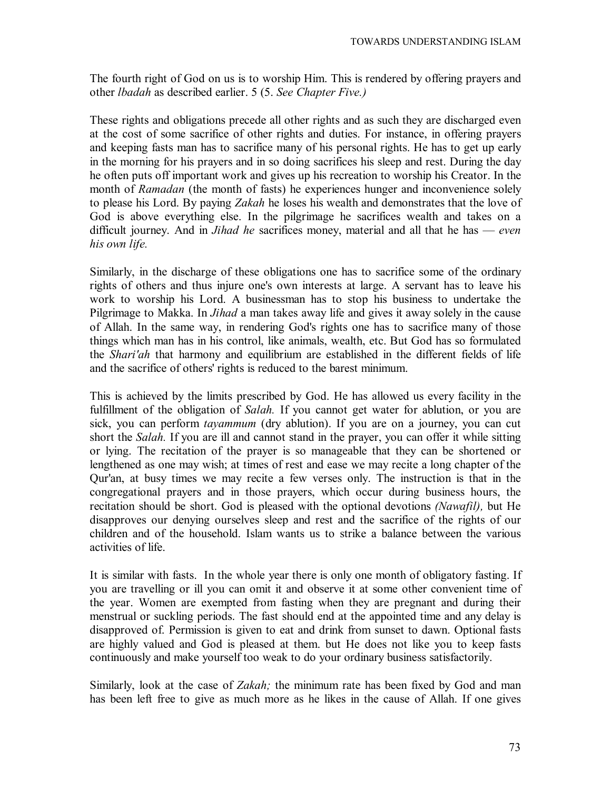The fourth right of God on us is to worship Him. This is rendered by offering prayers and other *lbadah* as described earlier. 5 (5. *See Chapter Five.)*

These rights and obligations precede all other rights and as such they are discharged even at the cost of some sacrifice of other rights and duties. For instance, in offering prayers and keeping fasts man has to sacrifice many of his personal rights. He has to get up early in the morning for his prayers and in so doing sacrifices his sleep and rest. During the day he often puts off important work and gives up his recreation to worship his Creator. In the month of *Ramadan* (the month of fasts) he experiences hunger and inconvenience solely to please his Lord. By paying *Zakah* he loses his wealth and demonstrates that the love of God is above everything else. In the pilgrimage he sacrifices wealth and takes on a difficult journey. And in *Jihad he* sacrifices money, material and all that he has — *even his own life.*

Similarly, in the discharge of these obligations one has to sacrifice some of the ordinary rights of others and thus injure one's own interests at large. A servant has to leave his work to worship his Lord. A businessman has to stop his business to undertake the Pilgrimage to Makka. In *Jihad* a man takes away life and gives it away solely in the cause of Allah. In the same way, in rendering God's rights one has to sacrifice many of those things which man has in his control, like animals, wealth, etc. But God has so formulated the *Shari'ah* that harmony and equilibrium are established in the different fields of life and the sacrifice of others' rights is reduced to the barest minimum.

This is achieved by the limits prescribed by God. He has allowed us every facility in the fulfillment of the obligation of *Salah.* If you cannot get water for ablution, or you are sick, you can perform *tayammum* (dry ablution). If you are on a journey, you can cut short the *Salah.* If you are ill and cannot stand in the prayer, you can offer it while sitting or lying. The recitation of the prayer is so manageable that they can be shortened or lengthened as one may wish; at times of rest and ease we may recite a long chapter of the Qur'an, at busy times we may recite a few verses only. The instruction is that in the congregational prayers and in those prayers, which occur during business hours, the recitation should be short. God is pleased with the optional devotions *(Nawafil),* but He disapproves our denying ourselves sleep and rest and the sacrifice of the rights of our children and of the household. Islam wants us to strike a balance between the various activities of life.

It is similar with fasts. In the whole year there is only one month of obligatory fasting. If you are travelling or ill you can omit it and observe it at some other convenient time of the year. Women are exempted from fasting when they are pregnant and during their menstrual or suckling periods. The fast should end at the appointed time and any delay is disapproved of. Permission is given to eat and drink from sunset to dawn. Optional fasts are highly valued and God is pleased at them. but He does not like you to keep fasts continuously and make yourself too weak to do your ordinary business satisfactorily.

Similarly, look at the case of *Zakah;* the minimum rate has been fixed by God and man has been left free to give as much more as he likes in the cause of Allah. If one gives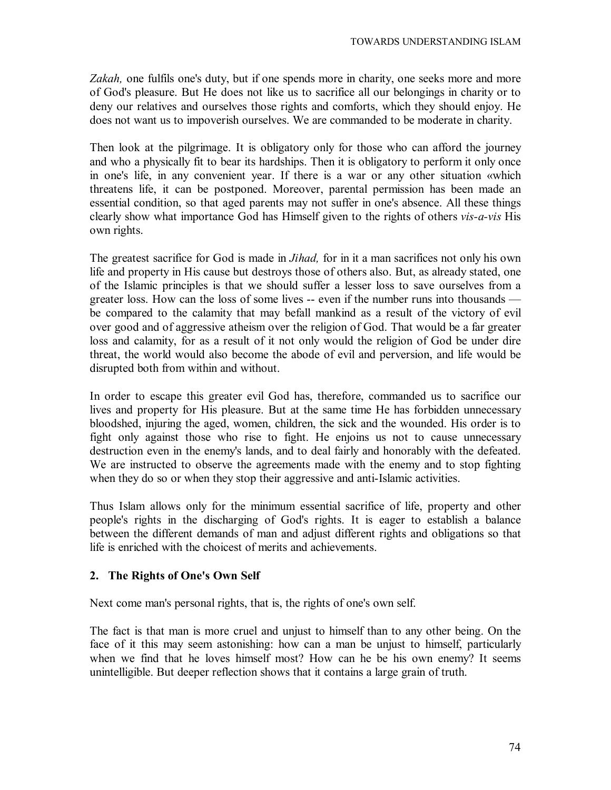*Zakah,* one fulfils one's duty, but if one spends more in charity, one seeks more and more of God's pleasure. But He does not like us to sacrifice all our belongings in charity or to deny our relatives and ourselves those rights and comforts, which they should enjoy. He does not want us to impoverish ourselves. We are commanded to be moderate in charity.

Then look at the pilgrimage. It is obligatory only for those who can afford the journey and who a physically fit to bear its hardships. Then it is obligatory to perform it only once in one's life, in any convenient year. If there is a war or any other situation «which threatens life, it can be postponed. Moreover, parental permission has been made an essential condition, so that aged parents may not suffer in one's absence. All these things clearly show what importance God has Himself given to the rights of others *vis-a-vis* His own rights.

The greatest sacrifice for God is made in *Jihad,* for in it a man sacrifices not only his own life and property in His cause but destroys those of others also. But, as already stated, one of the Islamic principles is that we should suffer a lesser loss to save ourselves from a greater loss. How can the loss of some lives -- even if the number runs into thousands be compared to the calamity that may befall mankind as a result of the victory of evil over good and of aggressive atheism over the religion of God. That would be a far greater loss and calamity, for as a result of it not only would the religion of God be under dire threat, the world would also become the abode of evil and perversion, and life would be disrupted both from within and without.

In order to escape this greater evil God has, therefore, commanded us to sacrifice our lives and property for His pleasure. But at the same time He has forbidden unnecessary bloodshed, injuring the aged, women, children, the sick and the wounded. His order is to fight only against those who rise to fight. He enjoins us not to cause unnecessary destruction even in the enemy's lands, and to deal fairly and honorably with the defeated. We are instructed to observe the agreements made with the enemy and to stop fighting when they do so or when they stop their aggressive and anti-Islamic activities.

Thus Islam allows only for the minimum essential sacrifice of life, property and other people's rights in the discharging of God's rights. It is eager to establish a balance between the different demands of man and adjust different rights and obligations so that life is enriched with the choicest of merits and achievements.

## **2. The Rights of One's Own Self**

Next come man's personal rights, that is, the rights of one's own self.

The fact is that man is more cruel and unjust to himself than to any other being. On the face of it this may seem astonishing: how can a man be unjust to himself, particularly when we find that he loves himself most? How can he be his own enemy? It seems unintelligible. But deeper reflection shows that it contains a large grain of truth.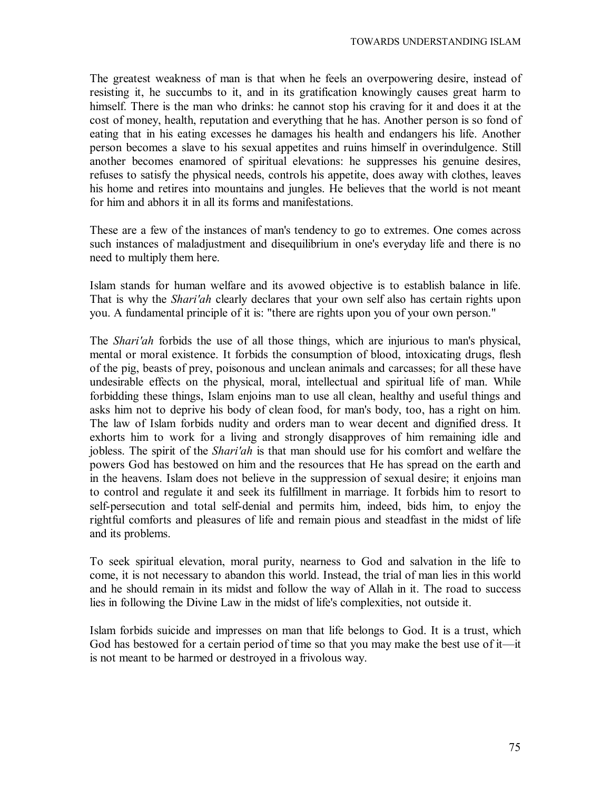The greatest weakness of man is that when he feels an overpowering desire, instead of resisting it, he succumbs to it, and in its gratification knowingly causes great harm to himself. There is the man who drinks: he cannot stop his craving for it and does it at the cost of money, health, reputation and everything that he has. Another person is so fond of eating that in his eating excesses he damages his health and endangers his life. Another person becomes a slave to his sexual appetites and ruins himself in overindulgence. Still another becomes enamored of spiritual elevations: he suppresses his genuine desires, refuses to satisfy the physical needs, controls his appetite, does away with clothes, leaves his home and retires into mountains and jungles. He believes that the world is not meant for him and abhors it in all its forms and manifestations.

These are a few of the instances of man's tendency to go to extremes. One comes across such instances of maladjustment and disequilibrium in one's everyday life and there is no need to multiply them here.

Islam stands for human welfare and its avowed objective is to establish balance in life. That is why the *Shari'ah* clearly declares that your own self also has certain rights upon you. A fundamental principle of it is: "there are rights upon you of your own person."

The *Shari'ah* forbids the use of all those things, which are injurious to man's physical, mental or moral existence. It forbids the consumption of blood, intoxicating drugs, flesh of the pig, beasts of prey, poisonous and unclean animals and carcasses; for all these have undesirable effects on the physical, moral, intellectual and spiritual life of man. While forbidding these things, Islam enjoins man to use all clean, healthy and useful things and asks him not to deprive his body of clean food, for man's body, too, has a right on him. The law of Islam forbids nudity and orders man to wear decent and dignified dress. It exhorts him to work for a living and strongly disapproves of him remaining idle and jobless. The spirit of the *Shari'ah* is that man should use for his comfort and welfare the powers God has bestowed on him and the resources that He has spread on the earth and in the heavens. Islam does not believe in the suppression of sexual desire; it enjoins man to control and regulate it and seek its fulfillment in marriage. It forbids him to resort to self-persecution and total self-denial and permits him, indeed, bids him, to enjoy the rightful comforts and pleasures of life and remain pious and steadfast in the midst of life and its problems.

To seek spiritual elevation, moral purity, nearness to God and salvation in the life to come, it is not necessary to abandon this world. Instead, the trial of man lies in this world and he should remain in its midst and follow the way of Allah in it. The road to success lies in following the Divine Law in the midst of life's complexities, not outside it.

Islam forbids suicide and impresses on man that life belongs to God. It is a trust, which God has bestowed for a certain period of time so that you may make the best use of it—it is not meant to be harmed or destroyed in a frivolous way.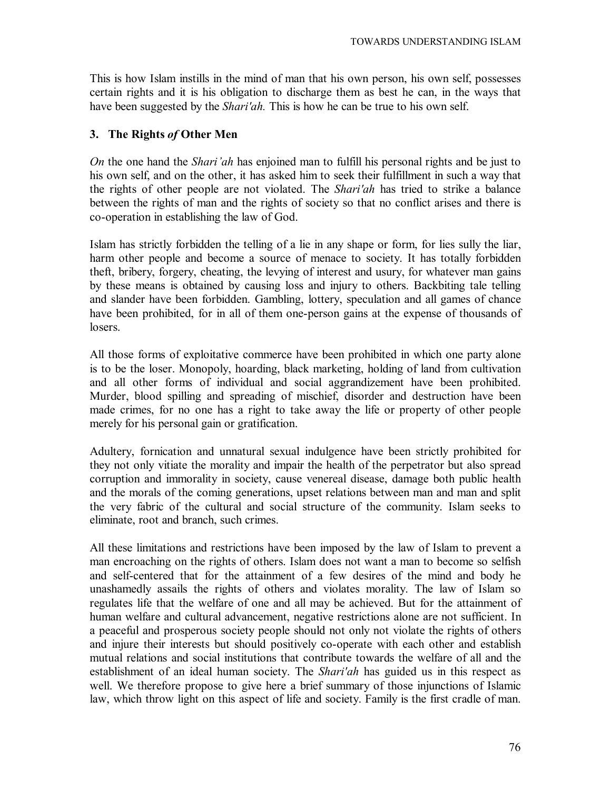This is how Islam instills in the mind of man that his own person, his own self, possesses certain rights and it is his obligation to discharge them as best he can, in the ways that have been suggested by the *Shari'ah.* This is how he can be true to his own self.

## **3. The Rights** *of* **Other Men**

*On* the one hand the *Shari'ah* has enjoined man to fulfill his personal rights and be just to his own self, and on the other, it has asked him to seek their fulfillment in such a way that the rights of other people are not violated. The *Shari'ah* has tried to strike a balance between the rights of man and the rights of society so that no conflict arises and there is co-operation in establishing the law of God.

Islam has strictly forbidden the telling of a lie in any shape or form, for lies sully the liar, harm other people and become a source of menace to society. It has totally forbidden theft, bribery, forgery, cheating, the levying of interest and usury, for whatever man gains by these means is obtained by causing loss and injury to others. Backbiting tale telling and slander have been forbidden. Gambling, lottery, speculation and all games of chance have been prohibited, for in all of them one-person gains at the expense of thousands of losers.

All those forms of exploitative commerce have been prohibited in which one party alone is to be the loser. Monopoly, hoarding, black marketing, holding of land from cultivation and all other forms of individual and social aggrandizement have been prohibited. Murder, blood spilling and spreading of mischief, disorder and destruction have been made crimes, for no one has a right to take away the life or property of other people merely for his personal gain or gratification.

Adultery, fornication and unnatural sexual indulgence have been strictly prohibited for they not only vitiate the morality and impair the health of the perpetrator but also spread corruption and immorality in society, cause venereal disease, damage both public health and the morals of the coming generations, upset relations between man and man and split the very fabric of the cultural and social structure of the community. Islam seeks to eliminate, root and branch, such crimes.

All these limitations and restrictions have been imposed by the law of Islam to prevent a man encroaching on the rights of others. Islam does not want a man to become so selfish and self-centered that for the attainment of a few desires of the mind and body he unashamedly assails the rights of others and violates morality. The law of Islam so regulates life that the welfare of one and all may be achieved. But for the attainment of human welfare and cultural advancement, negative restrictions alone are not sufficient. In a peaceful and prosperous society people should not only not violate the rights of others and injure their interests but should positively co-operate with each other and establish mutual relations and social institutions that contribute towards the welfare of all and the establishment of an ideal human society. The *Shari'ah* has guided us in this respect as well. We therefore propose to give here a brief summary of those injunctions of Islamic law, which throw light on this aspect of life and society. Family is the first cradle of man.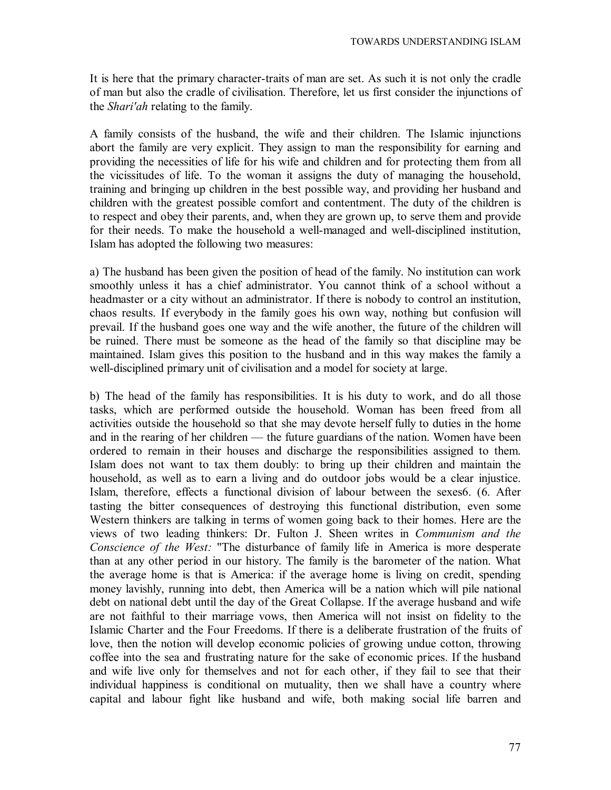It is here that the primary character-traits of man are set. As such it is not only the cradle of man but also the cradle of civilisation. Therefore, let us first consider the injunctions of the *Shari'ah* relating to the family.

A family consists of the husband, the wife and their children. The Islamic injunctions abort the family are very explicit. They assign to man the responsibility for earning and providing the necessities of life for his wife and children and for protecting them from all the vicissitudes of life. To the woman it assigns the duty of managing the household, training and bringing up children in the best possible way, and providing her husband and children with the greatest possible comfort and contentment. The duty of the children is to respect and obey their parents, and, when they are grown up, to serve them and provide for their needs. To make the household a well-managed and well-disciplined institution, Islam has adopted the following two measures:

a) The husband has been given the position of head of the family. No institution can work smoothly unless it has a chief administrator. You cannot think of a school without a headmaster or a city without an administrator. If there is nobody to control an institution, chaos results. If everybody in the family goes his own way, nothing but confusion will prevail. If the husband goes one way and the wife another, the future of the children will be ruined. There must be someone as the head of the family so that discipline may be maintained. Islam gives this position to the husband and in this way makes the family a well-disciplined primary unit of civilisation and a model for society at large.

b) The head of the family has responsibilities. It is his duty to work, and do all those tasks, which are performed outside the household. Woman has been freed from all activities outside the household so that she may devote herself fully to duties in the home and in the rearing of her children — the future guardians of the nation. Women have been ordered to remain in their houses and discharge the responsibilities assigned to them. Islam does not want to tax them doubly: to bring up their children and maintain the household, as well as to earn a living and do outdoor jobs would be a clear injustice. Islam, therefore, effects a functional division of labour between the sexes6. (6. After tasting the bitter consequences of destroying this functional distribution, even some Western thinkers are talking in terms of women going back to their homes. Here are the views of two leading thinkers: Dr. Fulton J. Sheen writes in *Communism and the Conscience of the West:* "The disturbance of family life in America is more desperate than at any other period in our history. The family is the barometer of the nation. What the average home is that is America: if the average home is living on credit, spending money lavishly, running into debt, then America will be a nation which will pile national debt on national debt until the day of the Great Collapse. If the average husband and wife are not faithful to their marriage vows, then America will not insist on fidelity to the Islamic Charter and the Four Freedoms. If there is a deliberate frustration of the fruits of love, then the notion will develop economic policies of growing undue cotton, throwing coffee into the sea and frustrating nature for the sake of economic prices. If the husband and wife live only for themselves and not for each other, if they fail to see that their individual happiness is conditional on mutuality, then we shall have a country where capital and labour fight like husband and wife, both making social life barren and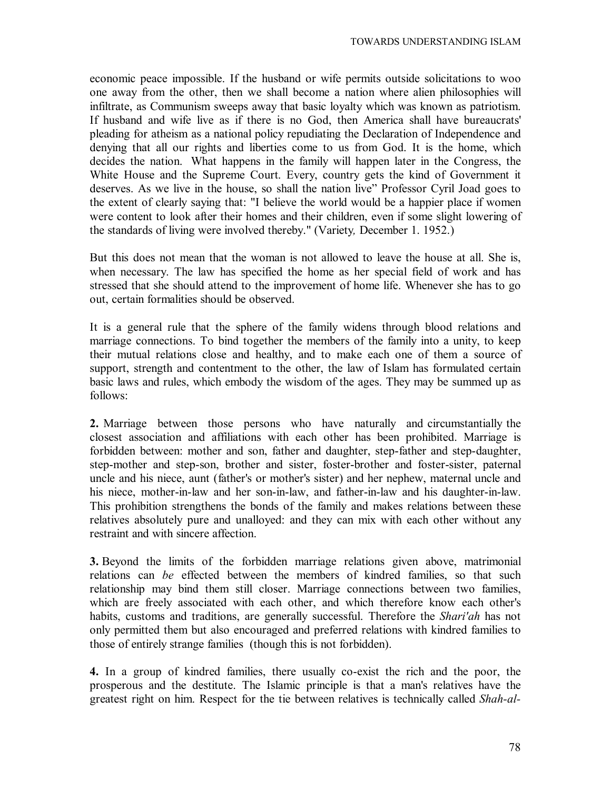economic peace impossible. If the husband or wife permits outside solicitations to woo one away from the other, then we shall become a nation where alien philosophies will infiltrate, as Communism sweeps away that basic loyalty which was known as patriotism. If husband and wife live as if there is no God, then America shall have bureaucrats' pleading for atheism as a national policy repudiating the Declaration of Independence and denying that all our rights and liberties come to us from God. It is the home, which decides the nation. What happens in the family will happen later in the Congress, the White House and the Supreme Court. Every, country gets the kind of Government it deserves. As we live in the house, so shall the nation live" Professor Cyril Joad goes to the extent of clearly saying that: "I believe the world would be a happier place if women were content to look after their homes and their children, even if some slight lowering of the standards of living were involved thereby." (Variety*,* December 1. 1952.)

But this does not mean that the woman is not allowed to leave the house at all. She is, when necessary. The law has specified the home as her special field of work and has stressed that she should attend to the improvement of home life. Whenever she has to go out, certain formalities should be observed.

It is a general rule that the sphere of the family widens through blood relations and marriage connections. To bind together the members of the family into a unity, to keep their mutual relations close and healthy, and to make each one of them a source of support, strength and contentment to the other, the law of Islam has formulated certain basic laws and rules, which embody the wisdom of the ages. They may be summed up as follows:

**2.** Marriage between those persons who have naturally and circumstantially the closest association and affiliations with each other has been prohibited. Marriage is forbidden between: mother and son, father and daughter, step-father and step-daughter, step-mother and step-son, brother and sister, foster-brother and foster-sister, paternal uncle and his niece, aunt (father's or mother's sister) and her nephew, maternal uncle and his niece, mother-in-law and her son-in-law, and father-in-law and his daughter-in-law. This prohibition strengthens the bonds of the family and makes relations between these relatives absolutely pure and unalloyed: and they can mix with each other without any restraint and with sincere affection.

**3.** Beyond the limits of the forbidden marriage relations given above, matrimonial relations can *be* effected between the members of kindred families, so that such relationship may bind them still closer. Marriage connections between two families, which are freely associated with each other, and which therefore know each other's habits, customs and traditions, are generally successful. Therefore the *Shari'ah* has not only permitted them but also encouraged and preferred relations with kindred families to those of entirely strange families (though this is not forbidden).

**4.** In a group of kindred families, there usually co-exist the rich and the poor, the prosperous and the destitute. The Islamic principle is that a man's relatives have the greatest right on him. Respect for the tie between relatives is technically called *Shah-al-*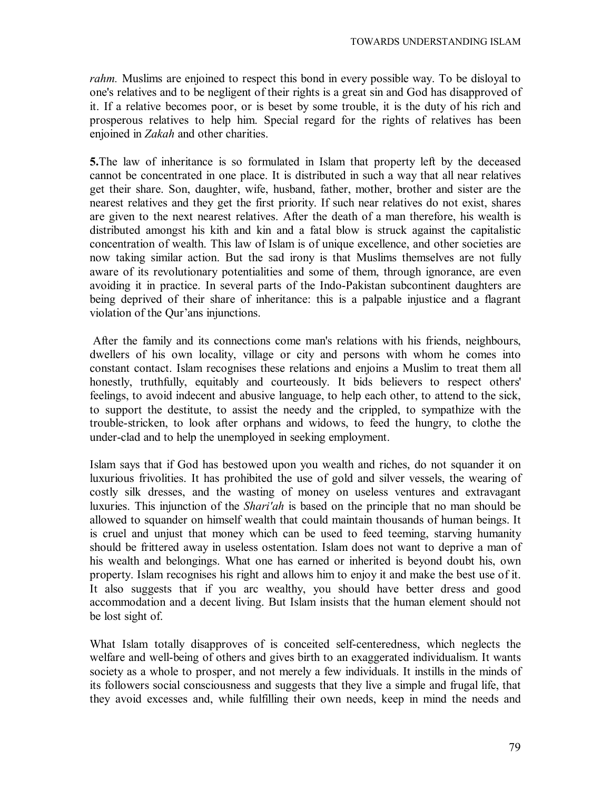*rahm.* Muslims are enjoined to respect this bond in every possible way. To be disloyal to one's relatives and to be negligent of their rights is a great sin and God has disapproved of it. If a relative becomes poor, or is beset by some trouble, it is the duty of his rich and prosperous relatives to help him. Special regard for the rights of relatives has been enjoined in *Zakah* and other charities.

**5.**The law of inheritance is so formulated in Islam that property left by the deceased cannot be concentrated in one place. It is distributed in such a way that all near relatives get their share. Son, daughter, wife, husband, father, mother, brother and sister are the nearest relatives and they get the first priority. If such near relatives do not exist, shares are given to the next nearest relatives. After the death of a man therefore, his wealth is distributed amongst his kith and kin and a fatal blow is struck against the capitalistic concentration of wealth. This law of Islam is of unique excellence, and other societies are now taking similar action. But the sad irony is that Muslims themselves are not fully aware of its revolutionary potentialities and some of them, through ignorance, are even avoiding it in practice. In several parts of the Indo-Pakistan subcontinent daughters are being deprived of their share of inheritance: this is a palpable injustice and a flagrant violation of the Qur'ans injunctions.

After the family and its connections come man's relations with his friends, neighbours, dwellers of his own locality, village or city and persons with whom he comes into constant contact. Islam recognises these relations and enjoins a Muslim to treat them all honestly, truthfully, equitably and courteously. It bids believers to respect others' feelings, to avoid indecent and abusive language, to help each other, to attend to the sick, to support the destitute, to assist the needy and the crippled, to sympathize with the trouble-stricken, to look after orphans and widows, to feed the hungry, to clothe the under-clad and to help the unemployed in seeking employment.

Islam says that if God has bestowed upon you wealth and riches, do not squander it on luxurious frivolities. It has prohibited the use of gold and silver vessels, the wearing of costly silk dresses, and the wasting of money on useless ventures and extravagant luxuries. This injunction of the *Shari'ah* is based on the principle that no man should be allowed to squander on himself wealth that could maintain thousands of human beings. It is cruel and unjust that money which can be used to feed teeming, starving humanity should be frittered away in useless ostentation. Islam does not want to deprive a man of his wealth and belongings. What one has earned or inherited is beyond doubt his, own property. Islam recognises his right and allows him to enjoy it and make the best use of it. It also suggests that if you arc wealthy, you should have better dress and good accommodation and a decent living. But Islam insists that the human element should not be lost sight of.

What Islam totally disapproves of is conceited self-centeredness, which neglects the welfare and well-being of others and gives birth to an exaggerated individualism. It wants society as a whole to prosper, and not merely a few individuals. It instills in the minds of its followers social consciousness and suggests that they live a simple and frugal life, that they avoid excesses and, while fulfilling their own needs, keep in mind the needs and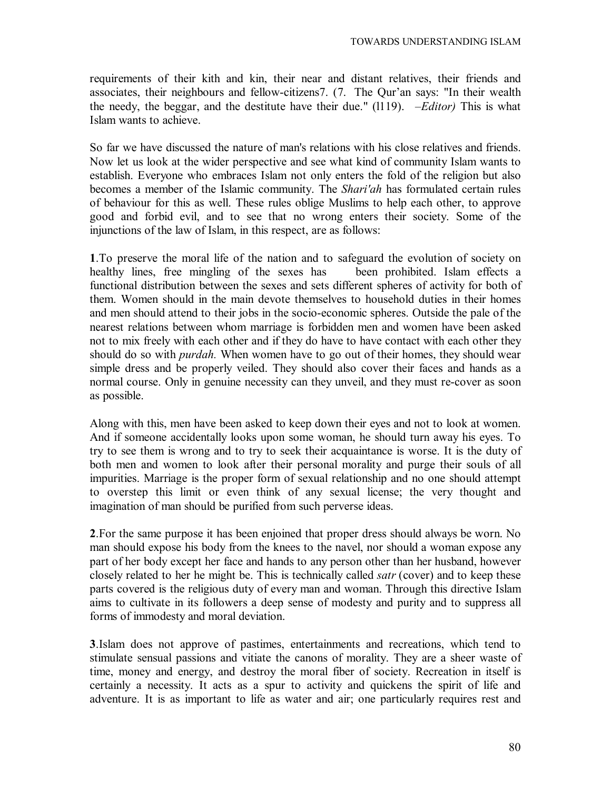requirements of their kith and kin, their near and distant relatives, their friends and associates, their neighbours and fellow-citizens7. (7. The Qur'an says: "In their wealth the needy, the beggar, and the destitute have their due." (l119). *–Editor)* This is what Islam wants to achieve.

So far we have discussed the nature of man's relations with his close relatives and friends. Now let us look at the wider perspective and see what kind of community Islam wants to establish. Everyone who embraces Islam not only enters the fold of the religion but also becomes a member of the Islamic community. The *Shari'ah* has formulated certain rules of behaviour for this as well. These rules oblige Muslims to help each other, to approve good and forbid evil, and to see that no wrong enters their society. Some of the injunctions of the law of Islam, in this respect, are as follows:

**1**.To preserve the moral life of the nation and to safeguard the evolution of society on healthy lines, free mingling of the sexes has been prohibited. Islam effects a functional distribution between the sexes and sets different spheres of activity for both of them. Women should in the main devote themselves to household duties in their homes and men should attend to their jobs in the socio-economic spheres. Outside the pale of the nearest relations between whom marriage is forbidden men and women have been asked not to mix freely with each other and if they do have to have contact with each other they should do so with *purdah.* When women have to go out of their homes, they should wear simple dress and be properly veiled. They should also cover their faces and hands as a normal course. Only in genuine necessity can they unveil, and they must re-cover as soon as possible.

Along with this, men have been asked to keep down their eyes and not to look at women. And if someone accidentally looks upon some woman, he should turn away his eyes. To try to see them is wrong and to try to seek their acquaintance is worse. It is the duty of both men and women to look after their personal morality and purge their souls of all impurities. Marriage is the proper form of sexual relationship and no one should attempt to overstep this limit or even think of any sexual license; the very thought and imagination of man should be purified from such perverse ideas.

**2**.For the same purpose it has been enjoined that proper dress should always be worn. No man should expose his body from the knees to the navel, nor should a woman expose any part of her body except her face and hands to any person other than her husband, however closely related to her he might be. This is technically called *satr* (cover) and to keep these parts covered is the religious duty of every man and woman. Through this directive Islam aims to cultivate in its followers a deep sense of modesty and purity and to suppress all forms of immodesty and moral deviation.

**3**.Islam does not approve of pastimes, entertainments and recreations, which tend to stimulate sensual passions and vitiate the canons of morality. They are a sheer waste of time, money and energy, and destroy the moral fiber of society. Recreation in itself is certainly a necessity. It acts as a spur to activity and quickens the spirit of life and adventure. It is as important to life as water and air; one particularly requires rest and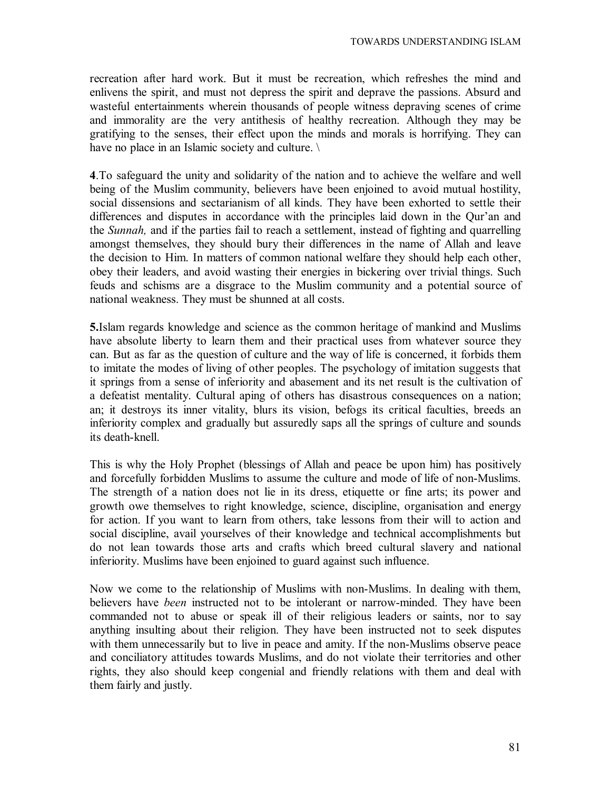recreation after hard work. But it must be recreation, which refreshes the mind and enlivens the spirit, and must not depress the spirit and deprave the passions. Absurd and wasteful entertainments wherein thousands of people witness depraving scenes of crime and immorality are the very antithesis of healthy recreation. Although they may be gratifying to the senses, their effect upon the minds and morals is horrifying. They can have no place in an Islamic society and culture.

**4**.To safeguard the unity and solidarity of the nation and to achieve the welfare and well being of the Muslim community, believers have been enjoined to avoid mutual hostility, social dissensions and sectarianism of all kinds. They have been exhorted to settle their differences and disputes in accordance with the principles laid down in the Qur'an and the *Sunnah,* and if the parties fail to reach a settlement, instead of fighting and quarrelling amongst themselves, they should bury their differences in the name of Allah and leave the decision to Him. In matters of common national welfare they should help each other, obey their leaders, and avoid wasting their energies in bickering over trivial things. Such feuds and schisms are a disgrace to the Muslim community and a potential source of national weakness. They must be shunned at all costs.

**5.**Islam regards knowledge and science as the common heritage of mankind and Muslims have absolute liberty to learn them and their practical uses from whatever source they can. But as far as the question of culture and the way of life is concerned, it forbids them to imitate the modes of living of other peoples. The psychology of imitation suggests that it springs from a sense of inferiority and abasement and its net result is the cultivation of a defeatist mentality. Cultural aping of others has disastrous consequences on a nation; an; it destroys its inner vitality, blurs its vision, befogs its critical faculties, breeds an inferiority complex and gradually but assuredly saps all the springs of culture and sounds its death-knell.

This is why the Holy Prophet (blessings of Allah and peace be upon him) has positively and forcefully forbidden Muslims to assume the culture and mode of life of non-Muslims. The strength of a nation does not lie in its dress, etiquette or fine arts; its power and growth owe themselves to right knowledge, science, discipline, organisation and energy for action. If you want to learn from others, take lessons from their will to action and social discipline, avail yourselves of their knowledge and technical accomplishments but do not lean towards those arts and crafts which breed cultural slavery and national inferiority. Muslims have been enjoined to guard against such influence.

Now we come to the relationship of Muslims with non-Muslims. In dealing with them, believers have *been* instructed not to be intolerant or narrow-minded. They have been commanded not to abuse or speak ill of their religious leaders or saints, nor to say anything insulting about their religion. They have been instructed not to seek disputes with them unnecessarily but to live in peace and amity. If the non-Muslims observe peace and conciliatory attitudes towards Muslims, and do not violate their territories and other rights, they also should keep congenial and friendly relations with them and deal with them fairly and justly.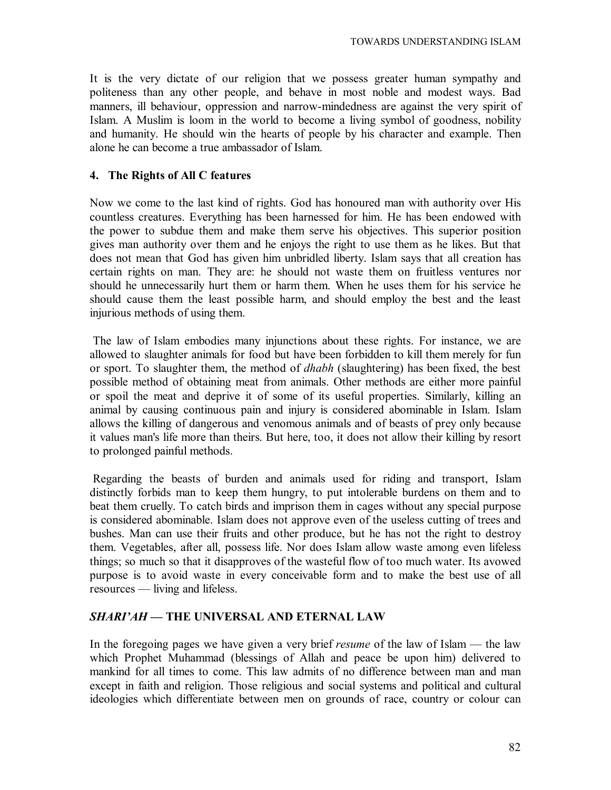It is the very dictate of our religion that we possess greater human sympathy and politeness than any other people, and behave in most noble and modest ways. Bad manners, ill behaviour, oppression and narrow-mindedness are against the very spirit of Islam. A Muslim is loom in the world to become a living symbol of goodness, nobility and humanity. He should win the hearts of people by his character and example. Then alone he can become a true ambassador of Islam.

## **4. The Rights of All C features**

Now we come to the last kind of rights. God has honoured man with authority over His countless creatures. Everything has been harnessed for him. He has been endowed with the power to subdue them and make them serve his objectives. This superior position gives man authority over them and he enjoys the right to use them as he likes. But that does not mean that God has given him unbridled liberty. Islam says that all creation has certain rights on man. They are: he should not waste them on fruitless ventures nor should he unnecessarily hurt them or harm them. When he uses them for his service he should cause them the least possible harm, and should employ the best and the least injurious methods of using them.

The law of Islam embodies many injunctions about these rights. For instance, we are allowed to slaughter animals for food but have been forbidden to kill them merely for fun or sport. To slaughter them, the method of *dhabh* (slaughtering) has been fixed, the best possible method of obtaining meat from animals. Other methods are either more painful or spoil the meat and deprive it of some of its useful properties. Similarly, killing an animal by causing continuous pain and injury is considered abominable in Islam. Islam allows the killing of dangerous and venomous animals and of beasts of prey only because it values man's life more than theirs. But here, too, it does not allow their killing by resort to prolonged painful methods.

Regarding the beasts of burden and animals used for riding and transport, Islam distinctly forbids man to keep them hungry, to put intolerable burdens on them and to beat them cruelly. To catch birds and imprison them in cages without any special purpose is considered abominable. Islam does not approve even of the useless cutting of trees and bushes. Man can use their fruits and other produce, but he has not the right to destroy them. Vegetables, after all, possess life. Nor does Islam allow waste among even lifeless things; so much so that it disapproves of the wasteful flow of too much water. Its avowed purpose is to avoid waste in every conceivable form and to make the best use of all resources — living and lifeless.

## *SHARI'AH —* **THE UNIVERSAL AND ETERNAL LAW**

In the foregoing pages we have given a very brief *resume* of the law of Islam — the law which Prophet Muhammad (blessings of Allah and peace be upon him) delivered to mankind for all times to come. This law admits of no difference between man and man except in faith and religion. Those religious and social systems and political and cultural ideologies which differentiate between men on grounds of race, country or colour can